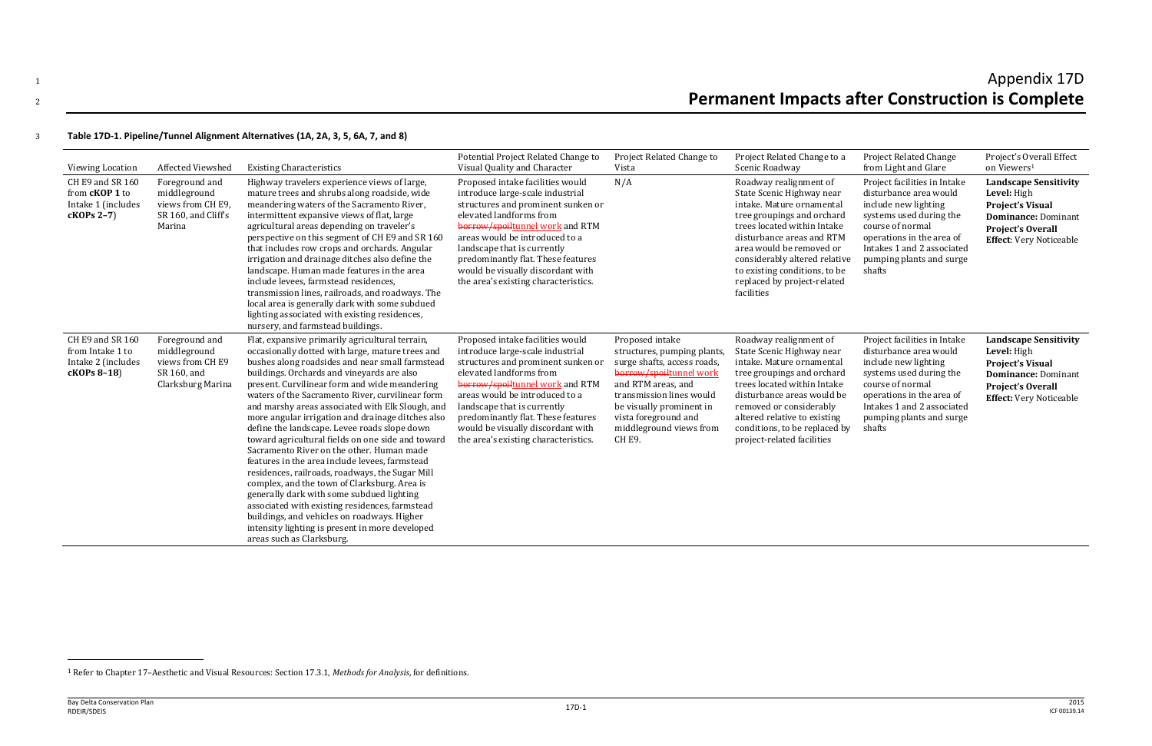# $_1$  and  $\lambda$  appendix  $17\text{D}$ <sup>2</sup> **Permanent Impacts after Construction is Complete**

# 3 **Table 17D-1. Pipeline/Tunnel Alignment Alternatives (1A, 2A, 3, 5, 6A, 7, and 8)**

| Viewing Location                                                              | Affected Viewshed                                                                      | <b>Existing Characteristics</b>                                                                                                                                                                                                                                                                                                                                                                                                                                                                                                                                                                                                                                                                                                                                                                                                                                                                                                                         | Potential Project Related Change to<br>Visual Quality and Character                                                                                                                                                                                                                                                                                          | Project Related Change to<br>Vista                                                                                                                                                                                                                        | Project Related Change to a<br>Scenic Roadway                                                                                                                                                                                                                                                                         | <b>Project Related Change</b><br>from Light and Glare                                                                                                                                                                          | Project's Overall Effect<br>on Viewers <sup>1</sup>                                                                                                                |
|-------------------------------------------------------------------------------|----------------------------------------------------------------------------------------|---------------------------------------------------------------------------------------------------------------------------------------------------------------------------------------------------------------------------------------------------------------------------------------------------------------------------------------------------------------------------------------------------------------------------------------------------------------------------------------------------------------------------------------------------------------------------------------------------------------------------------------------------------------------------------------------------------------------------------------------------------------------------------------------------------------------------------------------------------------------------------------------------------------------------------------------------------|--------------------------------------------------------------------------------------------------------------------------------------------------------------------------------------------------------------------------------------------------------------------------------------------------------------------------------------------------------------|-----------------------------------------------------------------------------------------------------------------------------------------------------------------------------------------------------------------------------------------------------------|-----------------------------------------------------------------------------------------------------------------------------------------------------------------------------------------------------------------------------------------------------------------------------------------------------------------------|--------------------------------------------------------------------------------------------------------------------------------------------------------------------------------------------------------------------------------|--------------------------------------------------------------------------------------------------------------------------------------------------------------------|
| CH E9 and SR 160<br>from <b>cKOP 1</b> to<br>Intake 1 (includes<br>cKOPs 2-7) | Foreground and<br>middleground<br>views from CH E9,<br>SR 160, and Cliff's<br>Marina   | Highway travelers experience views of large,<br>mature trees and shrubs along roadside, wide<br>meandering waters of the Sacramento River,<br>intermittent expansive views of flat, large<br>agricultural areas depending on traveler's<br>perspective on this segment of CH E9 and SR 160<br>that includes row crops and orchards. Angular<br>irrigation and drainage ditches also define the<br>landscape. Human made features in the area<br>include levees, farmstead residences,<br>transmission lines, railroads, and roadways. The<br>local area is generally dark with some subdued<br>lighting associated with existing residences,<br>nursery, and farmstead buildings.                                                                                                                                                                                                                                                                       | Proposed intake facilities would<br>introduce large-scale industrial<br>structures and prominent sunken or<br>elevated landforms from<br>borrow/spoiltunnel work and RTM<br>areas would be introduced to a<br>landscape that is currently<br>predominantly flat. These features<br>would be visually discordant with<br>the area's existing characteristics. | N/A                                                                                                                                                                                                                                                       | Roadway realignment of<br>State Scenic Highway near<br>intake. Mature ornamental<br>tree groupings and orchard<br>trees located within Intake<br>disturbance areas and RTM<br>area would be removed or<br>considerably altered relative<br>to existing conditions, to be<br>replaced by project-related<br>facilities | Project facilities in Intake<br>disturbance area would<br>include new lighting<br>systems used during the<br>course of normal<br>operations in the area of<br>Intakes 1 and 2 associated<br>pumping plants and surge<br>shafts | <b>Landscape Sensitivity</b><br>Level: High<br><b>Project's Visual</b><br><b>Dominance: Dominant</b><br><b>Project's Overall</b><br><b>Effect:</b> Very Noticeable |
| CH E9 and SR 160<br>from Intake 1 to<br>Intake 2 (includes<br>cKOPs 8-18)     | Foreground and<br>middleground<br>views from CH E9<br>SR 160, and<br>Clarksburg Marina | Flat, expansive primarily agricultural terrain,<br>occasionally dotted with large, mature trees and<br>bushes along roadsides and near small farmstead<br>buildings. Orchards and vineyards are also<br>present. Curvilinear form and wide meandering<br>waters of the Sacramento River, curvilinear form<br>and marshy areas associated with Elk Slough, and<br>more angular irrigation and drainage ditches also<br>define the landscape. Levee roads slope down<br>toward agricultural fields on one side and toward<br>Sacramento River on the other. Human made<br>features in the area include levees, farmstead<br>residences, railroads, roadways, the Sugar Mill<br>complex, and the town of Clarksburg. Area is<br>generally dark with some subdued lighting<br>associated with existing residences, farmstead<br>buildings, and vehicles on roadways. Higher<br>intensity lighting is present in more developed<br>areas such as Clarksburg. | Proposed intake facilities would<br>introduce large-scale industrial<br>structures and prominent sunken or<br>elevated landforms from<br>borrow/spoiltunnel work and RTM<br>areas would be introduced to a<br>landscape that is currently<br>predominantly flat. These features<br>would be visually discordant with<br>the area's existing characteristics. | Proposed intake<br>structures, pumping plants<br>surge shafts, access roads,<br>borrow/spoiltunnel work<br>and RTM areas, and<br>transmission lines would<br>be visually prominent in<br>vista foreground and<br>middleground views from<br><b>CH E9.</b> | Roadway realignment of<br>State Scenic Highway near<br>intake. Mature ornamental<br>tree groupings and orchard<br>trees located within Intake<br>disturbance areas would be<br>removed or considerably<br>altered relative to existing<br>conditions, to be replaced by<br>project-related facilities                 | Project facilities in Intake<br>disturbance area would<br>include new lighting<br>systems used during the<br>course of normal<br>operations in the area of<br>Intakes 1 and 2 associated<br>pumping plants and surge<br>shafts | <b>Landscape Sensitivity</b><br>Level: High<br><b>Project's Visual</b><br><b>Dominance: Dominant</b><br><b>Project's Overall</b><br><b>Effect:</b> Very Noticeable |

l

<sup>1</sup> Refer to Chapter 17–Aesthetic and Visual Resources: Section 17.3.1, *Methods for Analysis*, for definitions.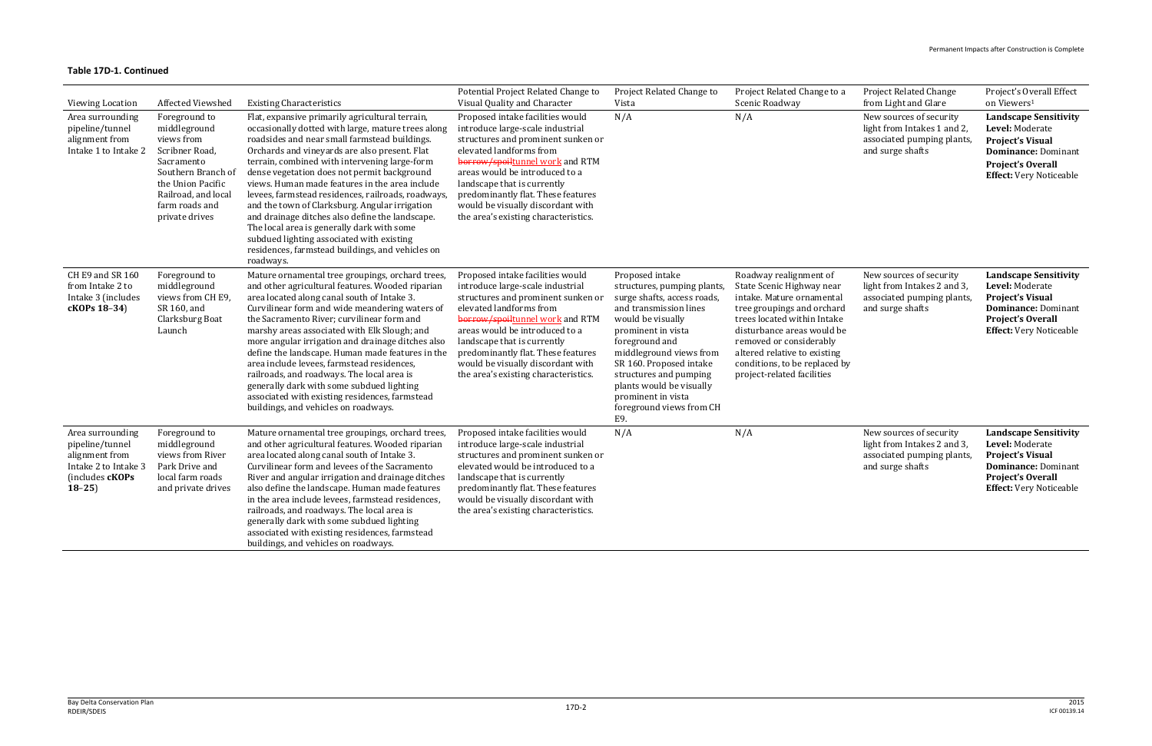| <b>Viewing Location</b>                                                                                       | Affected Viewshed                                                                                                                                                                 | <b>Existing Characteristics</b>                                                                                                                                                                                                                                                                                                                                                                                                                                                                                                                                                                                                                                                  | Potential Project Related Change to<br>Visual Quality and Character                                                                                                                                                                                                                                                                                          | Project Related Change to<br>Vista                                                                                                                                                                                                                                                                                                       | Project Related Change to a<br>Scenic Roadway                                                                                                                                                                                                                                                         | <b>Project Related Change</b><br>from Light and Glare                                                    | Project's Overall Effect<br>on Viewers <sup>1</sup>                                                                                                                    |
|---------------------------------------------------------------------------------------------------------------|-----------------------------------------------------------------------------------------------------------------------------------------------------------------------------------|----------------------------------------------------------------------------------------------------------------------------------------------------------------------------------------------------------------------------------------------------------------------------------------------------------------------------------------------------------------------------------------------------------------------------------------------------------------------------------------------------------------------------------------------------------------------------------------------------------------------------------------------------------------------------------|--------------------------------------------------------------------------------------------------------------------------------------------------------------------------------------------------------------------------------------------------------------------------------------------------------------------------------------------------------------|------------------------------------------------------------------------------------------------------------------------------------------------------------------------------------------------------------------------------------------------------------------------------------------------------------------------------------------|-------------------------------------------------------------------------------------------------------------------------------------------------------------------------------------------------------------------------------------------------------------------------------------------------------|----------------------------------------------------------------------------------------------------------|------------------------------------------------------------------------------------------------------------------------------------------------------------------------|
| Area surrounding<br>pipeline/tunnel<br>alignment from<br>Intake 1 to Intake 2                                 | Foreground to<br>middleground<br>views from<br>Scribner Road,<br>Sacramento<br>Southern Branch of<br>the Union Pacific<br>Railroad, and local<br>farm roads and<br>private drives | Flat, expansive primarily agricultural terrain,<br>occasionally dotted with large, mature trees along<br>roadsides and near small farmstead buildings.<br>Orchards and vineyards are also present. Flat<br>terrain, combined with intervening large-form<br>dense vegetation does not permit background<br>views. Human made features in the area include<br>levees, farmstead residences, railroads, roadways,<br>and the town of Clarksburg. Angular irrigation<br>and drainage ditches also define the landscape.<br>The local area is generally dark with some<br>subdued lighting associated with existing<br>residences, farmstead buildings, and vehicles on<br>roadways. | Proposed intake facilities would<br>introduce large-scale industrial<br>structures and prominent sunken or<br>elevated landforms from<br>borrow/spoiltunnel work and RTM<br>areas would be introduced to a<br>landscape that is currently<br>predominantly flat. These features<br>would be visually discordant with<br>the area's existing characteristics. | N/A                                                                                                                                                                                                                                                                                                                                      | N/A                                                                                                                                                                                                                                                                                                   | New sources of security<br>light from Intakes 1 and 2,<br>associated pumping plants,<br>and surge shafts | <b>Landscape Sensitivity</b><br>Level: Moderate<br><b>Project's Visual</b><br><b>Dominance: Dominant</b><br><b>Project's Overall</b><br><b>Effect:</b> Very Noticeable |
| CH E9 and SR 160<br>from Intake 2 to<br>Intake 3 (includes<br>cKOPs 18-34)                                    | Foreground to<br>middleground<br>views from CH E9,<br>SR 160, and<br>Clarksburg Boat<br>Launch                                                                                    | Mature ornamental tree groupings, orchard trees,<br>and other agricultural features. Wooded riparian<br>area located along canal south of Intake 3.<br>Curvilinear form and wide meandering waters of<br>the Sacramento River; curvilinear form and<br>marshy areas associated with Elk Slough; and<br>more angular irrigation and drainage ditches also<br>define the landscape. Human made features in the<br>area include levees, farmstead residences,<br>railroads, and roadways. The local area is<br>generally dark with some subdued lighting<br>associated with existing residences, farmstead<br>buildings, and vehicles on roadways.                                  | Proposed intake facilities would<br>introduce large-scale industrial<br>structures and prominent sunken or<br>elevated landforms from<br>borrow/spoiltunnel work and RTM<br>areas would be introduced to a<br>landscape that is currently<br>predominantly flat. These features<br>would be visually discordant with<br>the area's existing characteristics. | Proposed intake<br>structures, pumping plants<br>surge shafts, access roads,<br>and transmission lines<br>would be visually<br>prominent in vista<br>foreground and<br>middleground views from<br>SR 160. Proposed intake<br>structures and pumping<br>plants would be visually<br>prominent in vista<br>foreground views from CH<br>E9. | Roadway realignment of<br>State Scenic Highway near<br>intake. Mature ornamental<br>tree groupings and orchard<br>trees located within Intake<br>disturbance areas would be<br>removed or considerably<br>altered relative to existing<br>conditions, to be replaced by<br>project-related facilities | New sources of security<br>light from Intakes 2 and 3,<br>associated pumping plants,<br>and surge shafts | <b>Landscape Sensitivity</b><br>Level: Moderate<br><b>Project's Visual</b><br><b>Dominance: Dominant</b><br><b>Project's Overall</b><br><b>Effect:</b> Very Noticeable |
| Area surrounding<br>pipeline/tunnel<br>alignment from<br>Intake 2 to Intake 3<br>(includes cKOPs<br>$18 - 25$ | Foreground to<br>middleground<br>views from River<br>Park Drive and<br>local farm roads<br>and private drives                                                                     | Mature ornamental tree groupings, orchard trees,<br>and other agricultural features. Wooded riparian<br>area located along canal south of Intake 3.<br>Curvilinear form and levees of the Sacramento<br>River and angular irrigation and drainage ditches<br>also define the landscape. Human made features<br>in the area include levees, farmstead residences,<br>railroads, and roadways. The local area is<br>generally dark with some subdued lighting<br>associated with existing residences, farmstead<br>buildings, and vehicles on roadways.                                                                                                                            | Proposed intake facilities would<br>introduce large-scale industrial<br>structures and prominent sunken or<br>elevated would be introduced to a<br>landscape that is currently<br>predominantly flat. These features<br>would be visually discordant with<br>the area's existing characteristics.                                                            | N/A                                                                                                                                                                                                                                                                                                                                      | N/A                                                                                                                                                                                                                                                                                                   | New sources of security<br>light from Intakes 2 and 3,<br>associated pumping plants,<br>and surge shafts | <b>Landscape Sensitivity</b><br>Level: Moderate<br><b>Project's Visual</b><br><b>Dominance: Dominant</b><br><b>Project's Overall</b><br><b>Effect:</b> Very Noticeable |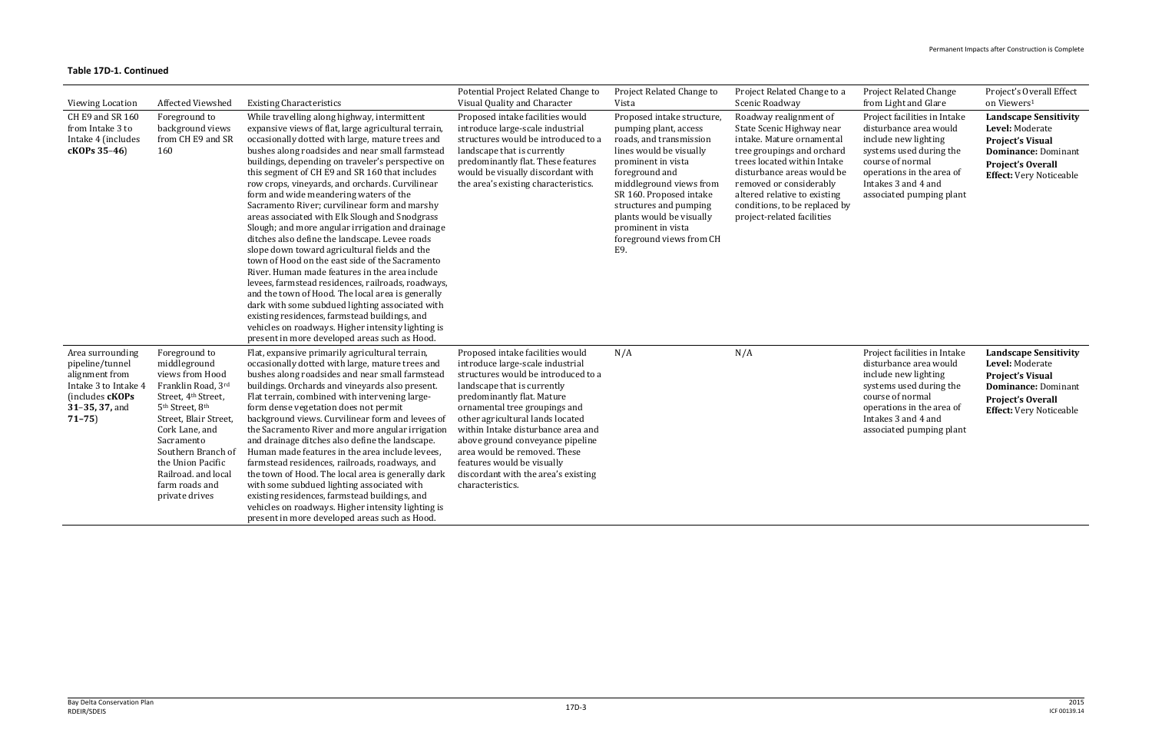| <b>Project Related Change</b> |
|-------------------------------|
| from Light and Glare          |

Project's Overall Effect on Viewers 1

| <b>Viewing Location</b>                                                                                                         | <b>Affected Viewshed</b>                                                                                                                                                                                                                                                                                            | <b>Existing Characteristics</b>                                                                                                                                                                                                                                                                                                                                                                                                                                                                                                                                                                                                                                                                                                                                                                                                                                                                                                                                                                                                                                                                      | Potential Project Related Change to<br>Visual Quality and Character                                                                                                                                                                                                                                                                                                                                                                              | Project Related Change to<br>Vista                                                                                                                                                                                                                                                                                     | Project Related Change to a<br>Scenic Roadway                                                                                                                                                                                                                                                         |
|---------------------------------------------------------------------------------------------------------------------------------|---------------------------------------------------------------------------------------------------------------------------------------------------------------------------------------------------------------------------------------------------------------------------------------------------------------------|------------------------------------------------------------------------------------------------------------------------------------------------------------------------------------------------------------------------------------------------------------------------------------------------------------------------------------------------------------------------------------------------------------------------------------------------------------------------------------------------------------------------------------------------------------------------------------------------------------------------------------------------------------------------------------------------------------------------------------------------------------------------------------------------------------------------------------------------------------------------------------------------------------------------------------------------------------------------------------------------------------------------------------------------------------------------------------------------------|--------------------------------------------------------------------------------------------------------------------------------------------------------------------------------------------------------------------------------------------------------------------------------------------------------------------------------------------------------------------------------------------------------------------------------------------------|------------------------------------------------------------------------------------------------------------------------------------------------------------------------------------------------------------------------------------------------------------------------------------------------------------------------|-------------------------------------------------------------------------------------------------------------------------------------------------------------------------------------------------------------------------------------------------------------------------------------------------------|
| CH E9 and SR 160<br>from Intake 3 to<br>Intake 4 (includes<br>cKOPs 35-46)                                                      | Foreground to<br>background views<br>from CH E9 and SR<br>160                                                                                                                                                                                                                                                       | While travelling along highway, intermittent<br>expansive views of flat, large agricultural terrain,<br>occasionally dotted with large, mature trees and<br>bushes along roadsides and near small farmstead<br>buildings, depending on traveler's perspective on<br>this segment of CH E9 and SR 160 that includes<br>row crops, vineyards, and orchards. Curvilinear<br>form and wide meandering waters of the<br>Sacramento River; curvilinear form and marshy<br>areas associated with Elk Slough and Snodgrass<br>Slough; and more angular irrigation and drainage<br>ditches also define the landscape. Levee roads<br>slope down toward agricultural fields and the<br>town of Hood on the east side of the Sacramento<br>River. Human made features in the area include<br>levees, farmstead residences, railroads, roadways,<br>and the town of Hood. The local area is generally<br>dark with some subdued lighting associated with<br>existing residences, farmstead buildings, and<br>vehicles on roadways. Higher intensity lighting is<br>present in more developed areas such as Hood. | Proposed intake facilities would<br>introduce large-scale industrial<br>structures would be introduced to a<br>landscape that is currently<br>predominantly flat. These features<br>would be visually discordant with<br>the area's existing characteristics.                                                                                                                                                                                    | Proposed intake structure,<br>pumping plant, access<br>roads, and transmission<br>lines would be visually<br>prominent in vista<br>foreground and<br>middleground views from<br>SR 160. Proposed intake<br>structures and pumping<br>plants would be visually<br>prominent in vista<br>foreground views from CH<br>E9. | Roadway realignment of<br>State Scenic Highway near<br>intake. Mature ornamental<br>tree groupings and orchard<br>trees located within Intake<br>disturbance areas would be<br>removed or considerably<br>altered relative to existing<br>conditions, to be replaced by<br>project-related facilities |
| Area surrounding<br>pipeline/tunnel<br>alignment from<br>Intake 3 to Intake 4<br>(includes cKOPs<br>31-35, 37, and<br>$71 - 75$ | Foreground to<br>middleground<br>views from Hood<br>Franklin Road, 3rd<br>Street, 4 <sup>th</sup> Street,<br>5 <sup>th</sup> Street, 8 <sup>th</sup><br>Street, Blair Street,<br>Cork Lane, and<br>Sacramento<br>Southern Branch of<br>the Union Pacific<br>Railroad. and local<br>farm roads and<br>private drives | Flat, expansive primarily agricultural terrain,<br>occasionally dotted with large, mature trees and<br>bushes along roadsides and near small farmstead<br>buildings. Orchards and vineyards also present.<br>Flat terrain, combined with intervening large-<br>form dense vegetation does not permit<br>background views. Curvilinear form and levees of<br>the Sacramento River and more angular irrigation<br>and drainage ditches also define the landscape.<br>Human made features in the area include levees,<br>farmstead residences, railroads, roadways, and<br>the town of Hood. The local area is generally dark<br>with some subdued lighting associated with<br>existing residences, farmstead buildings, and<br>vehicles on roadways. Higher intensity lighting is<br>present in more developed areas such as Hood.                                                                                                                                                                                                                                                                     | Proposed intake facilities would<br>introduce large-scale industrial<br>structures would be introduced to a<br>landscape that is currently<br>predominantly flat. Mature<br>ornamental tree groupings and<br>other agricultural lands located<br>within Intake disturbance area and<br>above ground conveyance pipeline<br>area would be removed. These<br>features would be visually<br>discordant with the area's existing<br>characteristics. | N/A                                                                                                                                                                                                                                                                                                                    | N/A                                                                                                                                                                                                                                                                                                   |

Project facilities in Intake disturbance area would include new lighting systems used during the course of normal operations in the area of Intakes 3 and 4 and associated pumping plant

Project facilities in Intake disturbance area would include new lighting systems used during the course of normal operations in the area of Intakes 3 and 4 and associated pumping plant **Landscape Sensitivity Level:** Moderate **Project's Visual Dominance:** Dominant **Project's Overall Effect:** Very Noticeable

**Landscape Sensitivity Level:** Moderate **Project's Visual Dominance:** Dominant **Project's Overall Effect:** Very Noticeable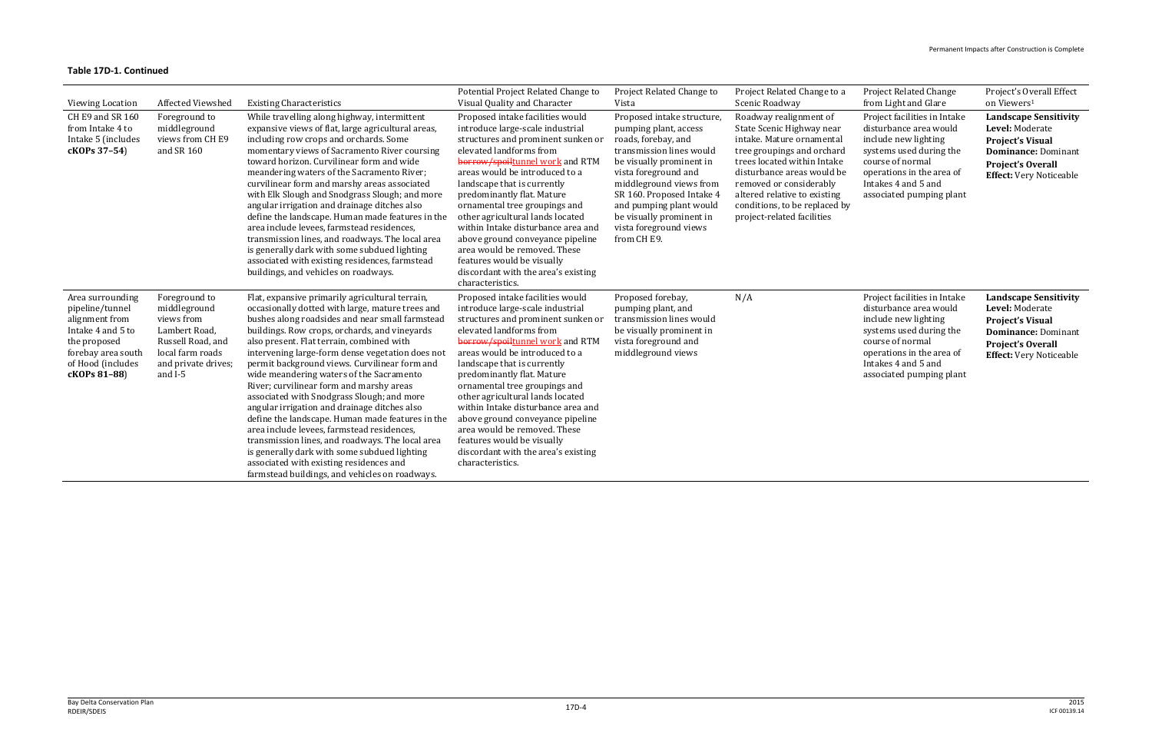| <b>Viewing Location</b>                                                                                                                               | Affected Viewshed                                                                                                                       | <b>Existing Characteristics</b>                                                                                                                                                                                                                                                                                                                                                                                                                                                                                                                                                                                                                                                                                                                                                                                                                    | Potential Project Related Change to<br>Visual Quality and Character                                                                                                                                                                                                                                                                                                                                                                                                                                                                             | Project Related Change to<br>Vista                                                                                                                                                                                                                                                                                 | Project Related Change to a<br>Scenic Roadway                                                                                                                                                                                                                                                         | <b>Project Related Change</b><br>from Light and Glare                                                                                                                                                         | Project's Overall Effect<br>on Viewers <sup>1</sup>                                                                                                                    |
|-------------------------------------------------------------------------------------------------------------------------------------------------------|-----------------------------------------------------------------------------------------------------------------------------------------|----------------------------------------------------------------------------------------------------------------------------------------------------------------------------------------------------------------------------------------------------------------------------------------------------------------------------------------------------------------------------------------------------------------------------------------------------------------------------------------------------------------------------------------------------------------------------------------------------------------------------------------------------------------------------------------------------------------------------------------------------------------------------------------------------------------------------------------------------|-------------------------------------------------------------------------------------------------------------------------------------------------------------------------------------------------------------------------------------------------------------------------------------------------------------------------------------------------------------------------------------------------------------------------------------------------------------------------------------------------------------------------------------------------|--------------------------------------------------------------------------------------------------------------------------------------------------------------------------------------------------------------------------------------------------------------------------------------------------------------------|-------------------------------------------------------------------------------------------------------------------------------------------------------------------------------------------------------------------------------------------------------------------------------------------------------|---------------------------------------------------------------------------------------------------------------------------------------------------------------------------------------------------------------|------------------------------------------------------------------------------------------------------------------------------------------------------------------------|
| CH E9 and SR 160<br>from Intake 4 to<br>Intake 5 (includes<br>cKOPs 37-54)                                                                            | Foreground to<br>middleground<br>views from CH E9<br>and SR 160                                                                         | While travelling along highway, intermittent<br>expansive views of flat, large agricultural areas,<br>including row crops and orchards. Some<br>momentary views of Sacramento River coursing<br>toward horizon. Curvilinear form and wide<br>meandering waters of the Sacramento River;<br>curvilinear form and marshy areas associated<br>with Elk Slough and Snodgrass Slough; and more<br>angular irrigation and drainage ditches also<br>define the landscape. Human made features in the<br>area include levees, farmstead residences,<br>transmission lines, and roadways. The local area<br>is generally dark with some subdued lighting<br>associated with existing residences, farmstead<br>buildings, and vehicles on roadways.                                                                                                          | Proposed intake facilities would<br>introduce large-scale industrial<br>structures and prominent sunken or<br>elevated landforms from<br>borrow/spoiltunnel work and RTM<br>areas would be introduced to a<br>landscape that is currently<br>predominantly flat. Mature<br>ornamental tree groupings and<br>other agricultural lands located<br>within Intake disturbance area and<br>above ground conveyance pipeline<br>area would be removed. These<br>features would be visually<br>discordant with the area's existing<br>characteristics. | Proposed intake structure,<br>pumping plant, access<br>roads, forebay, and<br>transmission lines would<br>be visually prominent in<br>vista foreground and<br>middleground views from<br>SR 160. Proposed Intake 4<br>and pumping plant would<br>be visually prominent in<br>vista foreground views<br>from CH E9. | Roadway realignment of<br>State Scenic Highway near<br>intake. Mature ornamental<br>tree groupings and orchard<br>trees located within Intake<br>disturbance areas would be<br>removed or considerably<br>altered relative to existing<br>conditions, to be replaced by<br>project-related facilities | Project facilities in Intake<br>disturbance area would<br>include new lighting<br>systems used during the<br>course of normal<br>operations in the area of<br>Intakes 4 and 5 and<br>associated pumping plant | <b>Landscape Sensitivity</b><br>Level: Moderate<br><b>Project's Visual</b><br><b>Dominance: Dominant</b><br>Project's Overall<br><b>Effect:</b> Very Noticeable        |
| Area surrounding<br>pipeline/tunnel<br>alignment from<br>Intake 4 and 5 to<br>the proposed<br>forebay area south<br>of Hood (includes<br>cKOPs 81-88) | Foreground to<br>middleground<br>views from<br>Lambert Road,<br>Russell Road, and<br>local farm roads<br>and private drives;<br>and I-5 | Flat, expansive primarily agricultural terrain,<br>occasionally dotted with large, mature trees and<br>bushes along roadsides and near small farmstead<br>buildings. Row crops, orchards, and vineyards<br>also present. Flat terrain, combined with<br>intervening large-form dense vegetation does not<br>permit background views. Curvilinear form and<br>wide meandering waters of the Sacramento<br>River; curvilinear form and marshy areas<br>associated with Snodgrass Slough; and more<br>angular irrigation and drainage ditches also<br>define the landscape. Human made features in the<br>area include levees, farmstead residences,<br>transmission lines, and roadways. The local area<br>is generally dark with some subdued lighting<br>associated with existing residences and<br>farmstead buildings, and vehicles on roadways. | Proposed intake facilities would<br>introduce large-scale industrial<br>structures and prominent sunken or<br>elevated landforms from<br>borrow/spoiltunnel work and RTM<br>areas would be introduced to a<br>landscape that is currently<br>predominantly flat. Mature<br>ornamental tree groupings and<br>other agricultural lands located<br>within Intake disturbance area and<br>above ground conveyance pipeline<br>area would be removed. These<br>features would be visually<br>discordant with the area's existing<br>characteristics. | Proposed forebay,<br>pumping plant, and<br>transmission lines would<br>be visually prominent in<br>vista foreground and<br>middleground views                                                                                                                                                                      | N/A                                                                                                                                                                                                                                                                                                   | Project facilities in Intake<br>disturbance area would<br>include new lighting<br>systems used during the<br>course of normal<br>operations in the area of<br>Intakes 4 and 5 and<br>associated pumping plant | <b>Landscape Sensitivity</b><br>Level: Moderate<br><b>Project's Visual</b><br><b>Dominance: Dominant</b><br><b>Project's Overall</b><br><b>Effect:</b> Very Noticeable |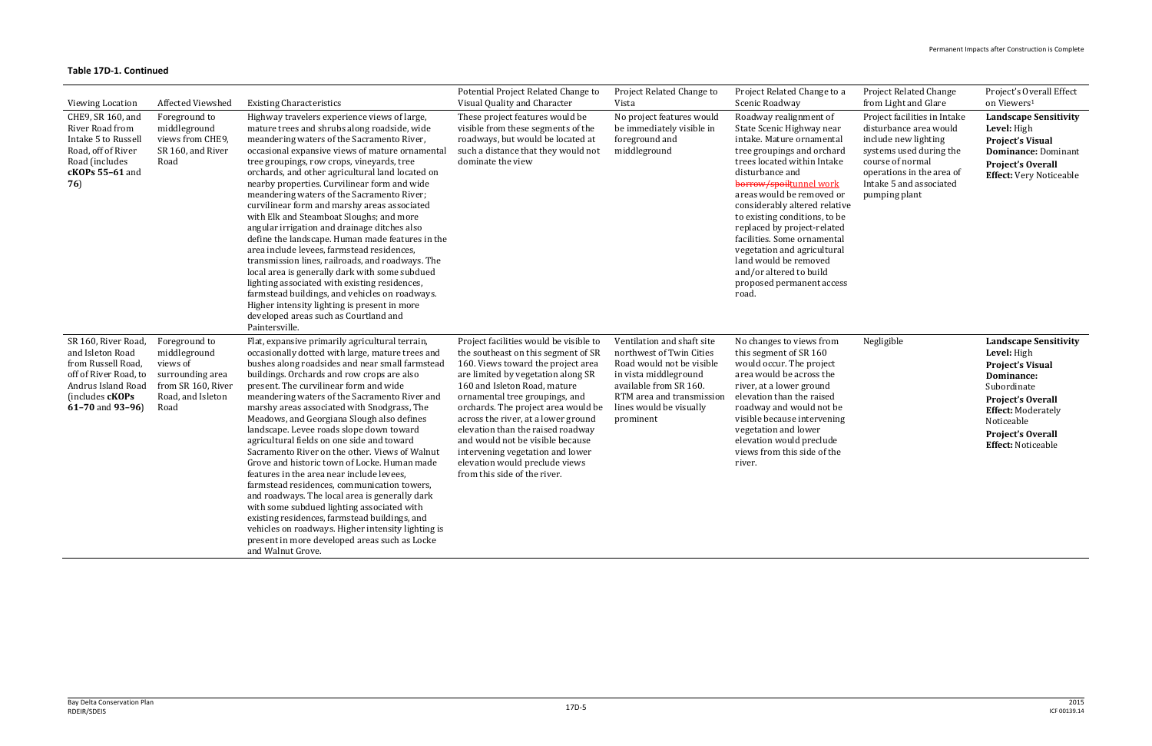|                                                                                                                                                    |                                                                                                                  |                                                                                                                                                                                                                                                                                                                                                                                                                                                                                                                                                                                                                                                                                                                                                                                                                                                                                                                                                                   | Potential Project Related Change to                                                                                                                                                                                                                                                                                                                                                                                                                                                      | Project Related Change to                                                                                                                                                                                   | Project Related Change to a                                                                                                                                                                                                                                                                                                                                                                                                                                                       | <b>Project Related Change</b>                                                                                                                                                                          | Project's Overall Effect                                                                                                                                                                                                                   |
|----------------------------------------------------------------------------------------------------------------------------------------------------|------------------------------------------------------------------------------------------------------------------|-------------------------------------------------------------------------------------------------------------------------------------------------------------------------------------------------------------------------------------------------------------------------------------------------------------------------------------------------------------------------------------------------------------------------------------------------------------------------------------------------------------------------------------------------------------------------------------------------------------------------------------------------------------------------------------------------------------------------------------------------------------------------------------------------------------------------------------------------------------------------------------------------------------------------------------------------------------------|------------------------------------------------------------------------------------------------------------------------------------------------------------------------------------------------------------------------------------------------------------------------------------------------------------------------------------------------------------------------------------------------------------------------------------------------------------------------------------------|-------------------------------------------------------------------------------------------------------------------------------------------------------------------------------------------------------------|-----------------------------------------------------------------------------------------------------------------------------------------------------------------------------------------------------------------------------------------------------------------------------------------------------------------------------------------------------------------------------------------------------------------------------------------------------------------------------------|--------------------------------------------------------------------------------------------------------------------------------------------------------------------------------------------------------|--------------------------------------------------------------------------------------------------------------------------------------------------------------------------------------------------------------------------------------------|
| <b>Viewing Location</b>                                                                                                                            | Affected Viewshed                                                                                                | <b>Existing Characteristics</b>                                                                                                                                                                                                                                                                                                                                                                                                                                                                                                                                                                                                                                                                                                                                                                                                                                                                                                                                   | Visual Quality and Character                                                                                                                                                                                                                                                                                                                                                                                                                                                             | Vista                                                                                                                                                                                                       | Scenic Roadway                                                                                                                                                                                                                                                                                                                                                                                                                                                                    | from Light and Glare                                                                                                                                                                                   | on Viewers <sup>1</sup>                                                                                                                                                                                                                    |
| CHE9, SR 160, and<br>River Road from<br>Intake 5 to Russell<br>Road, off of River<br>Road (includes<br>cKOPs 55-61 and<br>76)                      | Foreground to<br>middleground<br>views from CHE9,<br>SR 160, and River<br>Road                                   | Highway travelers experience views of large,<br>mature trees and shrubs along roadside, wide<br>meandering waters of the Sacramento River,<br>occasional expansive views of mature ornamental<br>tree groupings, row crops, vineyards, tree<br>orchards, and other agricultural land located on<br>nearby properties. Curvilinear form and wide<br>meandering waters of the Sacramento River;<br>curvilinear form and marshy areas associated<br>with Elk and Steamboat Sloughs; and more<br>angular irrigation and drainage ditches also<br>define the landscape. Human made features in the<br>area include levees, farmstead residences,<br>transmission lines, railroads, and roadways. The<br>local area is generally dark with some subdued<br>lighting associated with existing residences,<br>farmstead buildings, and vehicles on roadways.<br>Higher intensity lighting is present in more<br>developed areas such as Courtland and<br>Paintersville.   | These project features would be<br>visible from these segments of the<br>roadways, but would be located at<br>such a distance that they would not<br>dominate the view                                                                                                                                                                                                                                                                                                                   | No project features would<br>be immediately visible in<br>foreground and<br>middleground                                                                                                                    | Roadway realignment of<br>State Scenic Highway near<br>intake. Mature ornamental<br>tree groupings and orchard<br>trees located within Intake<br>disturbance and<br>borrow/spoiltunnel work<br>areas would be removed or<br>considerably altered relative<br>to existing conditions, to be<br>replaced by project-related<br>facilities. Some ornamental<br>vegetation and agricultural<br>land would be removed<br>and/or altered to build<br>proposed permanent access<br>road. | Project facilities in Intake<br>disturbance area would<br>include new lighting<br>systems used during the<br>course of normal<br>operations in the area of<br>Intake 5 and associated<br>pumping plant | <b>Landscape Sensitivity</b><br>Level: High<br><b>Project's Visual</b><br><b>Dominance: Dominant</b><br><b>Project's Overall</b><br><b>Effect:</b> Very Noticeable                                                                         |
| SR 160, River Road<br>and Isleton Road<br>from Russell Road,<br>off of River Road, to<br>Andrus Island Road<br>(includes cKOPs<br>61-70 and 93-96) | Foreground to<br>middleground<br>views of<br>surrounding area<br>from SR 160, River<br>Road, and Isleton<br>Road | Flat, expansive primarily agricultural terrain,<br>occasionally dotted with large, mature trees and<br>bushes along roadsides and near small farmstead<br>buildings. Orchards and row crops are also<br>present. The curvilinear form and wide<br>meandering waters of the Sacramento River and<br>marshy areas associated with Snodgrass, The<br>Meadows, and Georgiana Slough also defines<br>landscape. Levee roads slope down toward<br>agricultural fields on one side and toward<br>Sacramento River on the other. Views of Walnut<br>Grove and historic town of Locke. Human made<br>features in the area near include levees,<br>farmstead residences, communication towers,<br>and roadways. The local area is generally dark<br>with some subdued lighting associated with<br>existing residences, farmstead buildings, and<br>vehicles on roadways. Higher intensity lighting is<br>present in more developed areas such as Locke<br>and Walnut Grove. | Project facilities would be visible to<br>the southeast on this segment of SR<br>160. Views toward the project area<br>are limited by vegetation along SR<br>160 and Isleton Road, mature<br>ornamental tree groupings, and<br>orchards. The project area would be<br>across the river, at a lower ground<br>elevation than the raised roadway<br>and would not be visible because<br>intervening vegetation and lower<br>elevation would preclude views<br>from this side of the river. | Ventilation and shaft site<br>northwest of Twin Cities<br>Road would not be visible<br>in vista middleground<br>available from SR 160.<br>RTM area and transmission<br>lines would be visually<br>prominent | No changes to views from<br>this segment of SR 160<br>would occur. The project<br>area would be across the<br>river, at a lower ground<br>elevation than the raised<br>roadway and would not be<br>visible because intervening<br>vegetation and lower<br>elevation would preclude<br>views from this side of the<br>river.                                                                                                                                                       | Negligible                                                                                                                                                                                             | <b>Landscape Sensitivity</b><br>Level: High<br><b>Project's Visual</b><br><b>Dominance:</b><br>Subordinate<br><b>Project's Overall</b><br><b>Effect: Moderately</b><br>Noticeable<br><b>Project's Overall</b><br><b>Effect: Noticeable</b> |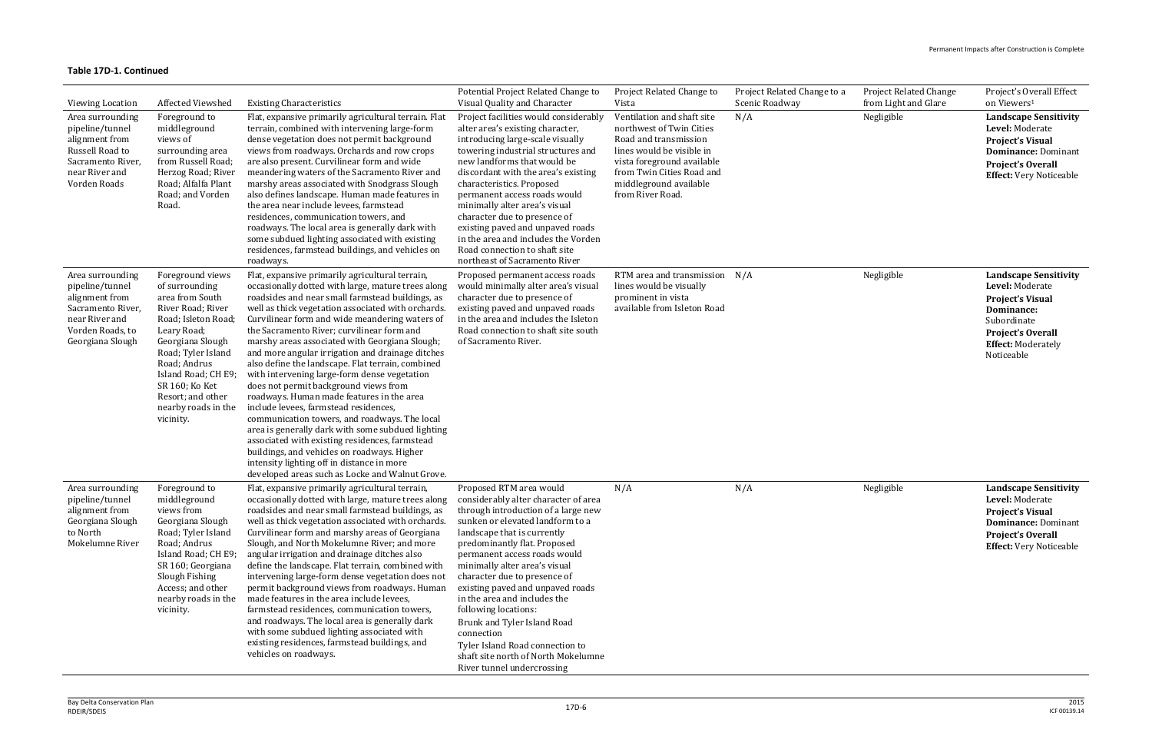| <b>Viewing Location</b>                                                                                                              | Affected Viewshed                                                                                                                                                                                                                                                            | <b>Existing Characteristics</b>                                                                                                                                                                                                                                                                                                                                                                                                                                                                                                                                                                                                                                                                                                                                                                                                                                                                                                                                   | Potential Project Related Change to<br>Visual Quality and Character                                                                                                                                                                                                                                                                                                                                                                                                                                                                                         | Project Related Change to<br>Vista                                                                                                                                                                                    | Project Related Change to a<br>Scenic Roadway | <b>Project Related Change</b><br>from Light and Glare | Project's Overall Effect<br>on Viewers <sup>1</sup>                                                                                                                     |
|--------------------------------------------------------------------------------------------------------------------------------------|------------------------------------------------------------------------------------------------------------------------------------------------------------------------------------------------------------------------------------------------------------------------------|-------------------------------------------------------------------------------------------------------------------------------------------------------------------------------------------------------------------------------------------------------------------------------------------------------------------------------------------------------------------------------------------------------------------------------------------------------------------------------------------------------------------------------------------------------------------------------------------------------------------------------------------------------------------------------------------------------------------------------------------------------------------------------------------------------------------------------------------------------------------------------------------------------------------------------------------------------------------|-------------------------------------------------------------------------------------------------------------------------------------------------------------------------------------------------------------------------------------------------------------------------------------------------------------------------------------------------------------------------------------------------------------------------------------------------------------------------------------------------------------------------------------------------------------|-----------------------------------------------------------------------------------------------------------------------------------------------------------------------------------------------------------------------|-----------------------------------------------|-------------------------------------------------------|-------------------------------------------------------------------------------------------------------------------------------------------------------------------------|
| Area surrounding<br>pipeline/tunnel<br>alignment from<br>Russell Road to<br>Sacramento River,<br>near River and<br>Vorden Roads      | Foreground to<br>middleground<br>views of<br>surrounding area<br>from Russell Road;<br>Herzog Road; River<br>Road; Alfalfa Plant<br>Road; and Vorden<br>Road.                                                                                                                | Flat, expansive primarily agricultural terrain. Flat<br>terrain, combined with intervening large-form<br>dense vegetation does not permit background<br>views from roadways. Orchards and row crops<br>are also present. Curvilinear form and wide<br>meandering waters of the Sacramento River and<br>marshy areas associated with Snodgrass Slough<br>also defines landscape. Human made features in<br>the area near include levees, farmstead<br>residences, communication towers, and<br>roadways. The local area is generally dark with<br>some subdued lighting associated with existing<br>residences, farmstead buildings, and vehicles on<br>roadways.                                                                                                                                                                                                                                                                                                  | Project facilities would considerably<br>alter area's existing character,<br>introducing large-scale visually<br>towering industrial structures and<br>new landforms that would be<br>discordant with the area's existing<br>characteristics. Proposed<br>permanent access roads would<br>minimally alter area's visual<br>character due to presence of<br>existing paved and unpaved roads<br>in the area and includes the Vorden<br>Road connection to shaft site<br>northeast of Sacramento River                                                        | Ventilation and shaft site<br>northwest of Twin Cities<br>Road and transmission<br>lines would be visible in<br>vista foreground available<br>from Twin Cities Road and<br>middleground available<br>from River Road. | N/A                                           | Negligible                                            | <b>Landscape Sensitivity</b><br>Level: Moderate<br><b>Project's Visual</b><br><b>Dominance: Dominant</b><br>Project's Overall<br><b>Effect:</b> Very Noticeable         |
| Area surrounding<br>pipeline/tunnel<br>alignment from<br>Sacramento River,<br>near River and<br>Vorden Roads, to<br>Georgiana Slough | Foreground views<br>of surrounding<br>area from South<br>River Road; River<br>Road; Isleton Road;<br>Leary Road;<br>Georgiana Slough<br>Road; Tyler Island<br>Road; Andrus<br>Island Road; CH E9;<br>SR 160; Ko Ket<br>Resort; and other<br>nearby roads in the<br>vicinity. | Flat, expansive primarily agricultural terrain,<br>occasionally dotted with large, mature trees along<br>roadsides and near small farmstead buildings, as<br>well as thick vegetation associated with orchards.<br>Curvilinear form and wide meandering waters of<br>the Sacramento River; curvilinear form and<br>marshy areas associated with Georgiana Slough;<br>and more angular irrigation and drainage ditches<br>also define the landscape. Flat terrain, combined<br>with intervening large-form dense vegetation<br>does not permit background views from<br>roadways. Human made features in the area<br>include levees, farmstead residences,<br>communication towers, and roadways. The local<br>area is generally dark with some subdued lighting<br>associated with existing residences, farmstead<br>buildings, and vehicles on roadways. Higher<br>intensity lighting off in distance in more<br>developed areas such as Locke and Walnut Grove. | Proposed permanent access roads<br>would minimally alter area's visual<br>character due to presence of<br>existing paved and unpaved roads<br>in the area and includes the Isleton<br>Road connection to shaft site south<br>of Sacramento River.                                                                                                                                                                                                                                                                                                           | RTM area and transmission N/A<br>lines would be visually<br>prominent in vista<br>available from Isleton Road                                                                                                         |                                               | Negligible                                            | <b>Landscape Sensitivity</b><br>Level: Moderate<br><b>Project's Visual</b><br>Dominance:<br>Subordinate<br>Project's Overall<br><b>Effect: Moderately</b><br>Noticeable |
| Area surrounding<br>pipeline/tunnel<br>alignment from<br>Georgiana Slough<br>to North<br>Mokelumne River                             | Foreground to<br>middleground<br>views from<br>Georgiana Slough<br>Road; Tyler Island<br>Road; Andrus<br>Island Road; CH E9;<br>SR 160; Georgiana<br>Slough Fishing<br>Access; and other<br>vicinity.                                                                        | Flat, expansive primarily agricultural terrain,<br>occasionally dotted with large, mature trees along<br>roadsides and near small farmstead buildings, as<br>well as thick vegetation associated with orchards.<br>Curvilinear form and marshy areas of Georgiana<br>Slough, and North Mokelumne River; and more<br>angular irrigation and drainage ditches also<br>define the landscape. Flat terrain, combined with<br>intervening large-form dense vegetation does not<br>permit background views from roadways. Human<br>nearby roads in the made features in the area include levees,<br>farmstead residences, communication towers,<br>and roadways. The local area is generally dark<br>with some subdued lighting associated with<br>existing residences, farmstead buildings, and<br>vehicles on roadways.                                                                                                                                               | Proposed RTM area would<br>considerably alter character of area<br>through introduction of a large new<br>sunken or elevated landform to a<br>landscape that is currently<br>predominantly flat. Proposed<br>permanent access roads would<br>minimally alter area's visual<br>character due to presence of<br>existing paved and unpaved roads<br>in the area and includes the<br>following locations:<br>Brunk and Tyler Island Road<br>connection<br>Tyler Island Road connection to<br>shaft site north of North Mokelumne<br>River tunnel undercrossing | N/A                                                                                                                                                                                                                   | N/A                                           | Negligible                                            | <b>Landscape Sensitivity</b><br>Level: Moderate<br><b>Project's Visual</b><br><b>Dominance: Dominant</b><br><b>Project's Overall</b><br><b>Effect:</b> Very Noticeable  |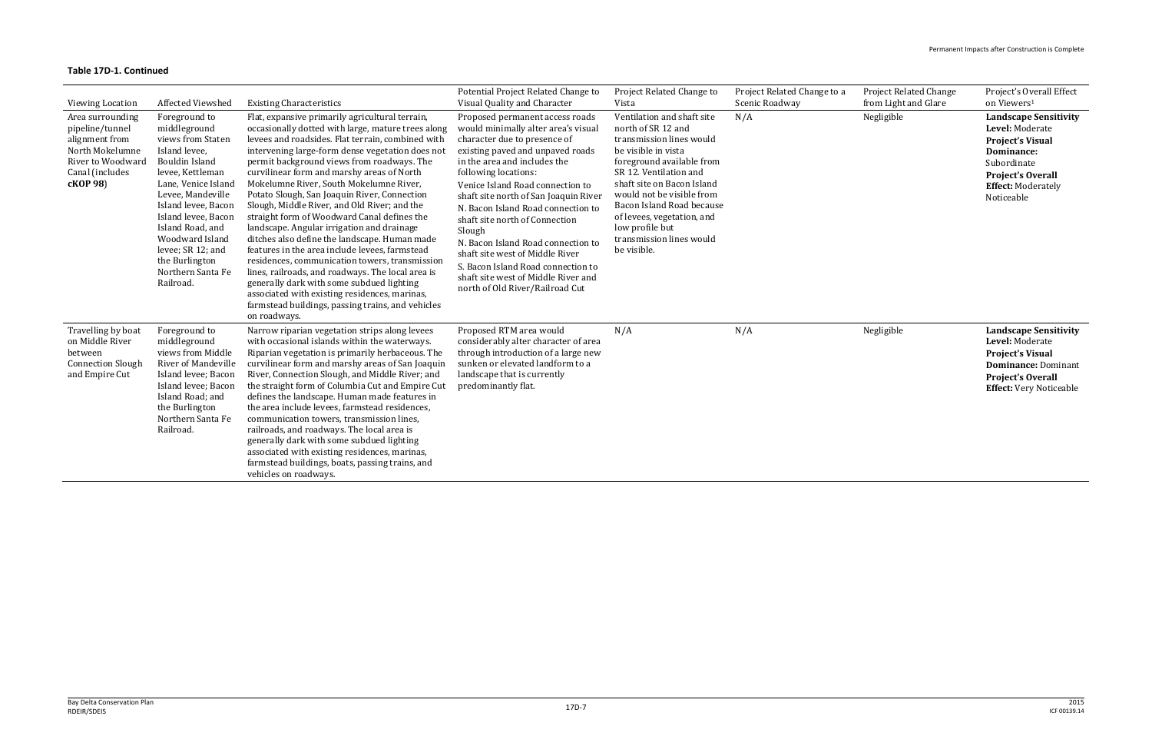| Viewing Location                                                                                                             | Affected Viewshed                                                                                                                                                                                                                                                                                                          | <b>Existing Characteristics</b>                                                                                                                                                                                                                                                                                                                                                                                                                                                                                                                                                                                                                                                                                                                                                                                                                                                                                                 | Potential Project Related Change to<br>Visual Quality and Character                                                                                                                                                                                                                                                                                                                                                                                                                                                                                        | Project Related Change to<br>Vista                                                                                                                                                                                                                                                                                                             | Project Related Change to a<br>Scenic Roadway | <b>Project Related Change</b><br>from Light and Glare | Project's Overall Effect<br>on Viewers <sup>1</sup>                                                                                                                     |
|------------------------------------------------------------------------------------------------------------------------------|----------------------------------------------------------------------------------------------------------------------------------------------------------------------------------------------------------------------------------------------------------------------------------------------------------------------------|---------------------------------------------------------------------------------------------------------------------------------------------------------------------------------------------------------------------------------------------------------------------------------------------------------------------------------------------------------------------------------------------------------------------------------------------------------------------------------------------------------------------------------------------------------------------------------------------------------------------------------------------------------------------------------------------------------------------------------------------------------------------------------------------------------------------------------------------------------------------------------------------------------------------------------|------------------------------------------------------------------------------------------------------------------------------------------------------------------------------------------------------------------------------------------------------------------------------------------------------------------------------------------------------------------------------------------------------------------------------------------------------------------------------------------------------------------------------------------------------------|------------------------------------------------------------------------------------------------------------------------------------------------------------------------------------------------------------------------------------------------------------------------------------------------------------------------------------------------|-----------------------------------------------|-------------------------------------------------------|-------------------------------------------------------------------------------------------------------------------------------------------------------------------------|
| Area surrounding<br>pipeline/tunnel<br>alignment from<br>North Mokelumne<br>River to Woodward<br>Canal (includes<br>cKOP 98) | Foreground to<br>middleground<br>views from Staten<br>Island levee,<br><b>Bouldin Island</b><br>levee, Kettleman<br>Lane, Venice Island<br>Levee, Mandeville<br>Island levee, Bacon<br>Island levee, Bacon<br>Island Road, and<br>Woodward Island<br>levee; SR 12; and<br>the Burlington<br>Northern Santa Fe<br>Railroad. | Flat, expansive primarily agricultural terrain,<br>occasionally dotted with large, mature trees along<br>levees and roadsides. Flat terrain, combined with<br>intervening large-form dense vegetation does not<br>permit background views from roadways. The<br>curvilinear form and marshy areas of North<br>Mokelumne River, South Mokelumne River,<br>Potato Slough, San Joaquin River, Connection<br>Slough, Middle River, and Old River; and the<br>straight form of Woodward Canal defines the<br>landscape. Angular irrigation and drainage<br>ditches also define the landscape. Human made<br>features in the area include levees, farmstead<br>residences, communication towers, transmission<br>lines, railroads, and roadways. The local area is<br>generally dark with some subdued lighting<br>associated with existing residences, marinas,<br>farmstead buildings, passing trains, and vehicles<br>on roadways. | Proposed permanent access roads<br>would minimally alter area's visual<br>character due to presence of<br>existing paved and unpaved roads<br>in the area and includes the<br>following locations:<br>Venice Island Road connection to<br>shaft site north of San Joaquin River<br>N. Bacon Island Road connection to<br>shaft site north of Connection<br>Slough<br>N. Bacon Island Road connection to<br>shaft site west of Middle River<br>S. Bacon Island Road connection to<br>shaft site west of Middle River and<br>north of Old River/Railroad Cut | Ventilation and shaft site<br>north of SR 12 and<br>transmission lines would<br>be visible in vista<br>foreground available from<br>SR 12. Ventilation and<br>shaft site on Bacon Island<br>would not be visible from<br>Bacon Island Road because<br>of levees, vegetation, and<br>low profile but<br>transmission lines would<br>be visible. | N/A                                           | Negligible                                            | <b>Landscape Sensitivity</b><br>Level: Moderate<br><b>Project's Visual</b><br>Dominance:<br>Subordinate<br>Project's Overall<br><b>Effect: Moderately</b><br>Noticeable |
| Travelling by boat<br>on Middle River<br>between<br><b>Connection Slough</b><br>and Empire Cut                               | Foreground to<br>middleground<br>views from Middle<br><b>River of Mandeville</b><br>Island levee; Bacon<br>Island levee; Bacon<br>Island Road; and<br>the Burlington<br>Northern Santa Fe<br>Railroad.                                                                                                                     | Narrow riparian vegetation strips along levees<br>with occasional islands within the waterways.<br>Riparian vegetation is primarily herbaceous. The<br>curvilinear form and marshy areas of San Joaquin<br>River, Connection Slough, and Middle River; and<br>the straight form of Columbia Cut and Empire Cut<br>defines the landscape. Human made features in<br>the area include levees, farmstead residences,<br>communication towers, transmission lines,<br>railroads, and roadways. The local area is<br>generally dark with some subdued lighting<br>associated with existing residences, marinas,<br>farmstead buildings, boats, passing trains, and<br>vehicles on roadways.                                                                                                                                                                                                                                          | Proposed RTM area would<br>considerably alter character of area<br>through introduction of a large new<br>sunken or elevated landform to a<br>landscape that is currently<br>predominantly flat.                                                                                                                                                                                                                                                                                                                                                           | N/A                                                                                                                                                                                                                                                                                                                                            | N/A                                           | Negligible                                            | <b>Landscape Sensitivity</b><br>Level: Moderate<br><b>Project's Visual</b><br><b>Dominance: Dominant</b><br>Project's Overall<br><b>Effect:</b> Very Noticeable         |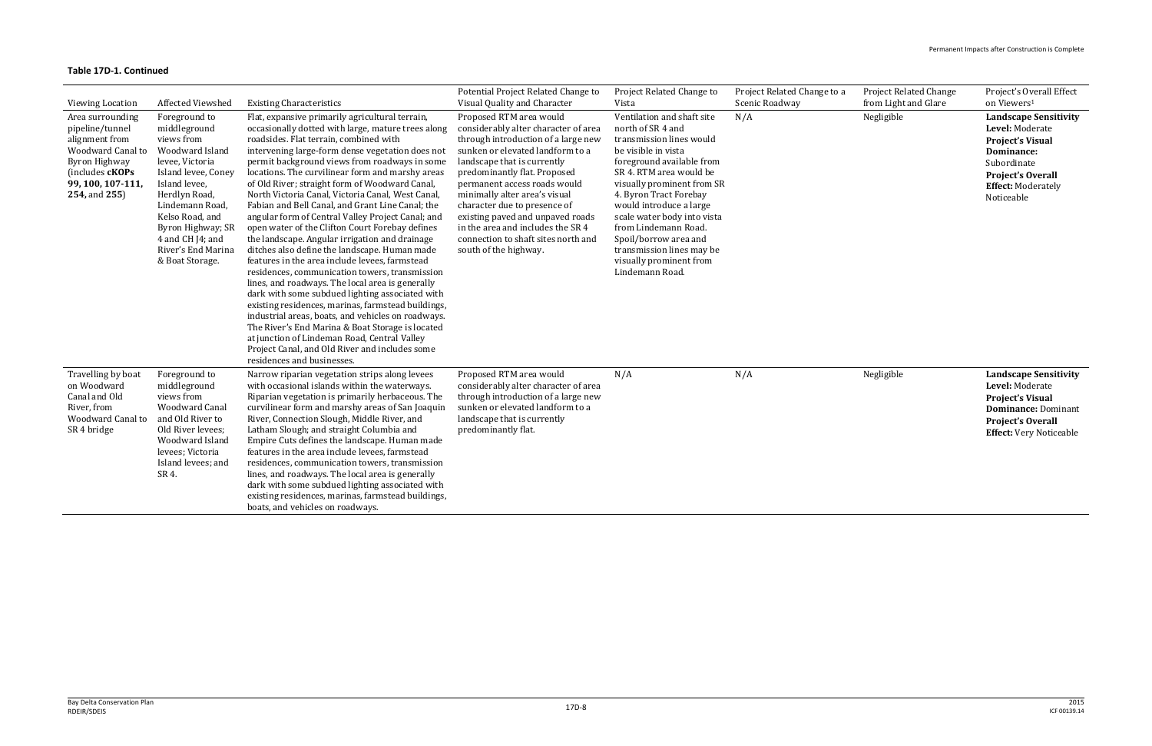| Viewing Location                                                                                                                                     | Affected Viewshed                                                                                                                                                                                                                                                  | <b>Existing Characteristics</b>                                                                                                                                                                                                                                                                                                                                                                                                                                                                                                                                                                                                                                                                                                                                                                                                                                                                                                                                                                                                                                                                                                                                                           | Potential Project Related Change to<br>Visual Quality and Character                                                                                                                                                                                                                                                                                                                                                                                 | Project Related Change to<br>Vista                                                                                                                                                                                                                                                                                                                                                                       | Project Related Change to a<br>Scenic Roadway | <b>Project Related Change</b><br>from Light and Glare | Project's Overall Effect<br>on Viewers <sup>1</sup>                                                                                                                            |
|------------------------------------------------------------------------------------------------------------------------------------------------------|--------------------------------------------------------------------------------------------------------------------------------------------------------------------------------------------------------------------------------------------------------------------|-------------------------------------------------------------------------------------------------------------------------------------------------------------------------------------------------------------------------------------------------------------------------------------------------------------------------------------------------------------------------------------------------------------------------------------------------------------------------------------------------------------------------------------------------------------------------------------------------------------------------------------------------------------------------------------------------------------------------------------------------------------------------------------------------------------------------------------------------------------------------------------------------------------------------------------------------------------------------------------------------------------------------------------------------------------------------------------------------------------------------------------------------------------------------------------------|-----------------------------------------------------------------------------------------------------------------------------------------------------------------------------------------------------------------------------------------------------------------------------------------------------------------------------------------------------------------------------------------------------------------------------------------------------|----------------------------------------------------------------------------------------------------------------------------------------------------------------------------------------------------------------------------------------------------------------------------------------------------------------------------------------------------------------------------------------------------------|-----------------------------------------------|-------------------------------------------------------|--------------------------------------------------------------------------------------------------------------------------------------------------------------------------------|
| Area surrounding<br>pipeline/tunnel<br>alignment from<br>Woodward Canal to<br>Byron Highway<br>(includes cKOPs<br>99, 100, 107-111,<br>254, and 255) | Foreground to<br>middleground<br>views from<br>Woodward Island<br>levee, Victoria<br>Island levee, Coney<br>Island levee,<br>Herdlyn Road,<br>Lindemann Road,<br>Kelso Road, and<br>Byron Highway; SR<br>4 and CH J4; and<br>River's End Marina<br>& Boat Storage. | Flat, expansive primarily agricultural terrain,<br>occasionally dotted with large, mature trees along<br>roadsides. Flat terrain, combined with<br>intervening large-form dense vegetation does not<br>permit background views from roadways in some<br>locations. The curvilinear form and marshy areas<br>of Old River; straight form of Woodward Canal,<br>North Victoria Canal, Victoria Canal, West Canal,<br>Fabian and Bell Canal, and Grant Line Canal; the<br>angular form of Central Valley Project Canal; and<br>open water of the Clifton Court Forebay defines<br>the landscape. Angular irrigation and drainage<br>ditches also define the landscape. Human made<br>features in the area include levees, farmstead<br>residences, communication towers, transmission<br>lines, and roadways. The local area is generally<br>dark with some subdued lighting associated with<br>existing residences, marinas, farmstead buildings,<br>industrial areas, boats, and vehicles on roadways.<br>The River's End Marina & Boat Storage is located<br>at junction of Lindeman Road, Central Valley<br>Project Canal, and Old River and includes some<br>residences and businesses. | Proposed RTM area would<br>considerably alter character of area<br>through introduction of a large new<br>sunken or elevated landform to a<br>landscape that is currently<br>predominantly flat. Proposed<br>permanent access roads would<br>minimally alter area's visual<br>character due to presence of<br>existing paved and unpaved roads<br>in the area and includes the SR 4<br>connection to shaft sites north and<br>south of the highway. | Ventilation and shaft site<br>north of SR 4 and<br>transmission lines would<br>be visible in vista<br>foreground available from<br>SR 4. RTM area would be<br>visually prominent from SR<br>4. Byron Tract Forebay<br>would introduce a large<br>scale water body into vista<br>from Lindemann Road.<br>Spoil/borrow area and<br>transmission lines may be<br>visually prominent from<br>Lindemann Road. | N/A                                           | Negligible                                            | <b>Landscape Sensitivity</b><br>Level: Moderate<br><b>Project's Visual</b><br>Dominance:<br>Subordinate<br><b>Project's Overall</b><br><b>Effect: Moderately</b><br>Noticeable |
| Travelling by boat<br>on Woodward<br>Canal and Old<br>River, from<br>Woodward Canal to<br>SR 4 bridge                                                | Foreground to<br>middleground<br>views from<br>Woodward Canal<br>and Old River to<br>Old River levees;<br>Woodward Island<br>levees; Victoria<br>Island levees; and<br>SR 4.                                                                                       | Narrow riparian vegetation strips along levees<br>with occasional islands within the waterways.<br>Riparian vegetation is primarily herbaceous. The<br>curvilinear form and marshy areas of San Joaquin<br>River, Connection Slough, Middle River, and<br>Latham Slough; and straight Columbia and<br>Empire Cuts defines the landscape. Human made<br>features in the area include levees, farmstead<br>residences, communication towers, transmission<br>lines, and roadways. The local area is generally<br>dark with some subdued lighting associated with<br>existing residences, marinas, farmstead buildings,<br>boats, and vehicles on roadways.                                                                                                                                                                                                                                                                                                                                                                                                                                                                                                                                  | Proposed RTM area would<br>considerably alter character of area<br>through introduction of a large new<br>sunken or elevated landform to a<br>landscape that is currently<br>predominantly flat.                                                                                                                                                                                                                                                    | N/A                                                                                                                                                                                                                                                                                                                                                                                                      | N/A                                           | Negligible                                            | <b>Landscape Sensitivity</b><br>Level: Moderate<br><b>Project's Visual</b><br><b>Dominance: Dominant</b><br><b>Project's Overall</b><br><b>Effect:</b> Very Noticeable         |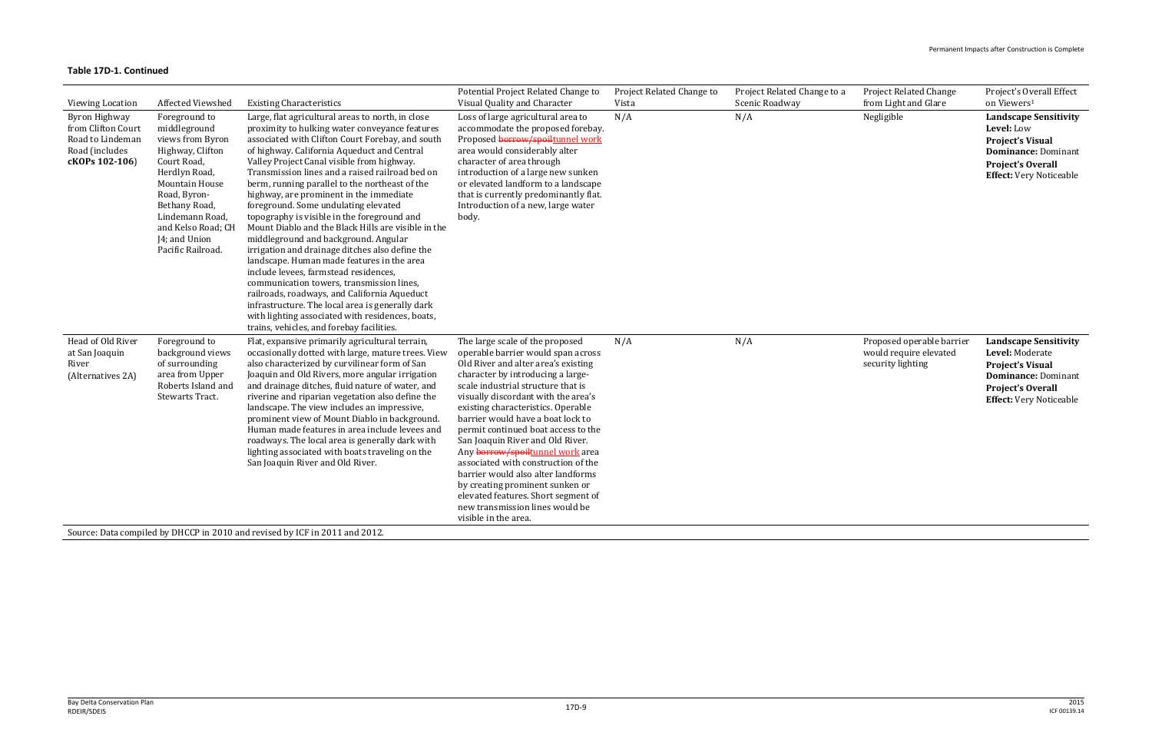| <b>Viewing Location</b>                                                                            | Affected Viewshed                                                                                                                                                                                                                       | <b>Existing Characteristics</b>                                                                                                                                                                                                                                                                                                                                                                                                                                                                                                                                                                                                                                                                                                                                                                                                                                                                                                                                                        | Potential Project Related Change to<br>Visual Quality and Character                                                                                                                                                                                                                                                                                                                                                                                                                                                                                                                                                                        | Project Related Change to<br>Vista | Project Related Change to a<br>Scenic Roadway | <b>Project Related Change</b><br>from Light and Glare                    | Project's Overall Effect<br>on Viewers <sup>1</sup>                                                                                                                    |
|----------------------------------------------------------------------------------------------------|-----------------------------------------------------------------------------------------------------------------------------------------------------------------------------------------------------------------------------------------|----------------------------------------------------------------------------------------------------------------------------------------------------------------------------------------------------------------------------------------------------------------------------------------------------------------------------------------------------------------------------------------------------------------------------------------------------------------------------------------------------------------------------------------------------------------------------------------------------------------------------------------------------------------------------------------------------------------------------------------------------------------------------------------------------------------------------------------------------------------------------------------------------------------------------------------------------------------------------------------|--------------------------------------------------------------------------------------------------------------------------------------------------------------------------------------------------------------------------------------------------------------------------------------------------------------------------------------------------------------------------------------------------------------------------------------------------------------------------------------------------------------------------------------------------------------------------------------------------------------------------------------------|------------------------------------|-----------------------------------------------|--------------------------------------------------------------------------|------------------------------------------------------------------------------------------------------------------------------------------------------------------------|
| <b>Byron Highway</b><br>from Clifton Court<br>Road to Lindeman<br>Road (includes<br>cKOPs 102-106) | Foreground to<br>middleground<br>views from Byron<br>Highway, Clifton<br>Court Road,<br>Herdlyn Road,<br>Mountain House<br>Road, Byron-<br>Bethany Road,<br>Lindemann Road,<br>and Kelso Road; CH<br>J4; and Union<br>Pacific Railroad. | Large, flat agricultural areas to north, in close<br>proximity to hulking water conveyance features<br>associated with Clifton Court Forebay, and south<br>of highway. California Aqueduct and Central<br>Valley Project Canal visible from highway.<br>Transmission lines and a raised railroad bed on<br>berm, running parallel to the northeast of the<br>highway, are prominent in the immediate<br>foreground. Some undulating elevated<br>topography is visible in the foreground and<br>Mount Diablo and the Black Hills are visible in the<br>middleground and background. Angular<br>irrigation and drainage ditches also define the<br>landscape. Human made features in the area<br>include levees, farmstead residences,<br>communication towers, transmission lines,<br>railroads, roadways, and California Aqueduct<br>infrastructure. The local area is generally dark<br>with lighting associated with residences, boats,<br>trains, vehicles, and forebay facilities. | Loss of large agricultural area to<br>accommodate the proposed forebay.<br>Proposed borrow/spoiltunnel work<br>area would considerably alter<br>character of area through<br>introduction of a large new sunken<br>or elevated landform to a landscape<br>that is currently predominantly flat.<br>Introduction of a new, large water<br>body.                                                                                                                                                                                                                                                                                             | N/A                                | N/A                                           | Negligible                                                               | <b>Landscape Sensitivity</b><br>Level: Low<br><b>Project's Visual</b><br><b>Dominance: Dominant</b><br><b>Project's Overall</b><br><b>Effect:</b> Very Noticeable      |
| Head of Old River<br>at San Joaquin<br>River<br>(Alternatives 2A)                                  | Foreground to<br>background views<br>of surrounding<br>area from Upper<br>Roberts Island and<br><b>Stewarts Tract.</b>                                                                                                                  | Flat, expansive primarily agricultural terrain,<br>occasionally dotted with large, mature trees. View<br>also characterized by curvilinear form of San<br>Joaquin and Old Rivers, more angular irrigation<br>and drainage ditches, fluid nature of water, and<br>riverine and riparian vegetation also define the<br>landscape. The view includes an impressive,<br>prominent view of Mount Diablo in background.<br>Human made features in area include levees and<br>roadways. The local area is generally dark with<br>lighting associated with boats traveling on the<br>San Joaquin River and Old River.<br>Source: Data compiled by DHCCP in 2010 and revised by ICF in 2011 and 2012.                                                                                                                                                                                                                                                                                           | The large scale of the proposed<br>operable barrier would span across<br>Old River and alter area's existing<br>character by introducing a large-<br>scale industrial structure that is<br>visually discordant with the area's<br>existing characteristics. Operable<br>barrier would have a boat lock to<br>permit continued boat access to the<br>San Joaquin River and Old River.<br>Any borrow/spoiltunnel work area<br>associated with construction of the<br>barrier would also alter landforms<br>by creating prominent sunken or<br>elevated features. Short segment of<br>new transmission lines would be<br>visible in the area. | N/A                                | N/A                                           | Proposed operable barrier<br>would require elevated<br>security lighting | <b>Landscape Sensitivity</b><br>Level: Moderate<br><b>Project's Visual</b><br><b>Dominance: Dominant</b><br><b>Project's Overall</b><br><b>Effect:</b> Very Noticeable |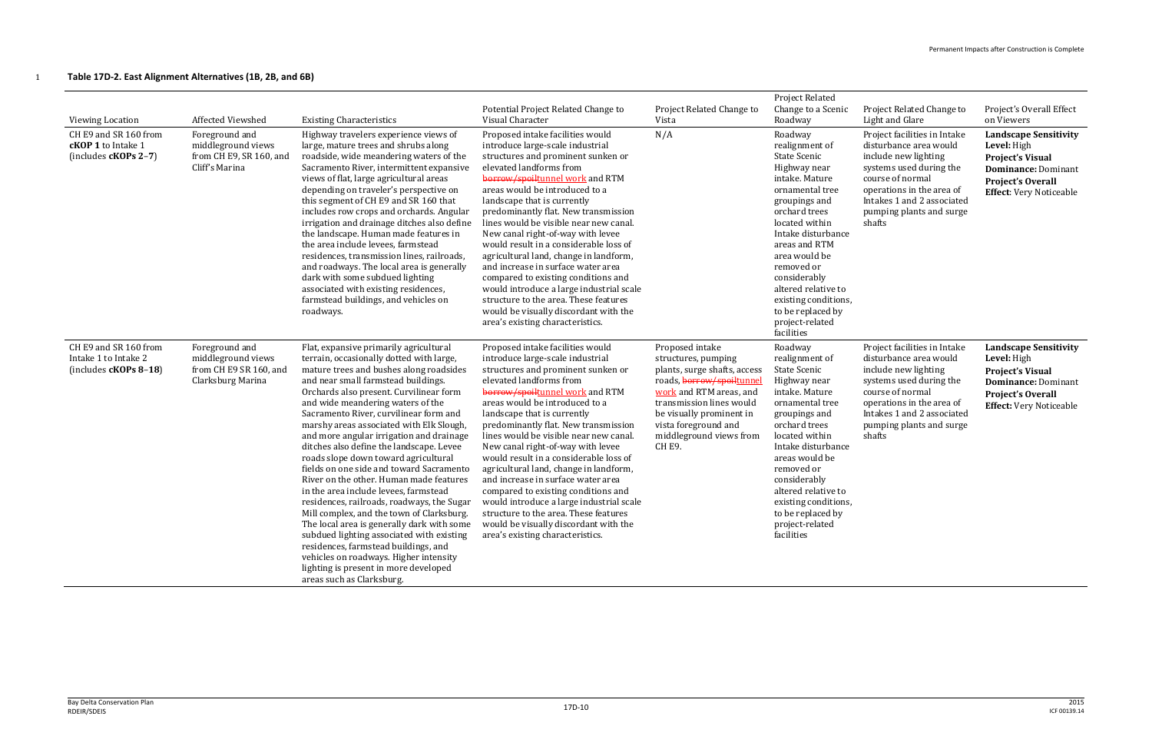### 1 **Table 17D-2. East Alignment Alternatives (1B, 2B, and 6B)**

| <b>Viewing Location</b><br>CH E9 and SR 160 from<br><b>cKOP 1</b> to Intake 1<br>(includes $cKOPs$ 2-7) | Affected Viewshed<br>Foreground and<br>middleground views<br>from CH E9, SR 160, and<br>Cliff's Marina | <b>Existing Characteristics</b><br>Highway travelers experience views of<br>large, mature trees and shrubs along<br>roadside, wide meandering waters of the<br>Sacramento River, intermittent expansive<br>views of flat, large agricultural areas<br>depending on traveler's perspective on<br>this segment of CH E9 and SR 160 that<br>includes row crops and orchards. Angular<br>irrigation and drainage ditches also define<br>the landscape. Human made features in<br>the area include levees, farmstead<br>residences, transmission lines, railroads,<br>and roadways. The local area is generally<br>dark with some subdued lighting<br>associated with existing residences,<br>farmstead buildings, and vehicles on<br>roadways.                                                                                                                                                                                                               | Potential Project Related Change to<br>Visual Character<br>Proposed intake facilities would<br>introduce large-scale industrial<br>structures and prominent sunken or<br>elevated landforms from<br>borrow/spoiltunnel work and RTM<br>areas would be introduced to a<br>landscape that is currently<br>predominantly flat. New transmission<br>lines would be visible near new canal.<br>New canal right-of-way with levee<br>would result in a considerable loss of<br>agricultural land, change in landform,<br>and increase in surface water area<br>compared to existing conditions and<br>would introduce a large industrial scale<br>structure to the area. These features<br>would be visually discordant with the<br>area's existing characteristics. | Project Related Change to<br>Vista<br>N/A                                                                                                                                                                                                          | <b>Project Related</b><br>Change to a Scenic<br>Roadway<br>Roadway<br>realignment of<br><b>State Scenic</b><br>Highway near<br>intake. Mature<br>ornamental tree<br>groupings and<br>orchard trees<br>located within<br>Intake disturbance<br>areas and RTM<br>area would be<br>removed or<br>considerably<br>altered relative to<br>existing conditions,<br>to be replaced by<br>project-related | Project Related Change to<br>Light and Glare<br>Project facilities in Intake<br>disturbance area would<br>include new lighting<br>systems used during the<br>course of normal<br>operations in the area of<br>Intakes 1 and 2 associated<br>pumping plants and surge<br>shafts | Project's Overall Effect<br>on Viewers<br><b>Landscape Sensitivity</b><br>Level: High<br><b>Project's Visual</b><br><b>Dominance: Dominant</b><br><b>Project's Overall</b><br><b>Effect:</b> Very Noticeable |
|---------------------------------------------------------------------------------------------------------|--------------------------------------------------------------------------------------------------------|----------------------------------------------------------------------------------------------------------------------------------------------------------------------------------------------------------------------------------------------------------------------------------------------------------------------------------------------------------------------------------------------------------------------------------------------------------------------------------------------------------------------------------------------------------------------------------------------------------------------------------------------------------------------------------------------------------------------------------------------------------------------------------------------------------------------------------------------------------------------------------------------------------------------------------------------------------|----------------------------------------------------------------------------------------------------------------------------------------------------------------------------------------------------------------------------------------------------------------------------------------------------------------------------------------------------------------------------------------------------------------------------------------------------------------------------------------------------------------------------------------------------------------------------------------------------------------------------------------------------------------------------------------------------------------------------------------------------------------|----------------------------------------------------------------------------------------------------------------------------------------------------------------------------------------------------------------------------------------------------|---------------------------------------------------------------------------------------------------------------------------------------------------------------------------------------------------------------------------------------------------------------------------------------------------------------------------------------------------------------------------------------------------|--------------------------------------------------------------------------------------------------------------------------------------------------------------------------------------------------------------------------------------------------------------------------------|--------------------------------------------------------------------------------------------------------------------------------------------------------------------------------------------------------------|
| CH E9 and SR 160 from<br>Intake 1 to Intake 2<br>(includes $cKOPs 8-18$ )                               | Foreground and<br>middleground views<br>from CH E9 SR 160, and<br>Clarksburg Marina                    | Flat, expansive primarily agricultural<br>terrain, occasionally dotted with large,<br>mature trees and bushes along roadsides<br>and near small farmstead buildings.<br>Orchards also present. Curvilinear form<br>and wide meandering waters of the<br>Sacramento River, curvilinear form and<br>marshy areas associated with Elk Slough,<br>and more angular irrigation and drainage<br>ditches also define the landscape. Levee<br>roads slope down toward agricultural<br>fields on one side and toward Sacramento<br>River on the other. Human made features<br>in the area include levees, farmstead<br>residences, railroads, roadways, the Sugar<br>Mill complex, and the town of Clarksburg.<br>The local area is generally dark with some<br>subdued lighting associated with existing<br>residences, farmstead buildings, and<br>vehicles on roadways. Higher intensity<br>lighting is present in more developed<br>areas such as Clarksburg. | Proposed intake facilities would<br>introduce large-scale industrial<br>structures and prominent sunken or<br>elevated landforms from<br>borrow/spoiltunnel work and RTM<br>areas would be introduced to a<br>landscape that is currently<br>predominantly flat. New transmission<br>lines would be visible near new canal.<br>New canal right-of-way with levee<br>would result in a considerable loss of<br>agricultural land, change in landform,<br>and increase in surface water area<br>compared to existing conditions and<br>would introduce a large industrial scale<br>structure to the area. These features<br>would be visually discordant with the<br>area's existing characteristics.                                                            | Proposed intake<br>structures, pumping<br>plants, surge shafts, access<br>roads, borrow/spoiltunne<br>work and RTM areas, and<br>transmission lines would<br>be visually prominent in<br>vista foreground and<br>middleground views from<br>CH E9. | facilities<br>Roadway<br>realignment of<br><b>State Scenic</b><br>Highway near<br>intake. Mature<br>ornamental tree<br>groupings and<br>orchard trees<br>located within<br>Intake disturbance<br>areas would be<br>removed or<br>considerably<br>altered relative to<br>existing conditions,<br>to be replaced by<br>project-related<br>facilities                                                | Project facilities in Intake<br>disturbance area would<br>include new lighting<br>systems used during the<br>course of normal<br>operations in the area of<br>Intakes 1 and 2 associated<br>pumping plants and surge<br>shafts                                                 | <b>Landscape Sensitivity</b><br>Level: High<br><b>Project's Visual</b><br><b>Dominance: Dominant</b><br><b>Project's Overall</b><br><b>Effect: Very Noticeable</b>                                           |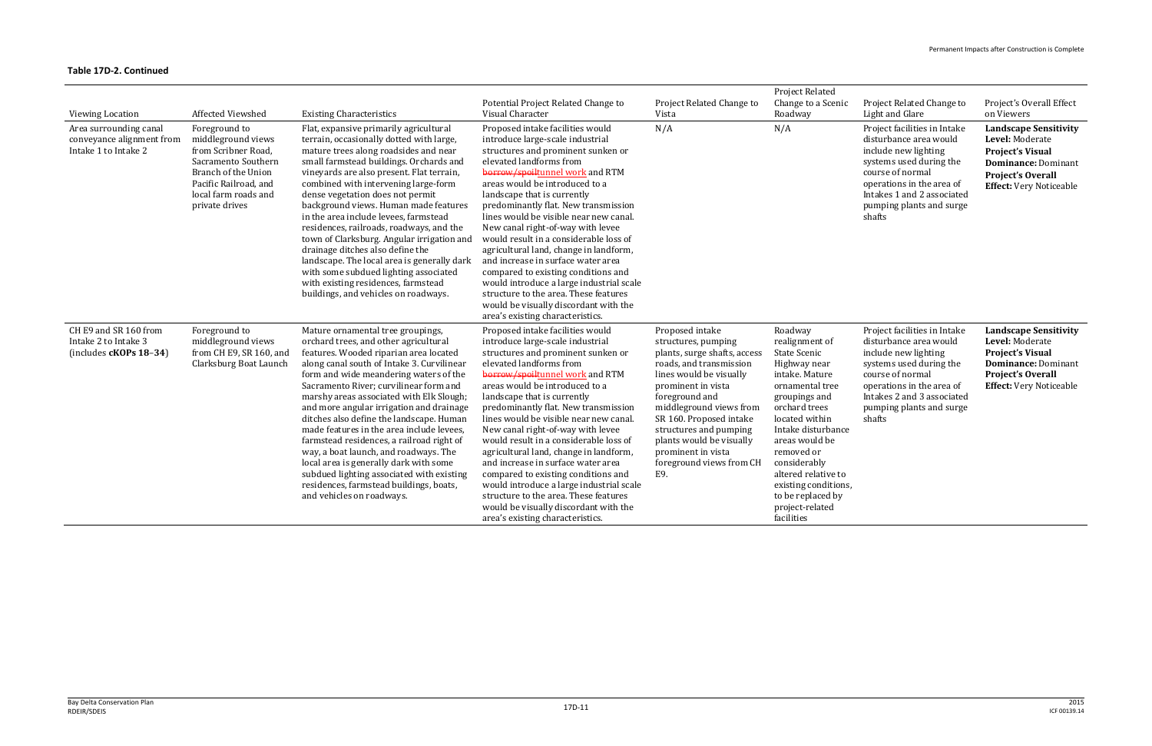| <b>Viewing Location</b><br>Area surrounding canal<br>conveyance alignment from<br>Intake 1 to Intake 2 | Affected Viewshed<br>Foreground to<br>middleground views<br>from Scribner Road,<br>Sacramento Southern<br>Branch of the Union<br>Pacific Railroad, and<br>local farm roads and<br>private drives | <b>Existing Characteristics</b><br>Flat, expansive primarily agricultural<br>terrain, occasionally dotted with large,<br>mature trees along roadsides and near<br>small farmstead buildings. Orchards and<br>vineyards are also present. Flat terrain,<br>combined with intervening large-form<br>dense vegetation does not permit<br>background views. Human made features<br>in the area include levees, farmstead<br>residences, railroads, roadways, and the<br>town of Clarksburg. Angular irrigation and<br>drainage ditches also define the<br>landscape. The local area is generally dark<br>with some subdued lighting associated<br>with existing residences, farmstead<br>buildings, and vehicles on roadways. | Potential Project Related Change to<br>Visual Character<br>Proposed intake facilities would<br>introduce large-scale industrial<br>structures and prominent sunken or<br>elevated landforms from<br>borrow/spoiltunnel work and RTM<br>areas would be introduced to a<br>landscape that is currently<br>predominantly flat. New transmission<br>lines would be visible near new canal.<br>New canal right-of-way with levee<br>would result in a considerable loss of<br>agricultural land, change in landform,<br>and increase in surface water area<br>compared to existing conditions and<br>would introduce a large industrial scale<br>structure to the area. These features<br>would be visually discordant with the              | Project Related Change to<br>Vista<br>N/A                                                                                                                                                                                                                                                                                                 | <b>Project Related</b><br>Change to a Scenic<br>Roadway<br>N/A                                                                                                                                                                                                                                                                | Project Related Change to<br>Light and Glare<br>Project facilities in Intake<br>disturbance area would<br>include new lighting<br>systems used during the<br>course of normal<br>operations in the area of<br>Intakes 1 and 2 associated<br>pumping plants and surge<br>shafts | Project's Overall Effect<br>on Viewers<br><b>Landscape Sensitivity</b><br>Level: Moderate<br><b>Project's Visual</b><br><b>Dominance: Dominant</b><br><b>Project's Overall</b><br><b>Effect:</b> Very Noticeable |
|--------------------------------------------------------------------------------------------------------|--------------------------------------------------------------------------------------------------------------------------------------------------------------------------------------------------|---------------------------------------------------------------------------------------------------------------------------------------------------------------------------------------------------------------------------------------------------------------------------------------------------------------------------------------------------------------------------------------------------------------------------------------------------------------------------------------------------------------------------------------------------------------------------------------------------------------------------------------------------------------------------------------------------------------------------|-----------------------------------------------------------------------------------------------------------------------------------------------------------------------------------------------------------------------------------------------------------------------------------------------------------------------------------------------------------------------------------------------------------------------------------------------------------------------------------------------------------------------------------------------------------------------------------------------------------------------------------------------------------------------------------------------------------------------------------------|-------------------------------------------------------------------------------------------------------------------------------------------------------------------------------------------------------------------------------------------------------------------------------------------------------------------------------------------|-------------------------------------------------------------------------------------------------------------------------------------------------------------------------------------------------------------------------------------------------------------------------------------------------------------------------------|--------------------------------------------------------------------------------------------------------------------------------------------------------------------------------------------------------------------------------------------------------------------------------|------------------------------------------------------------------------------------------------------------------------------------------------------------------------------------------------------------------|
| CH E9 and SR 160 from<br>Intake 2 to Intake 3<br>(includes cKOPs 18-34)                                | Foreground to<br>middleground views<br>from CH E9, SR 160, and<br>Clarksburg Boat Launch                                                                                                         | Mature ornamental tree groupings,<br>orchard trees, and other agricultural<br>features. Wooded riparian area located<br>along canal south of Intake 3. Curvilinear<br>form and wide meandering waters of the<br>Sacramento River; curvilinear form and<br>marshy areas associated with Elk Slough;<br>and more angular irrigation and drainage<br>ditches also define the landscape. Human<br>made features in the area include levees,<br>farmstead residences, a railroad right of<br>way, a boat launch, and roadways. The<br>local area is generally dark with some<br>subdued lighting associated with existing<br>residences, farmstead buildings, boats,<br>and vehicles on roadways.                              | area's existing characteristics.<br>Proposed intake facilities would<br>introduce large-scale industrial<br>structures and prominent sunken or<br>elevated landforms from<br>borrow/spoiltunnel work and RTM<br>areas would be introduced to a<br>landscape that is currently<br>predominantly flat. New transmission<br>lines would be visible near new canal.<br>New canal right-of-way with levee<br>would result in a considerable loss of<br>agricultural land, change in landform,<br>and increase in surface water area<br>compared to existing conditions and<br>would introduce a large industrial scale<br>structure to the area. These features<br>would be visually discordant with the<br>area's existing characteristics. | Proposed intake<br>structures, pumping<br>plants, surge shafts, access<br>roads, and transmission<br>lines would be visually<br>prominent in vista<br>foreground and<br>middleground views from<br>SR 160. Proposed intake<br>structures and pumping<br>plants would be visually<br>prominent in vista<br>foreground views from CH<br>E9. | Roadway<br>realignment of<br>State Scenic<br>Highway near<br>intake. Mature<br>ornamental tree<br>groupings and<br>orchard trees<br>located within<br>Intake disturbance<br>areas would be<br>removed or<br>considerably<br>altered relative to<br>existing conditions,<br>to be replaced by<br>project-related<br>facilities | Project facilities in Intake<br>disturbance area would<br>include new lighting<br>systems used during the<br>course of normal<br>operations in the area of<br>Intakes 2 and 3 associated<br>pumping plants and surge<br>shafts                                                 | <b>Landscape Sensitivity</b><br>Level: Moderate<br><b>Project's Visual</b><br><b>Dominance: Dominant</b><br><b>Project's Overall</b><br><b>Effect:</b> Very Noticeable                                           |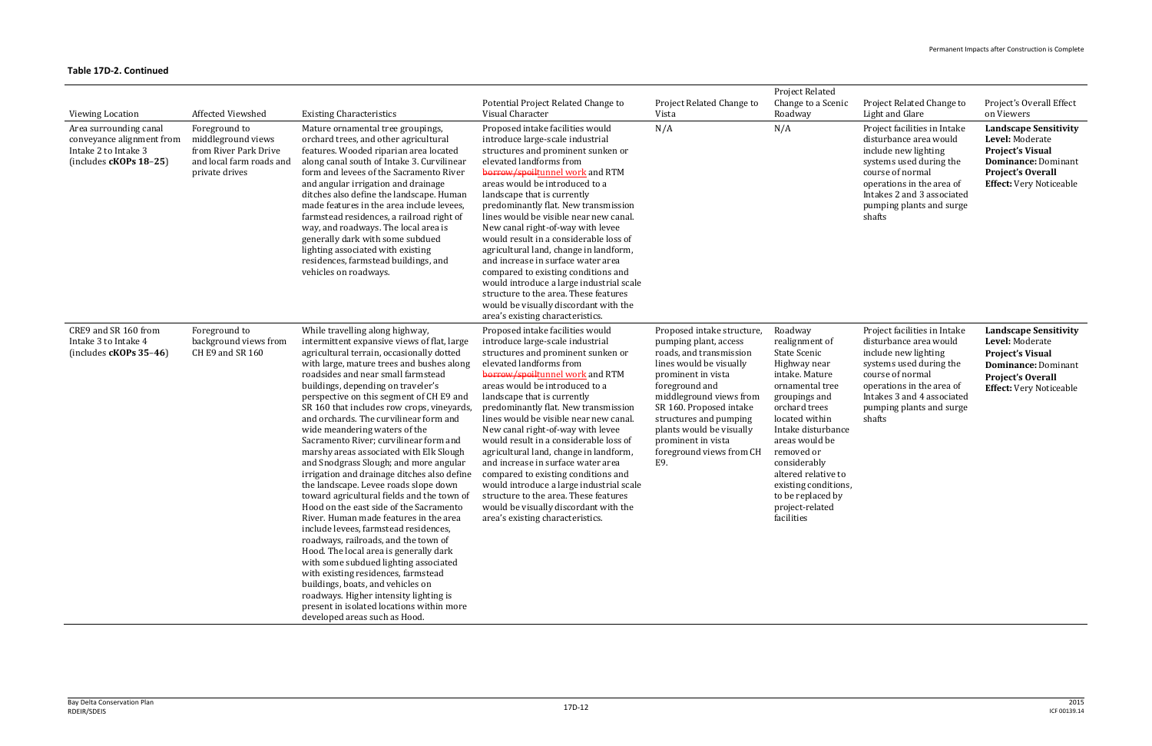| <b>Viewing Location</b>                                                                                 | Affected Viewshed                                                                                          | <b>Existing Characteristics</b>                                                                                                                                                                                                                                                                                                                                                                                                                                                                                                                                                                                                                                                                                                                                                                                                                                                                                                                                                                                                                                                                                                                             | Potential Project Related Change to<br>Visual Character                                                                                                                                                                                                                                                                                                                                                                                                                                                                                                                                                                                                                                             | Project Related Change to<br>Vista                                                                                                                                                                                                                                                                                     | <b>Project Related</b><br>Change to a Scenic<br>Roadway                                                                                                                                                                                                                                                                       | Project Related Change to<br>Light and Glare                                                                                                                                                                                   | Project's Overall Effect<br>on Viewers                                                                                                                                 |
|---------------------------------------------------------------------------------------------------------|------------------------------------------------------------------------------------------------------------|-------------------------------------------------------------------------------------------------------------------------------------------------------------------------------------------------------------------------------------------------------------------------------------------------------------------------------------------------------------------------------------------------------------------------------------------------------------------------------------------------------------------------------------------------------------------------------------------------------------------------------------------------------------------------------------------------------------------------------------------------------------------------------------------------------------------------------------------------------------------------------------------------------------------------------------------------------------------------------------------------------------------------------------------------------------------------------------------------------------------------------------------------------------|-----------------------------------------------------------------------------------------------------------------------------------------------------------------------------------------------------------------------------------------------------------------------------------------------------------------------------------------------------------------------------------------------------------------------------------------------------------------------------------------------------------------------------------------------------------------------------------------------------------------------------------------------------------------------------------------------------|------------------------------------------------------------------------------------------------------------------------------------------------------------------------------------------------------------------------------------------------------------------------------------------------------------------------|-------------------------------------------------------------------------------------------------------------------------------------------------------------------------------------------------------------------------------------------------------------------------------------------------------------------------------|--------------------------------------------------------------------------------------------------------------------------------------------------------------------------------------------------------------------------------|------------------------------------------------------------------------------------------------------------------------------------------------------------------------|
| Area surrounding canal<br>conveyance alignment from<br>Intake 2 to Intake 3<br>(includes $cKOPs$ 18-25) | Foreground to<br>middleground views<br>from River Park Drive<br>and local farm roads and<br>private drives | Mature ornamental tree groupings,<br>orchard trees, and other agricultural<br>features. Wooded riparian area located<br>along canal south of Intake 3. Curvilinear<br>form and levees of the Sacramento River<br>and angular irrigation and drainage<br>ditches also define the landscape. Human<br>made features in the area include levees,<br>farmstead residences, a railroad right of<br>way, and roadways. The local area is<br>generally dark with some subdued<br>lighting associated with existing<br>residences, farmstead buildings, and<br>vehicles on roadways.                                                                                                                                                                                                                                                                                                                                                                                                                                                                                                                                                                                | Proposed intake facilities would<br>introduce large-scale industrial<br>structures and prominent sunken or<br>elevated landforms from<br>borrow/spoiltunnel work and RTM<br>areas would be introduced to a<br>landscape that is currently<br>predominantly flat. New transmission<br>lines would be visible near new canal.<br>New canal right-of-way with levee<br>would result in a considerable loss of<br>agricultural land, change in landform,<br>and increase in surface water area<br>compared to existing conditions and<br>would introduce a large industrial scale<br>structure to the area. These features<br>would be visually discordant with the<br>area's existing characteristics. | N/A                                                                                                                                                                                                                                                                                                                    | N/A                                                                                                                                                                                                                                                                                                                           | Project facilities in Intake<br>disturbance area would<br>include new lighting<br>systems used during the<br>course of normal<br>operations in the area of<br>Intakes 2 and 3 associated<br>pumping plants and surge<br>shafts | <b>Landscape Sensitivity</b><br>Level: Moderate<br><b>Project's Visual</b><br>Dominance: Dominant<br><b>Project's Overall</b><br><b>Effect:</b> Very Noticeable        |
| CRE9 and SR 160 from<br>Intake 3 to Intake 4<br>(includes $cKOPs$ 35-46)                                | Foreground to<br>background views from<br>CH E9 and SR 160                                                 | While travelling along highway,<br>intermittent expansive views of flat, large<br>agricultural terrain, occasionally dotted<br>with large, mature trees and bushes along<br>roadsides and near small farmstead<br>buildings, depending on traveler's<br>perspective on this segment of CH E9 and<br>SR 160 that includes row crops, vineyards,<br>and orchards. The curvilinear form and<br>wide meandering waters of the<br>Sacramento River; curvilinear form and<br>marshy areas associated with Elk Slough<br>and Snodgrass Slough; and more angular<br>irrigation and drainage ditches also define<br>the landscape. Levee roads slope down<br>toward agricultural fields and the town of<br>Hood on the east side of the Sacramento<br>River. Human made features in the area<br>include levees, farmstead residences,<br>roadways, railroads, and the town of<br>Hood. The local area is generally dark<br>with some subdued lighting associated<br>with existing residences, farmstead<br>buildings, boats, and vehicles on<br>roadways. Higher intensity lighting is<br>present in isolated locations within more<br>developed areas such as Hood. | Proposed intake facilities would<br>introduce large-scale industrial<br>structures and prominent sunken or<br>elevated landforms from<br>borrow/spoiltunnel work and RTM<br>areas would be introduced to a<br>landscape that is currently<br>predominantly flat. New transmission<br>lines would be visible near new canal.<br>New canal right-of-way with levee<br>would result in a considerable loss of<br>agricultural land, change in landform,<br>and increase in surface water area<br>compared to existing conditions and<br>would introduce a large industrial scale<br>structure to the area. These features<br>would be visually discordant with the<br>area's existing characteristics. | Proposed intake structure,<br>pumping plant, access<br>roads, and transmission<br>lines would be visually<br>prominent in vista<br>foreground and<br>middleground views from<br>SR 160. Proposed intake<br>structures and pumping<br>plants would be visually<br>prominent in vista<br>foreground views from CH<br>E9. | Roadway<br>realignment of<br>State Scenic<br>Highway near<br>intake. Mature<br>ornamental tree<br>groupings and<br>orchard trees<br>located within<br>Intake disturbance<br>areas would be<br>removed or<br>considerably<br>altered relative to<br>existing conditions,<br>to be replaced by<br>project-related<br>facilities | Project facilities in Intake<br>disturbance area would<br>include new lighting<br>systems used during the<br>course of normal<br>operations in the area of<br>Intakes 3 and 4 associated<br>pumping plants and surge<br>shafts | <b>Landscape Sensitivity</b><br>Level: Moderate<br><b>Project's Visual</b><br><b>Dominance: Dominant</b><br><b>Project's Overall</b><br><b>Effect:</b> Very Noticeable |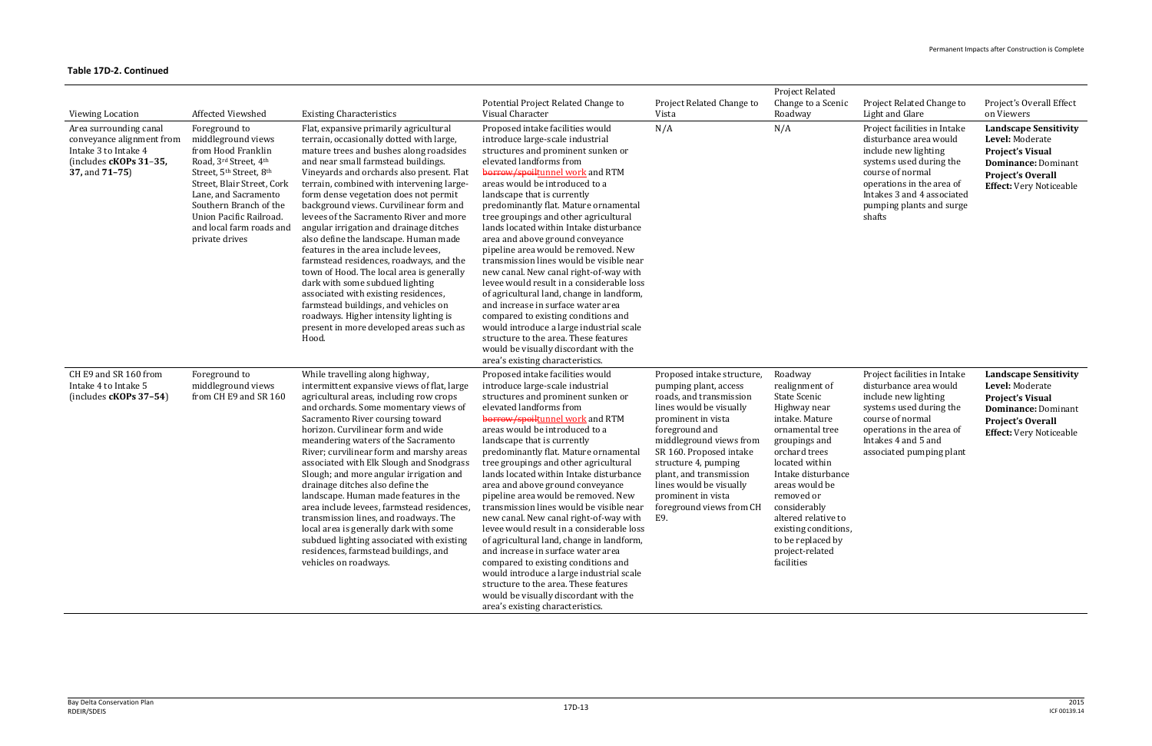| <b>Viewing Location</b><br>Area surrounding canal<br>conveyance alignment from<br>Intake 3 to Intake 4<br>(includes cKOPs 31-35,<br>37, and 71-75) | Affected Viewshed<br>Foreground to<br>middleground views<br>from Hood Franklin<br>Road, 3rd Street, 4th<br>Street, 5 <sup>th</sup> Street, 8 <sup>th</sup><br>Street, Blair Street, Cork<br>Lane, and Sacramento<br>Southern Branch of the<br>Union Pacific Railroad.<br>and local farm roads and<br>private drives | <b>Existing Characteristics</b><br>Flat, expansive primarily agricultural<br>terrain, occasionally dotted with large,<br>mature trees and bushes along roadsides<br>and near small farmstead buildings.<br>Vineyards and orchards also present. Flat<br>terrain, combined with intervening large-<br>form dense vegetation does not permit<br>background views. Curvilinear form and<br>levees of the Sacramento River and more<br>angular irrigation and drainage ditches<br>also define the landscape. Human made<br>features in the area include levees,<br>farmstead residences, roadways, and the<br>town of Hood. The local area is generally<br>dark with some subdued lighting<br>associated with existing residences,<br>farmstead buildings, and vehicles on<br>roadways. Higher intensity lighting is<br>present in more developed areas such as<br>Hood. | Potential Project Related Change to<br>Visual Character<br>Proposed intake facilities would<br>introduce large-scale industrial<br>structures and prominent sunken or<br>elevated landforms from<br>borrow/spoiltunnel work and RTM<br>areas would be introduced to a<br>landscape that is currently<br>predominantly flat. Mature ornamental<br>tree groupings and other agricultural<br>lands located within Intake disturbance<br>area and above ground conveyance<br>pipeline area would be removed. New<br>transmission lines would be visible near<br>new canal. New canal right-of-way with<br>levee would result in a considerable loss<br>of agricultural land, change in landform,<br>and increase in surface water area<br>compared to existing conditions and<br>would introduce a large industrial scale<br>structure to the area. These features<br>would be visually discordant with the<br>area's existing characteristics. | Project Related Change to<br>Vista<br>N/A                                                                                                                                                                                                                                                                          | Project Related<br>Change to a Scenic<br>Roadway<br>N/A                                                                                                                                                                                                                                                       | Project Related Change to<br>Light and Glare<br>Project facilities in Intake<br>disturbance area would<br>include new lighting<br>systems used during the<br>course of normal<br>operations in the area of<br>Intakes 3 and 4 associated<br>pumping plants and surge<br>shafts | Project's Overall Effect<br>on Viewers<br><b>Landscape Sensitivity</b><br>Level: Moderate<br><b>Project's Visual</b><br><b>Dominance: Dominant</b><br><b>Project's Overall</b><br><b>Effect:</b> Very Noticeable |
|----------------------------------------------------------------------------------------------------------------------------------------------------|---------------------------------------------------------------------------------------------------------------------------------------------------------------------------------------------------------------------------------------------------------------------------------------------------------------------|----------------------------------------------------------------------------------------------------------------------------------------------------------------------------------------------------------------------------------------------------------------------------------------------------------------------------------------------------------------------------------------------------------------------------------------------------------------------------------------------------------------------------------------------------------------------------------------------------------------------------------------------------------------------------------------------------------------------------------------------------------------------------------------------------------------------------------------------------------------------|---------------------------------------------------------------------------------------------------------------------------------------------------------------------------------------------------------------------------------------------------------------------------------------------------------------------------------------------------------------------------------------------------------------------------------------------------------------------------------------------------------------------------------------------------------------------------------------------------------------------------------------------------------------------------------------------------------------------------------------------------------------------------------------------------------------------------------------------------------------------------------------------------------------------------------------------|--------------------------------------------------------------------------------------------------------------------------------------------------------------------------------------------------------------------------------------------------------------------------------------------------------------------|---------------------------------------------------------------------------------------------------------------------------------------------------------------------------------------------------------------------------------------------------------------------------------------------------------------|--------------------------------------------------------------------------------------------------------------------------------------------------------------------------------------------------------------------------------------------------------------------------------|------------------------------------------------------------------------------------------------------------------------------------------------------------------------------------------------------------------|
| CH E9 and SR 160 from<br>Intake 4 to Intake 5<br>$(includes cKOPs 37-54)$                                                                          | Foreground to<br>middleground views<br>from CH E9 and SR 160                                                                                                                                                                                                                                                        | While travelling along highway,<br>intermittent expansive views of flat, large<br>agricultural areas, including row crops<br>and orchards. Some momentary views of<br>Sacramento River coursing toward<br>horizon. Curvilinear form and wide<br>meandering waters of the Sacramento<br>River; curvilinear form and marshy areas<br>associated with Elk Slough and Snodgrass<br>Slough; and more angular irrigation and<br>drainage ditches also define the<br>landscape. Human made features in the<br>area include levees, farmstead residences,<br>transmission lines, and roadways. The<br>local area is generally dark with some<br>subdued lighting associated with existing<br>residences, farmstead buildings, and<br>vehicles on roadways.                                                                                                                   | Proposed intake facilities would<br>introduce large-scale industrial<br>structures and prominent sunken or<br>elevated landforms from<br>borrow/spoiltunnel work and RTM<br>areas would be introduced to a<br>landscape that is currently<br>predominantly flat. Mature ornamental<br>tree groupings and other agricultural<br>lands located within Intake disturbance<br>area and above ground conveyance<br>pipeline area would be removed. New<br>transmission lines would be visible near foreground views from CH considerably<br>new canal. New canal right-of-way with<br>levee would result in a considerable loss<br>of agricultural land, change in landform,<br>and increase in surface water area<br>compared to existing conditions and<br>would introduce a large industrial scale<br>structure to the area. These features<br>would be visually discordant with the<br>area's existing characteristics.                      | Proposed intake structure,<br>pumping plant, access<br>roads, and transmission<br>lines would be visually<br>prominent in vista<br>foreground and<br>middleground views from<br>SR 160. Proposed intake<br>structure 4, pumping<br>plant, and transmission<br>lines would be visually<br>prominent in vista<br>E9. | Roadway<br>realignment of<br>State Scenic<br>Highway near<br>intake. Mature<br>ornamental tree<br>groupings and<br>orchard trees<br>located within<br>Intake disturbance<br>areas would be<br>removed or<br>altered relative to<br>existing conditions,<br>to be replaced by<br>project-related<br>facilities | Project facilities in Intake<br>disturbance area would<br>include new lighting<br>systems used during the<br>course of normal<br>operations in the area of<br>Intakes 4 and 5 and<br>associated pumping plant                                                                  | <b>Landscape Sensitivity</b><br>Level: Moderate<br><b>Project's Visual</b><br><b>Dominance: Dominant</b><br><b>Project's Overall</b><br><b>Effect:</b> Very Noticeable                                           |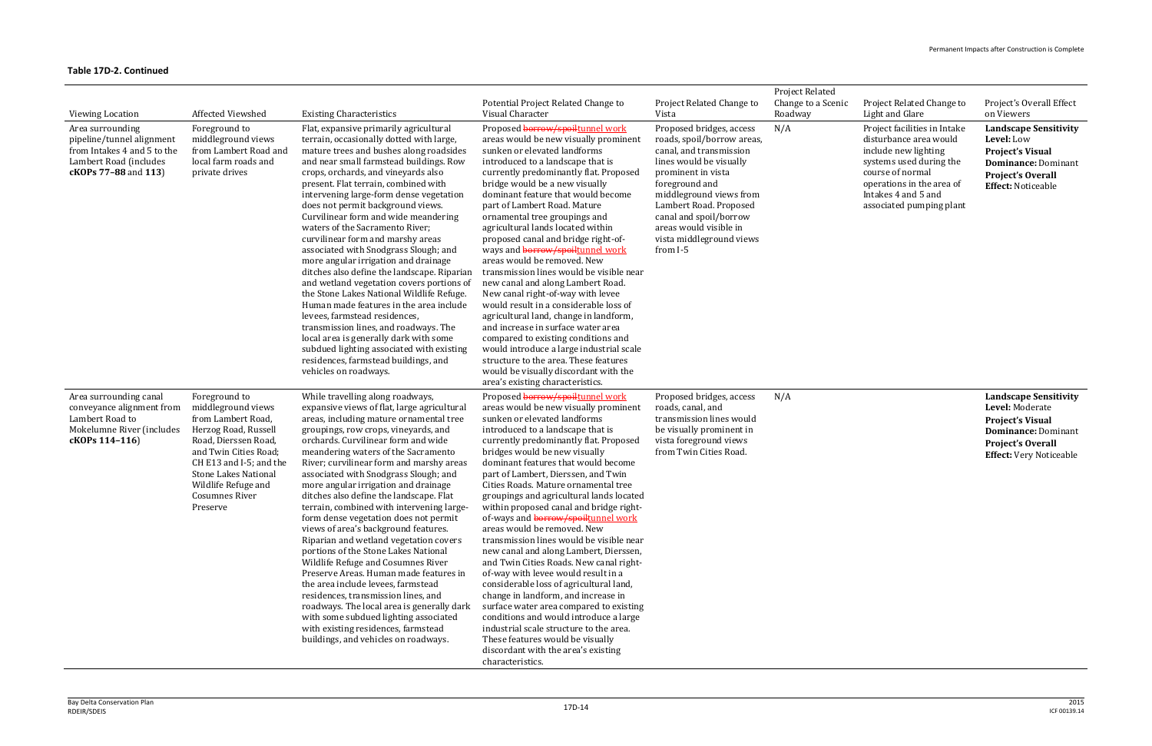| <b>Viewing Location</b>                                                                                                        | Affected Viewshed                                                                                                                                                                                                                                        | <b>Existing Characteristics</b>                                                                                                                                                                                                                                                                                                                                                                                                                                                                                                                                                                                                                                                                                                                                                                                                                                                                                                                                             | Potential Project Related Change to<br>Visual Character                                                                                                                                                                                                                                                                                                                                                                                                                                                                                                                                                                                                                                                                                                                                                                                                                                                                                                                                               | Project Related Change to<br>Vista                                                                                                                                                                                                                                                                    | Project Related<br>Change to a Scenic<br>Roadway | Project Related Change to<br>Light and Glare                                                                                                                                                                  | Project's Overall Effect<br>on Viewers                                                                                                                          |
|--------------------------------------------------------------------------------------------------------------------------------|----------------------------------------------------------------------------------------------------------------------------------------------------------------------------------------------------------------------------------------------------------|-----------------------------------------------------------------------------------------------------------------------------------------------------------------------------------------------------------------------------------------------------------------------------------------------------------------------------------------------------------------------------------------------------------------------------------------------------------------------------------------------------------------------------------------------------------------------------------------------------------------------------------------------------------------------------------------------------------------------------------------------------------------------------------------------------------------------------------------------------------------------------------------------------------------------------------------------------------------------------|-------------------------------------------------------------------------------------------------------------------------------------------------------------------------------------------------------------------------------------------------------------------------------------------------------------------------------------------------------------------------------------------------------------------------------------------------------------------------------------------------------------------------------------------------------------------------------------------------------------------------------------------------------------------------------------------------------------------------------------------------------------------------------------------------------------------------------------------------------------------------------------------------------------------------------------------------------------------------------------------------------|-------------------------------------------------------------------------------------------------------------------------------------------------------------------------------------------------------------------------------------------------------------------------------------------------------|--------------------------------------------------|---------------------------------------------------------------------------------------------------------------------------------------------------------------------------------------------------------------|-----------------------------------------------------------------------------------------------------------------------------------------------------------------|
| Area surrounding<br>pipeline/tunnel alignment<br>from Intakes 4 and 5 to the<br>Lambert Road (includes<br>cKOPs 77-88 and 113) | Foreground to<br>middleground views<br>from Lambert Road and<br>local farm roads and<br>private drives                                                                                                                                                   | Flat, expansive primarily agricultural<br>terrain, occasionally dotted with large,<br>mature trees and bushes along roadsides<br>and near small farmstead buildings. Row<br>crops, orchards, and vineyards also<br>present. Flat terrain, combined with<br>intervening large-form dense vegetation<br>does not permit background views.<br>Curvilinear form and wide meandering<br>waters of the Sacramento River;<br>curvilinear form and marshy areas<br>associated with Snodgrass Slough; and<br>more angular irrigation and drainage<br>ditches also define the landscape. Riparian<br>and wetland vegetation covers portions of<br>the Stone Lakes National Wildlife Refuge.<br>Human made features in the area include<br>levees, farmstead residences,<br>transmission lines, and roadways. The<br>local area is generally dark with some<br>subdued lighting associated with existing<br>residences, farmstead buildings, and<br>vehicles on roadways.              | Proposed borrow/spoiltunnel work<br>areas would be new visually prominent<br>sunken or elevated landforms<br>introduced to a landscape that is<br>currently predominantly flat. Proposed<br>bridge would be a new visually<br>dominant feature that would become<br>part of Lambert Road. Mature<br>ornamental tree groupings and<br>agricultural lands located within<br>proposed canal and bridge right-of-<br>ways and <b>borrow/spoiltunnel work</b><br>areas would be removed. New<br>transmission lines would be visible near<br>new canal and along Lambert Road.<br>New canal right-of-way with levee<br>would result in a considerable loss of<br>agricultural land, change in landform,<br>and increase in surface water area<br>compared to existing conditions and<br>would introduce a large industrial scale<br>structure to the area. These features<br>would be visually discordant with the<br>area's existing characteristics.                                                      | Proposed bridges, access<br>roads, spoil/borrow areas,<br>canal, and transmission<br>lines would be visually<br>prominent in vista<br>foreground and<br>middleground views from<br>Lambert Road. Proposed<br>canal and spoil/borrow<br>areas would visible in<br>vista middleground views<br>from I-5 | N/A                                              | Project facilities in Intake<br>disturbance area would<br>include new lighting<br>systems used during the<br>course of normal<br>operations in the area of<br>Intakes 4 and 5 and<br>associated pumping plant | <b>Landscape Sensitivity</b><br>Level: Low<br><b>Project's Visual</b><br><b>Dominance: Dominant</b><br><b>Project's Overall</b><br><b>Effect: Noticeable</b>    |
| Area surrounding canal<br>conveyance alignment from<br>Lambert Road to<br>Mokelumne River (includes<br>cKOPs 114-116)          | Foreground to<br>middleground views<br>from Lambert Road,<br>Herzog Road, Russell<br>Road, Dierssen Road,<br>and Twin Cities Road;<br>CH E13 and I-5; and the<br><b>Stone Lakes National</b><br>Wildlife Refuge and<br><b>Cosumnes River</b><br>Preserve | While travelling along roadways,<br>expansive views of flat, large agricultural<br>areas, including mature ornamental tree<br>groupings, row crops, vineyards, and<br>orchards. Curvilinear form and wide<br>meandering waters of the Sacramento<br>River; curvilinear form and marshy areas<br>associated with Snodgrass Slough; and<br>more angular irrigation and drainage<br>ditches also define the landscape. Flat<br>terrain, combined with intervening large-<br>form dense vegetation does not permit<br>views of area's background features.<br>Riparian and wetland vegetation covers<br>portions of the Stone Lakes National<br>Wildlife Refuge and Cosumnes River<br>Preserve Areas. Human made features in<br>the area include levees, farmstead<br>residences, transmission lines, and<br>roadways. The local area is generally dark<br>with some subdued lighting associated<br>with existing residences, farmstead<br>buildings, and vehicles on roadways. | Proposed borrow/spoiltunnel work<br>areas would be new visually prominent<br>sunken or elevated landforms<br>introduced to a landscape that is<br>currently predominantly flat. Proposed<br>bridges would be new visually<br>dominant features that would become<br>part of Lambert, Dierssen, and Twin<br>Cities Roads. Mature ornamental tree<br>groupings and agricultural lands located<br>within proposed canal and bridge right-<br>of-ways and borrow/spoiltunnel work<br>areas would be removed. New<br>transmission lines would be visible near<br>new canal and along Lambert, Dierssen,<br>and Twin Cities Roads. New canal right-<br>of-way with levee would result in a<br>considerable loss of agricultural land,<br>change in landform, and increase in<br>surface water area compared to existing<br>conditions and would introduce a large<br>industrial scale structure to the area.<br>These features would be visually<br>discordant with the area's existing<br>characteristics. | Proposed bridges, access<br>roads, canal, and<br>transmission lines would<br>be visually prominent in<br>vista foreground views<br>from Twin Cities Road.                                                                                                                                             | N/A                                              |                                                                                                                                                                                                               | <b>Landscape Sensitivity</b><br>Level: Moderate<br><b>Project's Visual</b><br>Dominance: Dominant<br><b>Project's Overall</b><br><b>Effect:</b> Very Noticeable |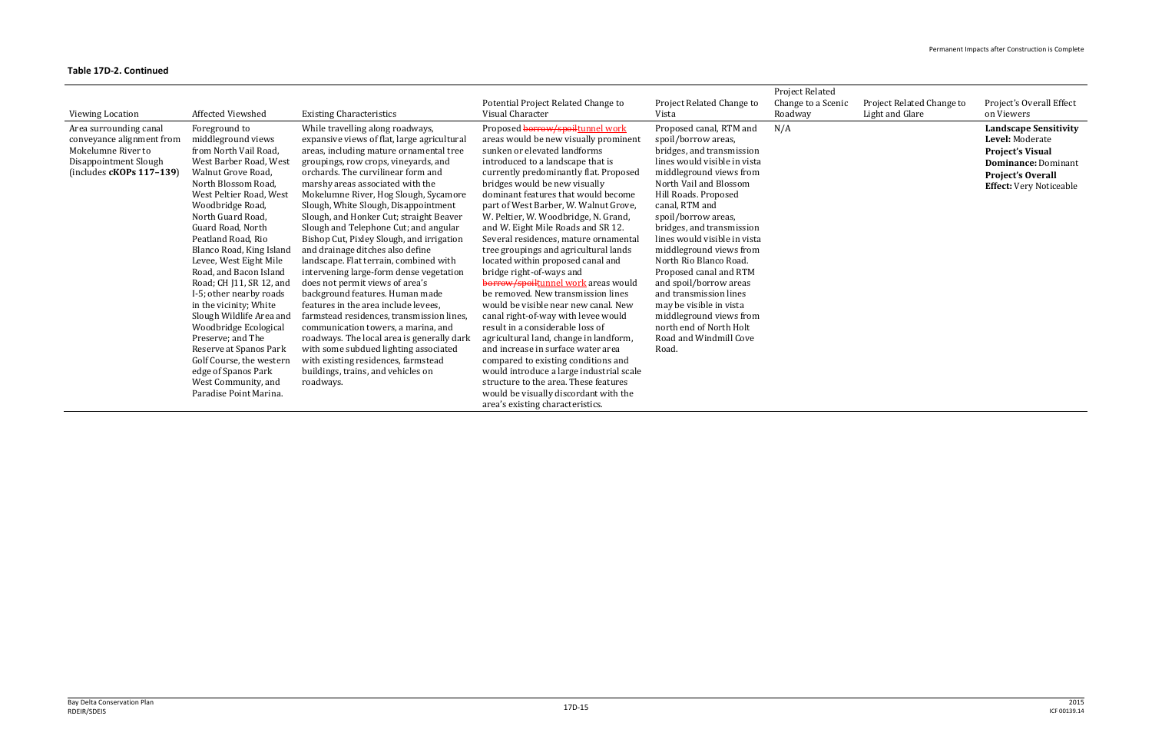| Viewing Location                                                                                                                 | Affected Viewshed                                                                                                                                                                                                                                                                                                                                                                                                                                                                                                                                                                                                           | <b>Existing Characteristics</b>                                                                                                                                                                                                                                                                                                                                                                                                                                                                                                                                                                                                                                                                                                                                                                                                                                                                                                                                            | Potential Project Related Change to<br>Visual Character                                                                                                                                                                                                                                                                                                                                                                                                                                                                                                                                                                                                                                                                                                                                                                                                                                                                                                                                                                             | Project Related Change to<br>Vista                                                                                                                                                                                                                                                                                                                                                                                                                                                                                                                    | <b>Project Related</b><br>Change to a Scenic<br>Roadway | Project Related Change to<br>Light and Glare | Project's Overall Effect<br>on Viewers                                                                                                                                 |
|----------------------------------------------------------------------------------------------------------------------------------|-----------------------------------------------------------------------------------------------------------------------------------------------------------------------------------------------------------------------------------------------------------------------------------------------------------------------------------------------------------------------------------------------------------------------------------------------------------------------------------------------------------------------------------------------------------------------------------------------------------------------------|----------------------------------------------------------------------------------------------------------------------------------------------------------------------------------------------------------------------------------------------------------------------------------------------------------------------------------------------------------------------------------------------------------------------------------------------------------------------------------------------------------------------------------------------------------------------------------------------------------------------------------------------------------------------------------------------------------------------------------------------------------------------------------------------------------------------------------------------------------------------------------------------------------------------------------------------------------------------------|-------------------------------------------------------------------------------------------------------------------------------------------------------------------------------------------------------------------------------------------------------------------------------------------------------------------------------------------------------------------------------------------------------------------------------------------------------------------------------------------------------------------------------------------------------------------------------------------------------------------------------------------------------------------------------------------------------------------------------------------------------------------------------------------------------------------------------------------------------------------------------------------------------------------------------------------------------------------------------------------------------------------------------------|-------------------------------------------------------------------------------------------------------------------------------------------------------------------------------------------------------------------------------------------------------------------------------------------------------------------------------------------------------------------------------------------------------------------------------------------------------------------------------------------------------------------------------------------------------|---------------------------------------------------------|----------------------------------------------|------------------------------------------------------------------------------------------------------------------------------------------------------------------------|
| Area surrounding canal<br>conveyance alignment from<br>Mokelumne River to<br>Disappointment Slough<br>$(includes cKOPs 117-139)$ | Foreground to<br>middleground views<br>from North Vail Road,<br>West Barber Road, West<br>Walnut Grove Road,<br>North Blossom Road,<br>West Peltier Road, West<br>Woodbridge Road,<br>North Guard Road,<br>Guard Road, North<br>Peatland Road, Rio<br>Blanco Road, King Island<br>Levee, West Eight Mile<br>Road, and Bacon Island<br>Road; CH J11, SR 12, and<br>I-5; other nearby roads<br>in the vicinity; White<br>Slough Wildlife Area and<br>Woodbridge Ecological<br>Preserve; and The<br>Reserve at Spanos Park<br>Golf Course, the western<br>edge of Spanos Park<br>West Community, and<br>Paradise Point Marina. | While travelling along roadways,<br>expansive views of flat, large agricultural<br>areas, including mature ornamental tree<br>groupings, row crops, vineyards, and<br>orchards. The curvilinear form and<br>marshy areas associated with the<br>Mokelumne River, Hog Slough, Sycamore<br>Slough, White Slough, Disappointment<br>Slough, and Honker Cut; straight Beaver<br>Slough and Telephone Cut; and angular<br>Bishop Cut, Pixley Slough, and irrigation<br>and drainage ditches also define<br>landscape. Flat terrain, combined with<br>intervening large-form dense vegetation<br>does not permit views of area's<br>background features. Human made<br>features in the area include levees,<br>farmstead residences, transmission lines,<br>communication towers, a marina, and<br>roadways. The local area is generally dark<br>with some subdued lighting associated<br>with existing residences, farmstead<br>buildings, trains, and vehicles on<br>roadways. | Proposed borrow/spoiltunnel work<br>areas would be new visually prominent<br>sunken or elevated landforms<br>introduced to a landscape that is<br>currently predominantly flat. Proposed<br>bridges would be new visually<br>dominant features that would become<br>part of West Barber, W. Walnut Grove,<br>W. Peltier, W. Woodbridge, N. Grand,<br>and W. Eight Mile Roads and SR 12.<br>Several residences, mature ornamental<br>tree groupings and agricultural lands<br>located within proposed canal and<br>bridge right-of-ways and<br>borrow/spoiltunnel work areas would<br>be removed. New transmission lines<br>would be visible near new canal. New<br>canal right-of-way with levee would<br>result in a considerable loss of<br>agricultural land, change in landform,<br>and increase in surface water area<br>compared to existing conditions and<br>would introduce a large industrial scale<br>structure to the area. These features<br>would be visually discordant with the<br>area's existing characteristics. | Proposed canal, RTM and<br>spoil/borrow areas,<br>bridges, and transmission<br>lines would visible in vista<br>middleground views from<br>North Vail and Blossom<br>Hill Roads. Proposed<br>canal, RTM and<br>spoil/borrow areas,<br>bridges, and transmission<br>lines would visible in vista<br>middleground views from<br>North Rio Blanco Road.<br>Proposed canal and RTM<br>and spoil/borrow areas<br>and transmission lines<br>may be visible in vista<br>middleground views from<br>north end of North Holt<br>Road and Windmill Cove<br>Road. | N/A                                                     |                                              | <b>Landscape Sensitivity</b><br>Level: Moderate<br><b>Project's Visual</b><br><b>Dominance: Dominant</b><br><b>Project's Overall</b><br><b>Effect:</b> Very Noticeable |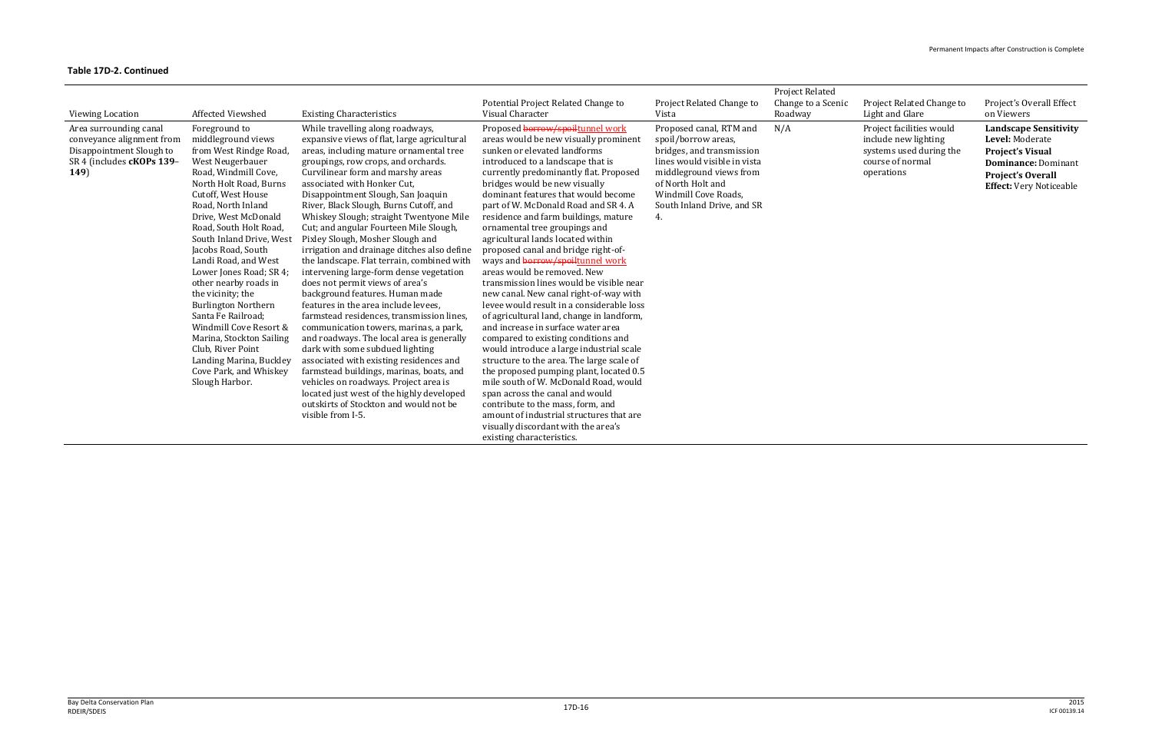|                           |                                                |                                                                                   |                                                                    |                              | <b>Project Related</b> |                           |                                |
|---------------------------|------------------------------------------------|-----------------------------------------------------------------------------------|--------------------------------------------------------------------|------------------------------|------------------------|---------------------------|--------------------------------|
|                           |                                                |                                                                                   | Potential Project Related Change to                                | Project Related Change to    | Change to a Scenic     | Project Related Change to | Project's Overall Effect       |
| Viewing Location          | Affected Viewshed                              | <b>Existing Characteristics</b>                                                   | Visual Character                                                   | Vista                        | Roadway                | Light and Glare           | on Viewers                     |
| Area surrounding canal    | Foreground to                                  | While travelling along roadways,                                                  | Proposed borrow/spoiltunnel work                                   | Proposed canal, RTM and      | N/A                    | Project facilities would  | <b>Landscape Sensitivity</b>   |
| conveyance alignment from | middleground views                             | expansive views of flat, large agricultural                                       | areas would be new visually prominent                              | spoil/borrow areas,          |                        | include new lighting      | Level: Moderate                |
| Disappointment Slough to  | from West Rindge Road,                         | areas, including mature ornamental tree                                           | sunken or elevated landforms                                       | bridges, and transmission    |                        | systems used during the   | <b>Project's Visual</b>        |
| SR 4 (includes cKOPs 139- | West Neugerbauer                               | groupings, row crops, and orchards.                                               | introduced to a landscape that is                                  | lines would visible in vista |                        | course of normal          | <b>Dominance: Dominant</b>     |
| 149)                      | Road, Windmill Cove,                           | Curvilinear form and marshy areas                                                 | currently predominantly flat. Proposed                             | middleground views from      |                        | operations                | <b>Project's Overall</b>       |
|                           | North Holt Road, Burns                         | associated with Honker Cut.                                                       | bridges would be new visually                                      | of North Holt and            |                        |                           | <b>Effect:</b> Very Noticeable |
|                           | Cutoff, West House                             | Disappointment Slough, San Joaquin                                                | dominant features that would become                                | Windmill Cove Roads,         |                        |                           |                                |
|                           | Road, North Inland                             | River, Black Slough, Burns Cutoff, and                                            | part of W. McDonald Road and SR 4. A                               | South Inland Drive, and SR   |                        |                           |                                |
|                           | Drive, West McDonald<br>Road, South Holt Road, | Whiskey Slough; straight Twentyone Mile<br>Cut; and angular Fourteen Mile Slough, | residence and farm buildings, mature                               |                              |                        |                           |                                |
|                           | South Inland Drive, West                       | Pixley Slough, Mosher Slough and                                                  | ornamental tree groupings and<br>agricultural lands located within |                              |                        |                           |                                |
|                           | Jacobs Road, South                             | irrigation and drainage ditches also define                                       | proposed canal and bridge right-of-                                |                              |                        |                           |                                |
|                           | Landi Road, and West                           | the landscape. Flat terrain, combined with                                        | ways and <b>borrow/spoiltunnel</b> work                            |                              |                        |                           |                                |
|                           | Lower Jones Road; SR 4;                        | intervening large-form dense vegetation                                           | areas would be removed. New                                        |                              |                        |                           |                                |
|                           | other nearby roads in                          | does not permit views of area's                                                   | transmission lines would be visible near                           |                              |                        |                           |                                |
|                           | the vicinity; the                              | background features. Human made                                                   | new canal. New canal right-of-way with                             |                              |                        |                           |                                |
|                           | <b>Burlington Northern</b>                     | features in the area include levees.                                              | levee would result in a considerable loss                          |                              |                        |                           |                                |
|                           | Santa Fe Railroad;                             | farmstead residences, transmission lines,                                         | of agricultural land, change in landform,                          |                              |                        |                           |                                |
|                           | Windmill Cove Resort &                         | communication towers, marinas, a park,                                            | and increase in surface water area                                 |                              |                        |                           |                                |
|                           | Marina, Stockton Sailing                       | and roadways. The local area is generally                                         | compared to existing conditions and                                |                              |                        |                           |                                |
|                           | Club, River Point                              | dark with some subdued lighting                                                   | would introduce a large industrial scale                           |                              |                        |                           |                                |
|                           | Landing Marina, Buckley                        | associated with existing residences and                                           | structure to the area. The large scale of                          |                              |                        |                           |                                |
|                           | Cove Park, and Whiskey                         | farmstead buildings, marinas, boats, and                                          | the proposed pumping plant, located 0.5                            |                              |                        |                           |                                |
|                           | Slough Harbor.                                 | vehicles on roadways. Project area is                                             | mile south of W. McDonald Road, would                              |                              |                        |                           |                                |
|                           |                                                | located just west of the highly developed                                         | span across the canal and would                                    |                              |                        |                           |                                |
|                           |                                                | outskirts of Stockton and would not be                                            | contribute to the mass, form, and                                  |                              |                        |                           |                                |
|                           |                                                | visible from I-5.                                                                 | amount of industrial structures that are                           |                              |                        |                           |                                |
|                           |                                                |                                                                                   | visually discordant with the area's                                |                              |                        |                           |                                |
|                           |                                                |                                                                                   | existing characteristics.                                          |                              |                        |                           |                                |
|                           |                                                |                                                                                   |                                                                    |                              |                        |                           |                                |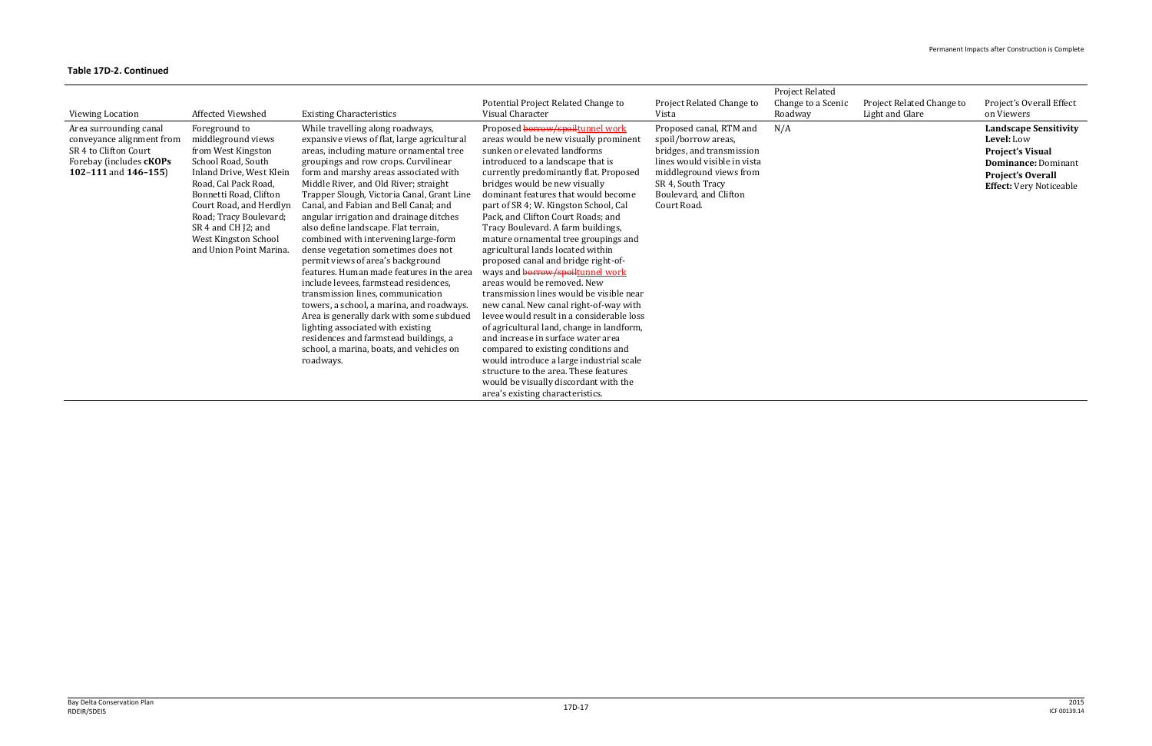| Viewing Location                                                                                                                          | <b>Affected Viewshed</b>                                                                                                                                                                                                                                                                     | <b>Existing Characteristics</b>                                                                                                                                                                                                                                                                                                                                                                                                                                                                                                                                                                                                                                                                                                                                                                                                                                                                               | Potential Project Related Change to<br>Visual Character                                                                                                                                                                                                                                                                                                                                                                                                                                                                                                                                                                                                                                                                                                                                                                                                                                                                                                                                                     | Project Related Change to<br>Vista                                                                                                                                                                   | <b>Project Related</b><br>Change to a Scenic<br>Roadway | Project Related Change to<br>Light and Glare | Project's Overall Effect<br>on Viewers                                                                                                                            |
|-------------------------------------------------------------------------------------------------------------------------------------------|----------------------------------------------------------------------------------------------------------------------------------------------------------------------------------------------------------------------------------------------------------------------------------------------|---------------------------------------------------------------------------------------------------------------------------------------------------------------------------------------------------------------------------------------------------------------------------------------------------------------------------------------------------------------------------------------------------------------------------------------------------------------------------------------------------------------------------------------------------------------------------------------------------------------------------------------------------------------------------------------------------------------------------------------------------------------------------------------------------------------------------------------------------------------------------------------------------------------|-------------------------------------------------------------------------------------------------------------------------------------------------------------------------------------------------------------------------------------------------------------------------------------------------------------------------------------------------------------------------------------------------------------------------------------------------------------------------------------------------------------------------------------------------------------------------------------------------------------------------------------------------------------------------------------------------------------------------------------------------------------------------------------------------------------------------------------------------------------------------------------------------------------------------------------------------------------------------------------------------------------|------------------------------------------------------------------------------------------------------------------------------------------------------------------------------------------------------|---------------------------------------------------------|----------------------------------------------|-------------------------------------------------------------------------------------------------------------------------------------------------------------------|
| Area surrounding canal<br>conveyance alignment from<br>SR 4 to Clifton Court<br>Forebay (includes <b>cKOPs</b><br>102-111 and $146-155$ ) | Foreground to<br>middleground views<br>from West Kingston<br>School Road, South<br>Inland Drive, West Klein<br>Road, Cal Pack Road,<br>Bonnetti Road, Clifton<br>Court Road, and Herdlyn<br>Road; Tracy Boulevard;<br>SR 4 and CH J2; and<br>West Kingston School<br>and Union Point Marina. | While travelling along roadways,<br>expansive views of flat, large agricultural<br>areas, including mature ornamental tree<br>groupings and row crops. Curvilinear<br>form and marshy areas associated with<br>Middle River, and Old River; straight<br>Trapper Slough, Victoria Canal, Grant Line<br>Canal, and Fabian and Bell Canal; and<br>angular irrigation and drainage ditches<br>also define landscape. Flat terrain,<br>combined with intervening large-form<br>dense vegetation sometimes does not<br>permit views of area's background<br>features. Human made features in the area<br>include levees, farmstead residences,<br>transmission lines, communication<br>towers, a school, a marina, and roadways.<br>Area is generally dark with some subdued<br>lighting associated with existing<br>residences and farmstead buildings, a<br>school, a marina, boats, and vehicles on<br>roadways. | Proposed borrow/spoiltunnel work<br>areas would be new visually prominent<br>sunken or elevated landforms<br>introduced to a landscape that is<br>currently predominantly flat. Proposed<br>bridges would be new visually<br>dominant features that would become<br>part of SR 4; W. Kingston School, Cal<br>Pack, and Clifton Court Roads; and<br>Tracy Boulevard. A farm buildings,<br>mature ornamental tree groupings and<br>agricultural lands located within<br>proposed canal and bridge right-of-<br>ways and borrow/spoiltunnel work<br>areas would be removed. New<br>transmission lines would be visible near<br>new canal. New canal right-of-way with<br>levee would result in a considerable loss<br>of agricultural land, change in landform,<br>and increase in surface water area<br>compared to existing conditions and<br>would introduce a large industrial scale<br>structure to the area. These features<br>would be visually discordant with the<br>area's existing characteristics. | Proposed canal, RTM and<br>spoil/borrow areas,<br>bridges, and transmission<br>lines would visible in vista<br>middleground views from<br>SR 4, South Tracy<br>Boulevard, and Clifton<br>Court Road. | N/A                                                     |                                              | <b>Landscape Sensitivity</b><br>Level: Low<br><b>Project's Visual</b><br><b>Dominance: Dominant</b><br><b>Project's Overall</b><br><b>Effect: Very Noticeable</b> |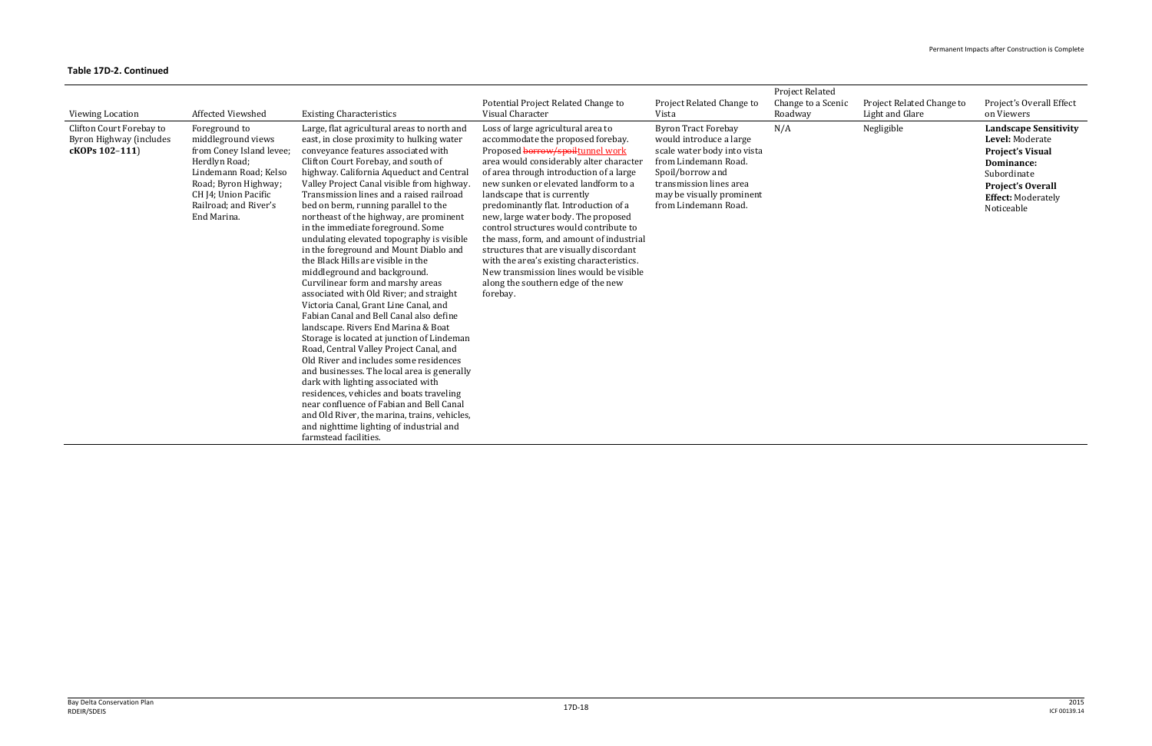|                                                                       |                                                                                                                                                                                                   |                                                                                                                                                                                                                                                                                                                                                                                                                                                                                                                                                                                                                                                                                                                                                                                                                                                                                                                                                                                                                                                                                                                                                                                                                                                   |                                                                                                                                                                                                                                                                                                                                                                                                                                                                                                                                                                                                                                     |                                                                                                                                                                                                                  | <b>Project Related</b> |                           |                                                                                                                                                                                |
|-----------------------------------------------------------------------|---------------------------------------------------------------------------------------------------------------------------------------------------------------------------------------------------|---------------------------------------------------------------------------------------------------------------------------------------------------------------------------------------------------------------------------------------------------------------------------------------------------------------------------------------------------------------------------------------------------------------------------------------------------------------------------------------------------------------------------------------------------------------------------------------------------------------------------------------------------------------------------------------------------------------------------------------------------------------------------------------------------------------------------------------------------------------------------------------------------------------------------------------------------------------------------------------------------------------------------------------------------------------------------------------------------------------------------------------------------------------------------------------------------------------------------------------------------|-------------------------------------------------------------------------------------------------------------------------------------------------------------------------------------------------------------------------------------------------------------------------------------------------------------------------------------------------------------------------------------------------------------------------------------------------------------------------------------------------------------------------------------------------------------------------------------------------------------------------------------|------------------------------------------------------------------------------------------------------------------------------------------------------------------------------------------------------------------|------------------------|---------------------------|--------------------------------------------------------------------------------------------------------------------------------------------------------------------------------|
|                                                                       |                                                                                                                                                                                                   |                                                                                                                                                                                                                                                                                                                                                                                                                                                                                                                                                                                                                                                                                                                                                                                                                                                                                                                                                                                                                                                                                                                                                                                                                                                   | Potential Project Related Change to                                                                                                                                                                                                                                                                                                                                                                                                                                                                                                                                                                                                 | Project Related Change to                                                                                                                                                                                        | Change to a Scenic     | Project Related Change to | Project's Overall Effect                                                                                                                                                       |
| <b>Viewing Location</b>                                               | Affected Viewshed                                                                                                                                                                                 | <b>Existing Characteristics</b>                                                                                                                                                                                                                                                                                                                                                                                                                                                                                                                                                                                                                                                                                                                                                                                                                                                                                                                                                                                                                                                                                                                                                                                                                   | Visual Character                                                                                                                                                                                                                                                                                                                                                                                                                                                                                                                                                                                                                    | Vista                                                                                                                                                                                                            | Roadway                | Light and Glare           | on Viewers                                                                                                                                                                     |
| Clifton Court Forebay to<br>Byron Highway (includes<br>cKOPs 102-111) | Foreground to<br>middleground views<br>from Coney Island levee;<br>Herdlyn Road;<br>Lindemann Road; Kelso<br>Road; Byron Highway;<br>CH J4; Union Pacific<br>Railroad; and River's<br>End Marina. | Large, flat agricultural areas to north and<br>east, in close proximity to hulking water<br>conveyance features associated with<br>Clifton Court Forebay, and south of<br>highway. California Aqueduct and Central<br>Valley Project Canal visible from highway.<br>Transmission lines and a raised railroad<br>bed on berm, running parallel to the<br>northeast of the highway, are prominent<br>in the immediate foreground. Some<br>undulating elevated topography is visible<br>in the foreground and Mount Diablo and<br>the Black Hills are visible in the<br>middleground and background.<br>Curvilinear form and marshy areas<br>associated with Old River; and straight<br>Victoria Canal, Grant Line Canal, and<br>Fabian Canal and Bell Canal also define<br>landscape. Rivers End Marina & Boat<br>Storage is located at junction of Lindeman<br>Road, Central Valley Project Canal, and<br>Old River and includes some residences<br>and businesses. The local area is generally<br>dark with lighting associated with<br>residences, vehicles and boats traveling<br>near confluence of Fabian and Bell Canal<br>and Old River, the marina, trains, vehicles,<br>and nighttime lighting of industrial and<br>farmstead facilities. | Loss of large agricultural area to<br>accommodate the proposed forebay.<br>Proposed borrow/spoiltunnel work<br>area would considerably alter character<br>of area through introduction of a large<br>new sunken or elevated landform to a<br>landscape that is currently<br>predominantly flat. Introduction of a<br>new, large water body. The proposed<br>control structures would contribute to<br>the mass, form, and amount of industrial<br>structures that are visually discordant<br>with the area's existing characteristics.<br>New transmission lines would be visible<br>along the southern edge of the new<br>forebay. | <b>Byron Tract Forebay</b><br>would introduce a large<br>scale water body into vista<br>from Lindemann Road.<br>Spoil/borrow and<br>transmission lines area<br>may be visually prominent<br>from Lindemann Road. | N/A                    | Negligible                | <b>Landscape Sensitivity</b><br>Level: Moderate<br><b>Project's Visual</b><br>Dominance:<br>Subordinate<br><b>Project's Overall</b><br><b>Effect: Moderately</b><br>Noticeable |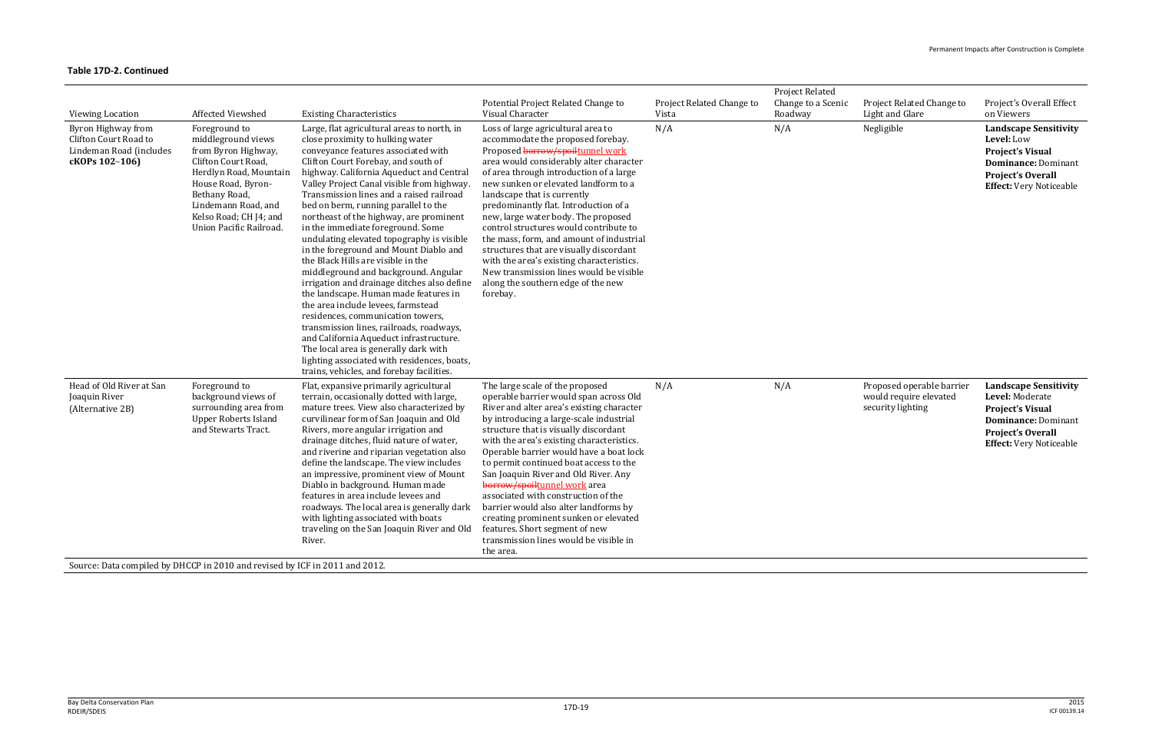| <b>Viewing Location</b>                                                                  | Affected Viewshed                                                                                                                                                                                                              | <b>Existing Characteristics</b>                                                                                                                                                                                                                                                                                                                                                                                                                                                                                                                                                                                                                                                                                                                                                                                                                                                                                                                                                                 | Potential Project Related Change to<br>Visual Character                                                                                                                                                                                                                                                                                                                                                                                                                                                                                                                                                                                | Project Related Change to<br>Vista | <b>Project Related</b><br>Change to a Scenic<br>Roadway | Project Related Change to<br>Light and Glare                             | Project's Overall Effect<br>on Viewers                                                                                                                                 |
|------------------------------------------------------------------------------------------|--------------------------------------------------------------------------------------------------------------------------------------------------------------------------------------------------------------------------------|-------------------------------------------------------------------------------------------------------------------------------------------------------------------------------------------------------------------------------------------------------------------------------------------------------------------------------------------------------------------------------------------------------------------------------------------------------------------------------------------------------------------------------------------------------------------------------------------------------------------------------------------------------------------------------------------------------------------------------------------------------------------------------------------------------------------------------------------------------------------------------------------------------------------------------------------------------------------------------------------------|----------------------------------------------------------------------------------------------------------------------------------------------------------------------------------------------------------------------------------------------------------------------------------------------------------------------------------------------------------------------------------------------------------------------------------------------------------------------------------------------------------------------------------------------------------------------------------------------------------------------------------------|------------------------------------|---------------------------------------------------------|--------------------------------------------------------------------------|------------------------------------------------------------------------------------------------------------------------------------------------------------------------|
| Byron Highway from<br>Clifton Court Road to<br>Lindeman Road (includes<br>cKOPs 102-106) | Foreground to<br>middleground views<br>from Byron Highway,<br>Clifton Court Road,<br>Herdlyn Road, Mountain<br>House Road, Byron-<br>Bethany Road,<br>Lindemann Road, and<br>Kelso Road; CH J4; and<br>Union Pacific Railroad. | Large, flat agricultural areas to north, in<br>close proximity to hulking water<br>conveyance features associated with<br>Clifton Court Forebay, and south of<br>highway. California Aqueduct and Central<br>Valley Project Canal visible from highway.<br>Transmission lines and a raised railroad<br>bed on berm, running parallel to the<br>northeast of the highway, are prominent<br>in the immediate foreground. Some<br>undulating elevated topography is visible<br>in the foreground and Mount Diablo and<br>the Black Hills are visible in the<br>middleground and background. Angular<br>irrigation and drainage ditches also define<br>the landscape. Human made features in<br>the area include levees, farmstead<br>residences, communication towers,<br>transmission lines, railroads, roadways,<br>and California Aqueduct infrastructure.<br>The local area is generally dark with<br>lighting associated with residences, boats,<br>trains, vehicles, and forebay facilities. | Loss of large agricultural area to<br>accommodate the proposed forebay.<br>Proposed borrow/spoiltunnel work<br>area would considerably alter character<br>of area through introduction of a large<br>new sunken or elevated landform to a<br>landscape that is currently<br>predominantly flat. Introduction of a<br>new, large water body. The proposed<br>control structures would contribute to<br>the mass, form, and amount of industrial<br>structures that are visually discordant<br>with the area's existing characteristics.<br>New transmission lines would be visible<br>along the southern edge of the new<br>forebay.    | N/A                                | N/A                                                     | Negligible                                                               | <b>Landscape Sensitivity</b><br>Level: Low<br><b>Project's Visual</b><br><b>Dominance: Dominant</b><br><b>Project's Overall</b><br><b>Effect:</b> Very Noticeable      |
| Head of Old River at San<br>Joaquin River<br>(Alternative 2B)                            | Foreground to<br>background views of<br>surrounding area from<br><b>Upper Roberts Island</b><br>and Stewarts Tract.                                                                                                            | Flat, expansive primarily agricultural<br>terrain, occasionally dotted with large,<br>mature trees. View also characterized by<br>curvilinear form of San Joaquin and Old<br>Rivers, more angular irrigation and<br>drainage ditches, fluid nature of water,<br>and riverine and riparian vegetation also<br>define the landscape. The view includes<br>an impressive, prominent view of Mount<br>Diablo in background. Human made<br>features in area include levees and<br>roadways. The local area is generally dark<br>with lighting associated with boats<br>traveling on the San Joaquin River and Old<br>River.                                                                                                                                                                                                                                                                                                                                                                          | The large scale of the proposed<br>operable barrier would span across Old<br>River and alter area's existing character<br>by introducing a large-scale industrial<br>structure that is visually discordant<br>with the area's existing characteristics.<br>Operable barrier would have a boat lock<br>to permit continued boat access to the<br>San Joaquin River and Old River. Any<br>borrow/spoiltunnel work area<br>associated with construction of the<br>barrier would also alter landforms by<br>creating prominent sunken or elevated<br>features. Short segment of new<br>transmission lines would be visible in<br>the area. | N/A                                | N/A                                                     | Proposed operable barrier<br>would require elevated<br>security lighting | <b>Landscape Sensitivity</b><br>Level: Moderate<br><b>Project's Visual</b><br><b>Dominance: Dominant</b><br><b>Project's Overall</b><br><b>Effect: Very Noticeable</b> |
| Source: Data compiled by DHCCP in 2010 and revised by ICF in 2011 and 2012.              |                                                                                                                                                                                                                                |                                                                                                                                                                                                                                                                                                                                                                                                                                                                                                                                                                                                                                                                                                                                                                                                                                                                                                                                                                                                 |                                                                                                                                                                                                                                                                                                                                                                                                                                                                                                                                                                                                                                        |                                    |                                                         |                                                                          |                                                                                                                                                                        |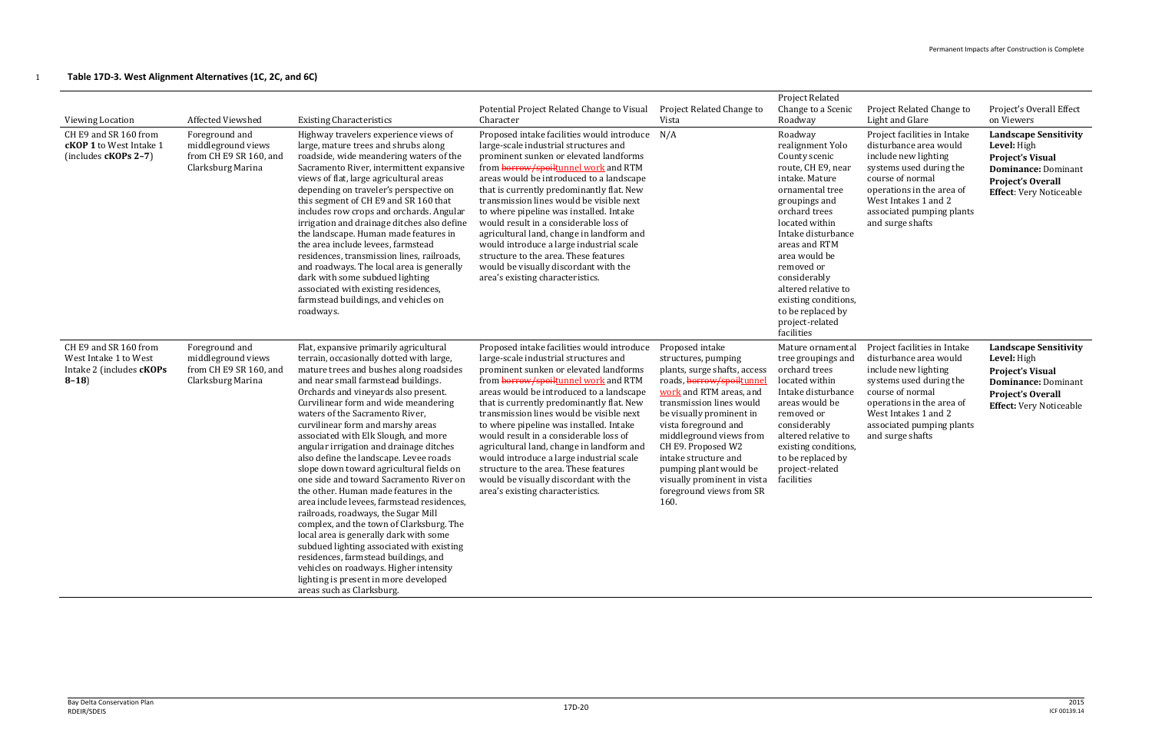# 1 **Table 17D-3. West Alignment Alternatives (1C, 2C, and 6C)**

| Viewing Location<br>CH E9 and SR 160 from<br><b>cKOP 1</b> to West Intake 1<br>(includes cKOPs 2-7) | Affected Viewshed<br>Foreground and<br>middleground views<br>from CH E9 SR 160, and<br>Clarksburg Marina | <b>Existing Characteristics</b><br>Highway travelers experience views of<br>large, mature trees and shrubs along<br>roadside, wide meandering waters of the<br>Sacramento River, intermittent expansive<br>views of flat, large agricultural areas<br>depending on traveler's perspective on<br>this segment of CH E9 and SR 160 that<br>includes row crops and orchards. Angular<br>irrigation and drainage ditches also define<br>the landscape. Human made features in<br>the area include levees, farmstead<br>residences, transmission lines, railroads,<br>and roadways. The local area is generally<br>dark with some subdued lighting<br>associated with existing residences,<br>farmstead buildings, and vehicles on<br>roadways.                                                                                                                                                                                                                                | Potential Project Related Change to Visual<br>Character<br>Proposed intake facilities would introduce<br>large-scale industrial structures and<br>prominent sunken or elevated landforms<br>from borrow/spoiltunnel work and RTM<br>areas would be introduced to a landscape<br>that is currently predominantly flat. New<br>transmission lines would be visible next<br>to where pipeline was installed. Intake<br>would result in a considerable loss of<br>agricultural land, change in landform and<br>would introduce a large industrial scale<br>structure to the area. These features<br>would be visually discordant with the<br>area's existing characteristics. | Project Related Change to<br>Vista<br>N/A                                                                                                                                                                                                                                                                                                                                            | Project Related<br>Change to a Scenic<br>Roadway<br>Roadway<br>realignment Yolo<br>County scenic<br>route, CH E9, near<br>intake. Mature<br>ornamental tree<br>groupings and<br>orchard trees<br>located within<br>Intake disturbance<br>areas and RTM<br>area would be<br>removed or<br>considerably<br>altered relative to<br>existing conditions,<br>to be replaced by<br>project-related<br>facilities | Project Related Change to<br>Light and Glare<br>Project facilities in Intake<br>disturbance area would<br>include new lighting<br>systems used during the<br>course of normal<br>operations in the area of<br>West Intakes 1 and 2<br>associated pumping plants<br>and surge shafts | Project's Overall Effect<br>on Viewers<br><b>Landscape Sensitivity</b><br>Level: High<br><b>Project's Visual</b><br><b>Dominance: Dominant</b><br><b>Project's Overall</b><br><b>Effect:</b> Very Noticeable |
|-----------------------------------------------------------------------------------------------------|----------------------------------------------------------------------------------------------------------|---------------------------------------------------------------------------------------------------------------------------------------------------------------------------------------------------------------------------------------------------------------------------------------------------------------------------------------------------------------------------------------------------------------------------------------------------------------------------------------------------------------------------------------------------------------------------------------------------------------------------------------------------------------------------------------------------------------------------------------------------------------------------------------------------------------------------------------------------------------------------------------------------------------------------------------------------------------------------|---------------------------------------------------------------------------------------------------------------------------------------------------------------------------------------------------------------------------------------------------------------------------------------------------------------------------------------------------------------------------------------------------------------------------------------------------------------------------------------------------------------------------------------------------------------------------------------------------------------------------------------------------------------------------|--------------------------------------------------------------------------------------------------------------------------------------------------------------------------------------------------------------------------------------------------------------------------------------------------------------------------------------------------------------------------------------|------------------------------------------------------------------------------------------------------------------------------------------------------------------------------------------------------------------------------------------------------------------------------------------------------------------------------------------------------------------------------------------------------------|-------------------------------------------------------------------------------------------------------------------------------------------------------------------------------------------------------------------------------------------------------------------------------------|--------------------------------------------------------------------------------------------------------------------------------------------------------------------------------------------------------------|
| CH E9 and SR 160 from<br>West Intake 1 to West<br>Intake 2 (includes <b>cKOPs</b><br>$8-18$         | Foreground and<br>middleground views<br>from CH E9 SR 160, and<br>Clarksburg Marina                      | Flat, expansive primarily agricultural<br>terrain, occasionally dotted with large,<br>mature trees and bushes along roadsides<br>and near small farmstead buildings.<br>Orchards and vineyards also present.<br>Curvilinear form and wide meandering<br>waters of the Sacramento River,<br>curvilinear form and marshy areas<br>associated with Elk Slough, and more<br>angular irrigation and drainage ditches<br>also define the landscape. Levee roads<br>slope down toward agricultural fields on<br>one side and toward Sacramento River on<br>the other. Human made features in the<br>area include levees, farmstead residences,<br>railroads, roadways, the Sugar Mill<br>complex, and the town of Clarksburg. The<br>local area is generally dark with some<br>subdued lighting associated with existing<br>residences, farmstead buildings, and<br>vehicles on roadways. Higher intensity<br>lighting is present in more developed<br>areas such as Clarksburg. | Proposed intake facilities would introduce<br>large-scale industrial structures and<br>prominent sunken or elevated landforms<br>from borrow/spoiltunnel work and RTM<br>areas would be introduced to a landscape<br>that is currently predominantly flat. New<br>transmission lines would be visible next<br>to where pipeline was installed. Intake<br>would result in a considerable loss of<br>agricultural land, change in landform and<br>would introduce a large industrial scale<br>structure to the area. These features<br>would be visually discordant with the<br>area's existing characteristics.                                                            | Proposed intake<br>structures, pumping<br>plants, surge shafts, access<br>roads, borrow/spoiltunnel<br>work and RTM areas, and<br>transmission lines would<br>be visually prominent in<br>vista foreground and<br>middleground views from<br>CH E9. Proposed W2<br>intake structure and<br>pumping plant would be<br>visually prominent in vista<br>foreground views from SR<br>160. | Mature ornamental<br>tree groupings and<br>orchard trees<br>located within<br>Intake disturbance<br>areas would be<br>removed or<br>considerably<br>altered relative to<br>existing conditions,<br>to be replaced by<br>project-related<br>facilities                                                                                                                                                      | Project facilities in Intake<br>disturbance area would<br>include new lighting<br>systems used during the<br>course of normal<br>operations in the area of<br>West Intakes 1 and 2<br>associated pumping plants<br>and surge shafts                                                 | <b>Landscape Sensitivity</b><br>Level: High<br><b>Project's Visual</b><br><b>Dominance: Dominant</b><br><b>Project's Overall</b><br><b>Effect:</b> Very Noticeable                                           |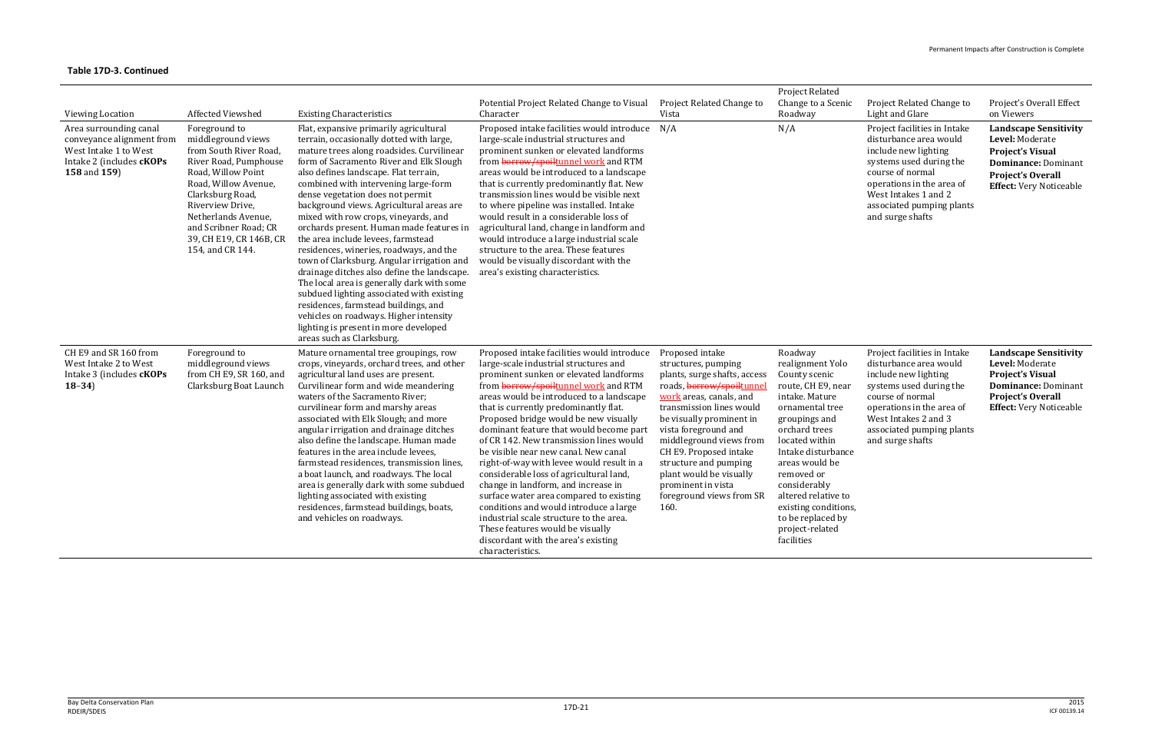| <b>Viewing Location</b>                                                                                                  | <b>Affected Viewshed</b>                                                                                                                                                                                                                                                    | <b>Existing Characteristics</b>                                                                                                                                                                                                                                                                                                                                                                                                                                                                                                                                                                                                                                                                                                                                                                                                                                  | Potential Project Related Change to Visual<br>Character                                                                                                                                                                                                                                                                                                                                                                                                                                                                                                                                                                                                                                                                                                                                         | Project Related Change to<br>Vista                                                                                                                                                                                                                                                                                                                                                | <b>Project Related</b><br>Change to a Scenic<br>Roadway                                                                                                                                                                                                                                                                                | Project Related Change to<br>Light and Glare                                                                                                                                                                                        | Project's Overall Effect<br>on Viewers                                                                                                                                 |
|--------------------------------------------------------------------------------------------------------------------------|-----------------------------------------------------------------------------------------------------------------------------------------------------------------------------------------------------------------------------------------------------------------------------|------------------------------------------------------------------------------------------------------------------------------------------------------------------------------------------------------------------------------------------------------------------------------------------------------------------------------------------------------------------------------------------------------------------------------------------------------------------------------------------------------------------------------------------------------------------------------------------------------------------------------------------------------------------------------------------------------------------------------------------------------------------------------------------------------------------------------------------------------------------|-------------------------------------------------------------------------------------------------------------------------------------------------------------------------------------------------------------------------------------------------------------------------------------------------------------------------------------------------------------------------------------------------------------------------------------------------------------------------------------------------------------------------------------------------------------------------------------------------------------------------------------------------------------------------------------------------------------------------------------------------------------------------------------------------|-----------------------------------------------------------------------------------------------------------------------------------------------------------------------------------------------------------------------------------------------------------------------------------------------------------------------------------------------------------------------------------|----------------------------------------------------------------------------------------------------------------------------------------------------------------------------------------------------------------------------------------------------------------------------------------------------------------------------------------|-------------------------------------------------------------------------------------------------------------------------------------------------------------------------------------------------------------------------------------|------------------------------------------------------------------------------------------------------------------------------------------------------------------------|
| Area surrounding canal<br>conveyance alignment from<br>West Intake 1 to West<br>Intake 2 (includes cKOPs<br>158 and 159) | Foreground to<br>middleground views<br>from South River Road,<br>River Road, Pumphouse<br>Road, Willow Point<br>Road, Willow Avenue,<br>Clarksburg Road,<br>Riverview Drive,<br>Netherlands Avenue,<br>and Scribner Road; CR<br>39, CH E19, CR 146B, CR<br>154, and CR 144. | Flat, expansive primarily agricultural<br>terrain, occasionally dotted with large,<br>mature trees along roadsides. Curvilinear<br>form of Sacramento River and Elk Slough<br>also defines landscape. Flat terrain,<br>combined with intervening large-form<br>dense vegetation does not permit<br>background views. Agricultural areas are<br>mixed with row crops, vineyards, and<br>orchards present. Human made features in<br>the area include levees, farmstead<br>residences, wineries, roadways, and the<br>town of Clarksburg. Angular irrigation and<br>drainage ditches also define the landscape.<br>The local area is generally dark with some<br>subdued lighting associated with existing<br>residences, farmstead buildings, and<br>vehicles on roadways. Higher intensity<br>lighting is present in more developed<br>areas such as Clarksburg. | Proposed intake facilities would introduce<br>large-scale industrial structures and<br>prominent sunken or elevated landforms<br>from borrow/spoiltunnel work and RTM<br>areas would be introduced to a landscape<br>that is currently predominantly flat. New<br>transmission lines would be visible next<br>to where pipeline was installed. Intake<br>would result in a considerable loss of<br>agricultural land, change in landform and<br>would introduce a large industrial scale<br>structure to the area. These features<br>would be visually discordant with the<br>area's existing characteristics.                                                                                                                                                                                  | N/A                                                                                                                                                                                                                                                                                                                                                                               | N/A                                                                                                                                                                                                                                                                                                                                    | Project facilities in Intake<br>disturbance area would<br>include new lighting<br>systems used during the<br>course of normal<br>operations in the area of<br>West Intakes 1 and 2<br>associated pumping plants<br>and surge shafts | <b>Landscape Sensitivity</b><br>Level: Moderate<br><b>Project's Visual</b><br><b>Dominance: Dominant</b><br><b>Project's Overall</b><br><b>Effect:</b> Very Noticeable |
| CH E9 and SR 160 from<br>West Intake 2 to West<br>Intake 3 (includes <b>cKOPs</b><br>$18-34$                             | Foreground to<br>middleground views<br>from CH E9, SR 160, and<br>Clarksburg Boat Launch                                                                                                                                                                                    | Mature ornamental tree groupings, row<br>crops, vineyards, orchard trees, and other<br>agricultural land uses are present.<br>Curvilinear form and wide meandering<br>waters of the Sacramento River;<br>curvilinear form and marshy areas<br>associated with Elk Slough; and more<br>angular irrigation and drainage ditches<br>also define the landscape. Human made<br>features in the area include levees,<br>farmstead residences, transmission lines,<br>a boat launch, and roadways. The local<br>area is generally dark with some subdued<br>lighting associated with existing<br>residences, farmstead buildings, boats,<br>and vehicles on roadways.                                                                                                                                                                                                   | Proposed intake facilities would introduce<br>large-scale industrial structures and<br>prominent sunken or elevated landforms<br>from borrow/spoiltunnel work and RTM<br>areas would be introduced to a landscape<br>that is currently predominantly flat.<br>Proposed bridge would be new visually<br>dominant feature that would become part<br>of CR 142. New transmission lines would<br>be visible near new canal. New canal<br>right-of-way with levee would result in a<br>considerable loss of agricultural land,<br>change in landform, and increase in<br>surface water area compared to existing<br>conditions and would introduce a large<br>industrial scale structure to the area.<br>These features would be visually<br>discordant with the area's existing<br>characteristics. | Proposed intake<br>structures, pumping<br>plants, surge shafts, access<br>roads, borrow/spoiltunnel<br>work areas, canals, and<br>transmission lines would<br>be visually prominent in<br>vista foreground and<br>middleground views from<br>CH E9. Proposed intake<br>structure and pumping<br>plant would be visually<br>prominent in vista<br>foreground views from SR<br>160. | Roadway<br>realignment Yolo<br>County scenic<br>route, CH E9, near<br>intake. Mature<br>ornamental tree<br>groupings and<br>orchard trees<br>located within<br>Intake disturbance<br>areas would be<br>removed or<br>considerably<br>altered relative to<br>existing conditions,<br>to be replaced by<br>project-related<br>facilities | Project facilities in Intake<br>disturbance area would<br>include new lighting<br>systems used during the<br>course of normal<br>operations in the area of<br>West Intakes 2 and 3<br>associated pumping plants<br>and surge shafts | <b>Landscape Sensitivity</b><br>Level: Moderate<br><b>Project's Visual</b><br><b>Dominance: Dominant</b><br><b>Project's Overall</b><br><b>Effect:</b> Very Noticeable |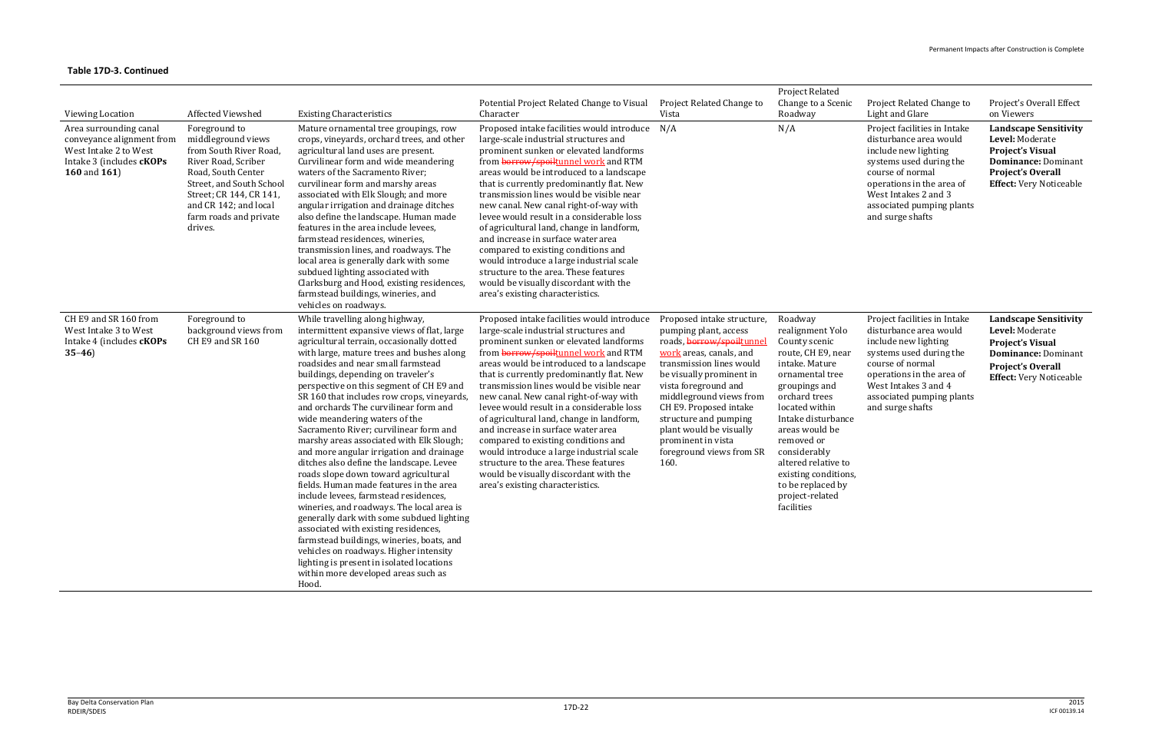| <b>Viewing Location</b><br>Area surrounding canal<br>conveyance alignment from<br>West Intake 2 to West<br>Intake 3 (includes cKOPs<br><b>160 and 161)</b> | Affected Viewshed<br>Foreground to<br>middleground views<br>from South River Road,<br>River Road, Scriber<br>Road, South Center<br>Street, and South School<br>Street; CR 144, CR 141,<br>and CR 142; and local<br>farm roads and private<br>drives. | <b>Existing Characteristics</b><br>Mature ornamental tree groupings, row<br>crops, vineyards, orchard trees, and other<br>agricultural land uses are present.<br>Curvilinear form and wide meandering<br>waters of the Sacramento River;<br>curvilinear form and marshy areas<br>associated with Elk Slough; and more<br>angular irrigation and drainage ditches<br>also define the landscape. Human made<br>features in the area include levees,                                                                                                                                                                                                                                                                                                                                                                                                                                                                                                                                                                     | Potential Project Related Change to Visual<br>Character<br>Proposed intake facilities would introduce N/A<br>large-scale industrial structures and<br>prominent sunken or elevated landforms<br>from borrow/spoiltunnel work and RTM<br>areas would be introduced to a landscape<br>that is currently predominantly flat. New<br>transmission lines would be visible near<br>new canal. New canal right-of-way with<br>levee would result in a considerable loss<br>of agricultural land, change in landform,                                                                                                                                          | Project Related Change to<br>Vista                                                                                                                                                                                                                                                                                              | Project Related<br>Change to a Scenic<br>Roadway<br>N/A                                                                                                                                                                                                                                                                     | Project Related Change to<br>Light and Glare<br>Project facilities in Intake<br>disturbance area would<br>include new lighting<br>systems used during the<br>course of normal<br>operations in the area of<br>West Intakes 2 and 3<br>associated pumping plants<br>and surge shafts | Project's Overall Effect<br>on Viewers<br><b>Landscape Sensitivity</b><br>Level: Moderate<br><b>Project's Visual</b><br><b>Dominance: Dominant</b><br><b>Project's Overall</b><br><b>Effect:</b> Very Noticeable |
|------------------------------------------------------------------------------------------------------------------------------------------------------------|------------------------------------------------------------------------------------------------------------------------------------------------------------------------------------------------------------------------------------------------------|-----------------------------------------------------------------------------------------------------------------------------------------------------------------------------------------------------------------------------------------------------------------------------------------------------------------------------------------------------------------------------------------------------------------------------------------------------------------------------------------------------------------------------------------------------------------------------------------------------------------------------------------------------------------------------------------------------------------------------------------------------------------------------------------------------------------------------------------------------------------------------------------------------------------------------------------------------------------------------------------------------------------------|--------------------------------------------------------------------------------------------------------------------------------------------------------------------------------------------------------------------------------------------------------------------------------------------------------------------------------------------------------------------------------------------------------------------------------------------------------------------------------------------------------------------------------------------------------------------------------------------------------------------------------------------------------|---------------------------------------------------------------------------------------------------------------------------------------------------------------------------------------------------------------------------------------------------------------------------------------------------------------------------------|-----------------------------------------------------------------------------------------------------------------------------------------------------------------------------------------------------------------------------------------------------------------------------------------------------------------------------|-------------------------------------------------------------------------------------------------------------------------------------------------------------------------------------------------------------------------------------------------------------------------------------|------------------------------------------------------------------------------------------------------------------------------------------------------------------------------------------------------------------|
| CH E9 and SR 160 from                                                                                                                                      | Foreground to                                                                                                                                                                                                                                        | farmstead residences, wineries,<br>transmission lines, and roadways. The<br>local area is generally dark with some<br>subdued lighting associated with<br>Clarksburg and Hood, existing residences,<br>farmstead buildings, wineries, and<br>vehicles on roadways.<br>While travelling along highway,                                                                                                                                                                                                                                                                                                                                                                                                                                                                                                                                                                                                                                                                                                                 | and increase in surface water area<br>compared to existing conditions and<br>would introduce a large industrial scale<br>structure to the area. These features<br>would be visually discordant with the<br>area's existing characteristics.<br>Proposed intake facilities would introduce                                                                                                                                                                                                                                                                                                                                                              | Proposed intake structure,                                                                                                                                                                                                                                                                                                      | Roadway                                                                                                                                                                                                                                                                                                                     | Project facilities in Intake                                                                                                                                                                                                                                                        | <b>Landscape Sensitivity</b>                                                                                                                                                                                     |
| West Intake 3 to West<br>Intake 4 (includes <b>cKOPs</b><br>$35-46$                                                                                        | background views from<br>CH E9 and SR 160                                                                                                                                                                                                            | intermittent expansive views of flat, large<br>agricultural terrain, occasionally dotted<br>with large, mature trees and bushes along<br>roadsides and near small farmstead<br>buildings, depending on traveler's<br>perspective on this segment of CH E9 and<br>SR 160 that includes row crops, vineyards,<br>and orchards The curvilinear form and<br>wide meandering waters of the<br>Sacramento River; curvilinear form and<br>marshy areas associated with Elk Slough;<br>and more angular irrigation and drainage<br>ditches also define the landscape. Levee<br>roads slope down toward agricultural<br>fields. Human made features in the area<br>include levees, farmstead residences,<br>wineries, and roadways. The local area is<br>generally dark with some subdued lighting<br>associated with existing residences,<br>farmstead buildings, wineries, boats, and<br>vehicles on roadways. Higher intensity<br>lighting is present in isolated locations<br>within more developed areas such as<br>Hood. | large-scale industrial structures and<br>prominent sunken or elevated landforms<br>from <b>borrow/spoiltunnel work</b> and RTM<br>areas would be introduced to a landscape<br>that is currently predominantly flat. New<br>transmission lines would be visible near<br>new canal. New canal right-of-way with<br>levee would result in a considerable loss<br>of agricultural land, change in landform,<br>and increase in surface water area<br>compared to existing conditions and<br>would introduce a large industrial scale<br>structure to the area. These features<br>would be visually discordant with the<br>area's existing characteristics. | pumping plant, access<br>roads, borrow/spoiltunne<br>work areas, canals, and<br>transmission lines would<br>be visually prominent in<br>vista foreground and<br>middleground views from<br>CH E9. Proposed intake<br>structure and pumping<br>plant would be visually<br>prominent in vista<br>foreground views from SR<br>160. | realignment Yolo<br>County scenic<br>route, CH E9, near<br>intake. Mature<br>ornamental tree<br>groupings and<br>orchard trees<br>located within<br>Intake disturbance<br>areas would be<br>removed or<br>considerably<br>altered relative to<br>existing conditions,<br>to be replaced by<br>project-related<br>facilities | disturbance area would<br>include new lighting<br>systems used during the<br>course of normal<br>operations in the area of<br>West Intakes 3 and 4<br>associated pumping plants<br>and surge shafts                                                                                 | Level: Moderate<br><b>Project's Visual</b><br><b>Dominance: Dominant</b><br><b>Project's Overall</b><br><b>Effect:</b> Very Noticeable                                                                           |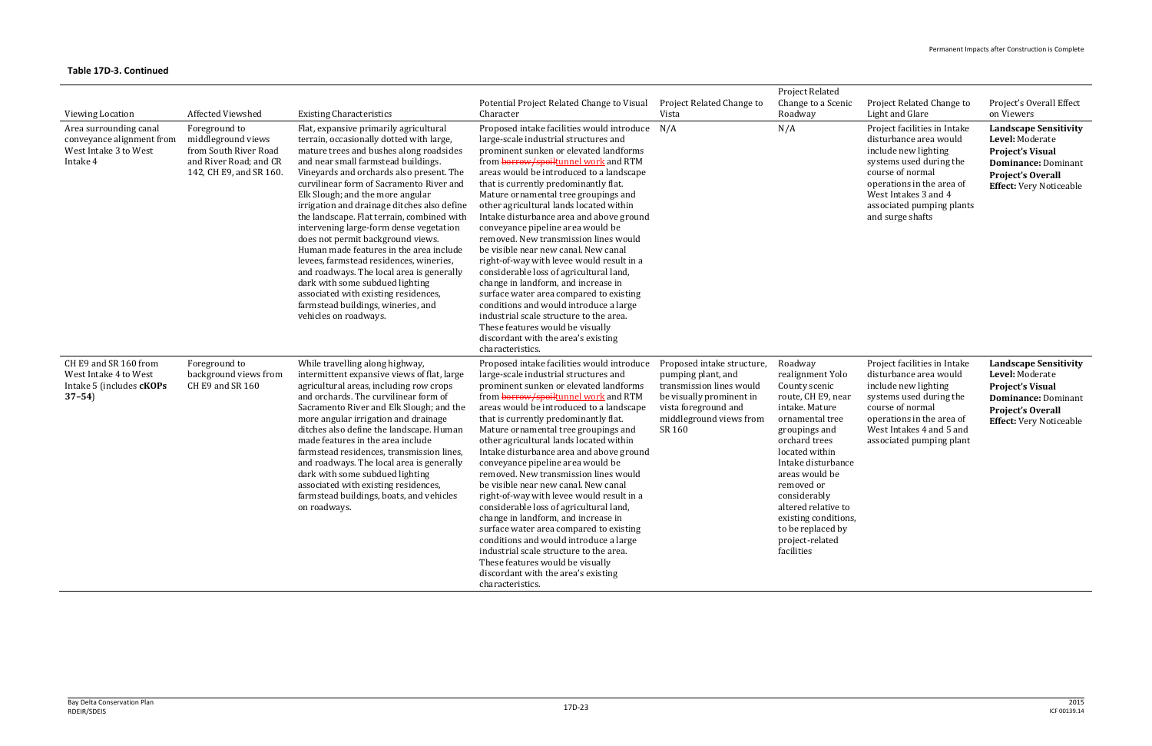| <b>Viewing Location</b><br>Area surrounding canal<br>conveyance alignment from<br>West Intake 3 to West<br>Intake 4 | <b>Affected Viewshed</b><br>Foreground to<br>middleground views<br>from South River Road<br>and River Road; and CR<br>142, CH E9, and SR 160. | <b>Existing Characteristics</b><br>Flat, expansive primarily agricultural<br>terrain, occasionally dotted with large,<br>mature trees and bushes along roadsides<br>and near small farmstead buildings.<br>Vineyards and orchards also present. The<br>curvilinear form of Sacramento River and<br>Elk Slough; and the more angular<br>irrigation and drainage ditches also define<br>the landscape. Flat terrain, combined with<br>intervening large-form dense vegetation<br>does not permit background views.<br>Human made features in the area include<br>levees, farmstead residences, wineries,<br>and roadways. The local area is generally<br>dark with some subdued lighting<br>associated with existing residences,<br>farmstead buildings, wineries, and<br>vehicles on roadways. | Potential Project Related Change to Visual<br>Character<br>Proposed intake facilities would introduce<br>large-scale industrial structures and<br>prominent sunken or elevated landforms<br>from borrow/spoiltunnel work and RTM<br>areas would be introduced to a landscape<br>that is currently predominantly flat.<br>Mature ornamental tree groupings and<br>other agricultural lands located within<br>Intake disturbance area and above ground<br>conveyance pipeline area would be<br>removed. New transmission lines would<br>be visible near new canal. New canal<br>right-of-way with levee would result in a<br>considerable loss of agricultural land,<br>change in landform, and increase in<br>surface water area compared to existing<br>conditions and would introduce a large<br>industrial scale structure to the area.<br>These features would be visually<br>discordant with the area's existing<br>characteristics. | Project Related Change to<br>Vista<br>N/A                                                                                                                             | Project Related<br>Change to a Scenic<br>Roadway<br>N/A                                                                                                                                                                                                                                                                                | Project Related Change to<br>Light and Glare<br>Project facilities in Intake<br>disturbance area would<br>include new lighting<br>systems used during the<br>course of normal<br>operations in the area of<br>West Intakes 3 and 4<br>associated pumping plants<br>and surge shafts | Project's Overall Effect<br>on Viewers<br><b>Landscape Sensitivity</b><br>Level: Moderate<br><b>Project's Visual</b><br><b>Dominance: Dominant</b><br><b>Project's Overall</b><br><b>Effect:</b> Very Noticeable |
|---------------------------------------------------------------------------------------------------------------------|-----------------------------------------------------------------------------------------------------------------------------------------------|-----------------------------------------------------------------------------------------------------------------------------------------------------------------------------------------------------------------------------------------------------------------------------------------------------------------------------------------------------------------------------------------------------------------------------------------------------------------------------------------------------------------------------------------------------------------------------------------------------------------------------------------------------------------------------------------------------------------------------------------------------------------------------------------------|------------------------------------------------------------------------------------------------------------------------------------------------------------------------------------------------------------------------------------------------------------------------------------------------------------------------------------------------------------------------------------------------------------------------------------------------------------------------------------------------------------------------------------------------------------------------------------------------------------------------------------------------------------------------------------------------------------------------------------------------------------------------------------------------------------------------------------------------------------------------------------------------------------------------------------------|-----------------------------------------------------------------------------------------------------------------------------------------------------------------------|----------------------------------------------------------------------------------------------------------------------------------------------------------------------------------------------------------------------------------------------------------------------------------------------------------------------------------------|-------------------------------------------------------------------------------------------------------------------------------------------------------------------------------------------------------------------------------------------------------------------------------------|------------------------------------------------------------------------------------------------------------------------------------------------------------------------------------------------------------------|
| CH E9 and SR 160 from<br>West Intake 4 to West<br>Intake 5 (includes <b>cKOPs</b><br>$37 - 54$                      | Foreground to<br>background views from<br>CH E9 and SR 160                                                                                    | While travelling along highway,<br>intermittent expansive views of flat, large<br>agricultural areas, including row crops<br>and orchards. The curvilinear form of<br>Sacramento River and Elk Slough; and the<br>more angular irrigation and drainage<br>ditches also define the landscape. Human<br>made features in the area include<br>farmstead residences, transmission lines,<br>and roadways. The local area is generally<br>dark with some subdued lighting<br>associated with existing residences,<br>farmstead buildings, boats, and vehicles<br>on roadways.                                                                                                                                                                                                                      | Proposed intake facilities would introduce<br>large-scale industrial structures and<br>prominent sunken or elevated landforms<br>from <b>borrow/spoiltunnel work</b> and RTM<br>areas would be introduced to a landscape<br>that is currently predominantly flat.<br>Mature ornamental tree groupings and<br>other agricultural lands located within<br>Intake disturbance area and above ground<br>conveyance pipeline area would be<br>removed. New transmission lines would<br>be visible near new canal. New canal<br>right-of-way with levee would result in a<br>considerable loss of agricultural land,<br>change in landform, and increase in<br>surface water area compared to existing<br>conditions and would introduce a large<br>industrial scale structure to the area.<br>These features would be visually<br>discordant with the area's existing<br>characteristics.                                                     | Proposed intake structure,<br>pumping plant, and<br>transmission lines would<br>be visually prominent in<br>vista foreground and<br>middleground views from<br>SR 160 | Roadway<br>realignment Yolo<br>County scenic<br>route, CH E9, near<br>intake. Mature<br>ornamental tree<br>groupings and<br>orchard trees<br>located within<br>Intake disturbance<br>areas would be<br>removed or<br>considerably<br>altered relative to<br>existing conditions,<br>to be replaced by<br>project-related<br>facilities | Project facilities in Intake<br>disturbance area would<br>include new lighting<br>systems used during the<br>course of normal<br>operations in the area of<br>West Intakes 4 and 5 and<br>associated pumping plant                                                                  | <b>Landscape Sensitivity</b><br>Level: Moderate<br><b>Project's Visual</b><br><b>Dominance: Dominant</b><br><b>Project's Overall</b><br><b>Effect:</b> Very Noticeable                                           |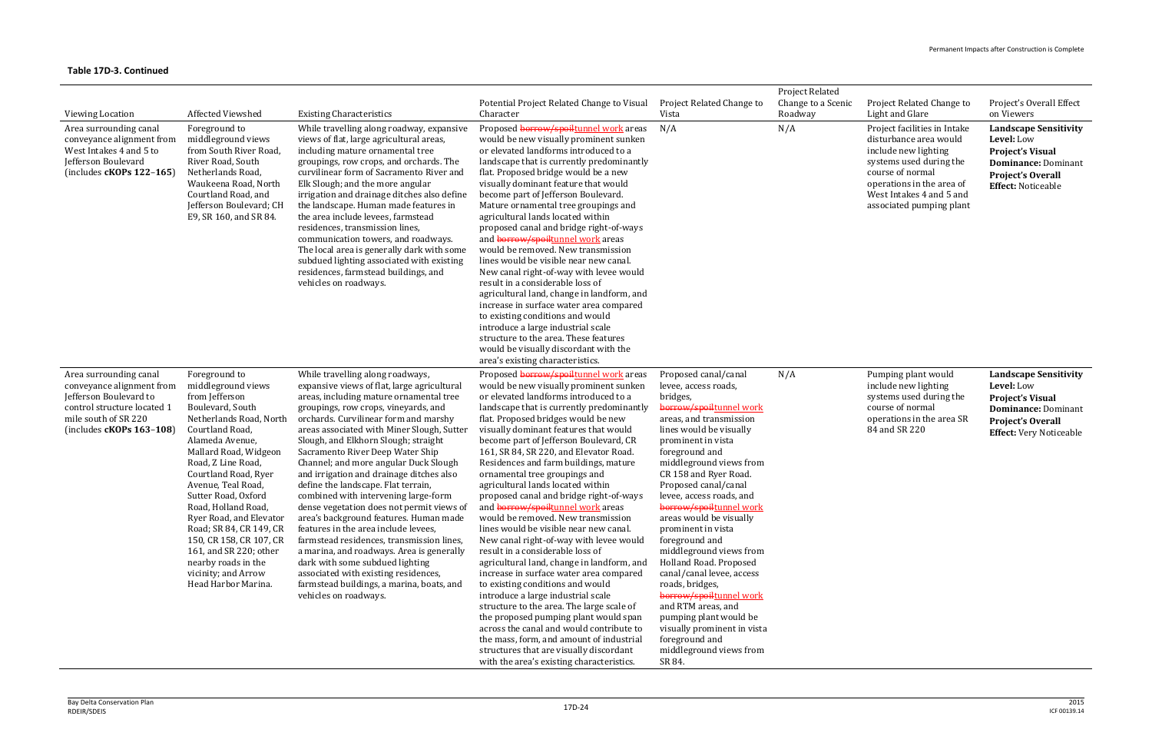| <b>Viewing Location</b>                                                                                                                                            | Affected Viewshed                                                                                                                                                                                                                                                                                                                                                                                                                                                     | <b>Existing Characteristics</b>                                                                                                                                                                                                                                                                                                                                                                                                                                                                                                                                                                                                                                                                                                                                                                                                                                                     | Potential Project Related Change to Visual<br>Character                                                                                                                                                                                                                                                                                                                                                                                                                                                                                                                                                                                                                                                                                                                                                                                                                                                                                                                                                                                                                                                                                                  | Project Related Change to<br>Vista                                                                                                                                                                                                                                                                                                                                                                                                                                                                                                                                                                                                                            | Project Related<br>Change to a Scenic<br>Roadway | Project Related Change to<br>Light and Glare                                                                                                                                                                       | Project's Overall Effect<br>on Viewers                                                                                                                            |
|--------------------------------------------------------------------------------------------------------------------------------------------------------------------|-----------------------------------------------------------------------------------------------------------------------------------------------------------------------------------------------------------------------------------------------------------------------------------------------------------------------------------------------------------------------------------------------------------------------------------------------------------------------|-------------------------------------------------------------------------------------------------------------------------------------------------------------------------------------------------------------------------------------------------------------------------------------------------------------------------------------------------------------------------------------------------------------------------------------------------------------------------------------------------------------------------------------------------------------------------------------------------------------------------------------------------------------------------------------------------------------------------------------------------------------------------------------------------------------------------------------------------------------------------------------|----------------------------------------------------------------------------------------------------------------------------------------------------------------------------------------------------------------------------------------------------------------------------------------------------------------------------------------------------------------------------------------------------------------------------------------------------------------------------------------------------------------------------------------------------------------------------------------------------------------------------------------------------------------------------------------------------------------------------------------------------------------------------------------------------------------------------------------------------------------------------------------------------------------------------------------------------------------------------------------------------------------------------------------------------------------------------------------------------------------------------------------------------------|---------------------------------------------------------------------------------------------------------------------------------------------------------------------------------------------------------------------------------------------------------------------------------------------------------------------------------------------------------------------------------------------------------------------------------------------------------------------------------------------------------------------------------------------------------------------------------------------------------------------------------------------------------------|--------------------------------------------------|--------------------------------------------------------------------------------------------------------------------------------------------------------------------------------------------------------------------|-------------------------------------------------------------------------------------------------------------------------------------------------------------------|
| Area surrounding canal<br>conveyance alignment from<br>West Intakes 4 and 5 to<br>Jefferson Boulevard<br>(includes $cKOPs$ 122-165)                                | Foreground to<br>middleground views<br>from South River Road,<br>River Road, South<br>Netherlands Road,<br>Waukeena Road, North<br>Courtland Road, and<br>Jefferson Boulevard; CH<br>E9, SR 160, and SR 84.                                                                                                                                                                                                                                                           | While travelling along roadway, expansive<br>views of flat, large agricultural areas,<br>including mature ornamental tree<br>groupings, row crops, and orchards. The<br>curvilinear form of Sacramento River and<br>Elk Slough; and the more angular<br>irrigation and drainage ditches also define<br>the landscape. Human made features in<br>the area include levees, farmstead<br>residences, transmission lines,<br>communication towers, and roadways.<br>The local area is generally dark with some<br>subdued lighting associated with existing<br>residences, farmstead buildings, and<br>vehicles on roadways.                                                                                                                                                                                                                                                            | Proposed borrow/spoiltunnel work areas<br>would be new visually prominent sunken<br>or elevated landforms introduced to a<br>landscape that is currently predominantly<br>flat. Proposed bridge would be a new<br>visually dominant feature that would<br>become part of Jefferson Boulevard.<br>Mature ornamental tree groupings and<br>agricultural lands located within<br>proposed canal and bridge right-of-ways<br>and borrow/spoiltunnel work areas<br>would be removed. New transmission<br>lines would be visible near new canal.<br>New canal right-of-way with levee would<br>result in a considerable loss of<br>agricultural land, change in landform, and<br>increase in surface water area compared<br>to existing conditions and would<br>introduce a large industrial scale<br>structure to the area. These features<br>would be visually discordant with the<br>area's existing characteristics.                                                                                                                                                                                                                                       | N/A                                                                                                                                                                                                                                                                                                                                                                                                                                                                                                                                                                                                                                                           | N/A                                              | Project facilities in Intake<br>disturbance area would<br>include new lighting<br>systems used during the<br>course of normal<br>operations in the area of<br>West Intakes 4 and 5 and<br>associated pumping plant | <b>Landscape Sensitivity</b><br>Level: Low<br><b>Project's Visual</b><br><b>Dominance: Dominant</b><br><b>Project's Overall</b><br><b>Effect: Noticeable</b>      |
| Area surrounding canal<br>conveyance alignment from<br>Jefferson Boulevard to<br>control structure located 1<br>mile south of SR 220<br>(includes $cKOPs$ 163-108) | Foreground to<br>middleground views<br>from Jefferson<br>Boulevard, South<br>Netherlands Road, North<br>Courtland Road,<br>Alameda Avenue,<br>Mallard Road, Widgeon<br>Road, Z Line Road,<br>Courtland Road, Ryer<br>Avenue, Teal Road,<br>Sutter Road, Oxford<br>Road, Holland Road,<br>Ryer Road, and Elevator<br>Road; SR 84, CR 149, CR<br>150, CR 158, CR 107, CR<br>161, and SR 220; other<br>nearby roads in the<br>vicinity; and Arrow<br>Head Harbor Marina. | While travelling along roadways,<br>expansive views of flat, large agricultural<br>areas, including mature ornamental tree<br>groupings, row crops, vineyards, and<br>orchards. Curvilinear form and marshy<br>areas associated with Miner Slough, Sutter<br>Slough, and Elkhorn Slough; straight<br>Sacramento River Deep Water Ship<br>Channel; and more angular Duck Slough<br>and irrigation and drainage ditches also<br>define the landscape. Flat terrain,<br>combined with intervening large-form<br>dense vegetation does not permit views of<br>area's background features. Human made<br>features in the area include levees,<br>farmstead residences, transmission lines,<br>a marina, and roadways. Area is generally<br>dark with some subdued lighting<br>associated with existing residences,<br>farmstead buildings, a marina, boats, and<br>vehicles on roadways. | Proposed borrow/spoiltunnel work areas<br>would be new visually prominent sunken<br>or elevated landforms introduced to a<br>landscape that is currently predominantly<br>flat. Proposed bridges would be new<br>visually dominant features that would<br>become part of Jefferson Boulevard, CR<br>161, SR 84, SR 220, and Elevator Road.<br>Residences and farm buildings, mature<br>ornamental tree groupings and<br>agricultural lands located within<br>proposed canal and bridge right-of-ways<br>and <b>borrow/spoiltunnel</b> work areas<br>would be removed. New transmission<br>lines would be visible near new canal.<br>New canal right-of-way with levee would<br>result in a considerable loss of<br>agricultural land, change in landform, and<br>increase in surface water area compared<br>to existing conditions and would<br>introduce a large industrial scale<br>structure to the area. The large scale of<br>the proposed pumping plant would span<br>across the canal and would contribute to<br>the mass, form, and amount of industrial<br>structures that are visually discordant<br>with the area's existing characteristics. | Proposed canal/canal<br>levee, access roads,<br>bridges,<br>borrow/spoiltunnel work<br>areas, and transmission<br>lines would be visually<br>prominent in vista<br>foreground and<br>middleground views from<br>CR 158 and Ryer Road.<br>Proposed canal/canal<br>levee, access roads, and<br>borrow/spoiltunnel work<br>areas would be visually<br>prominent in vista<br>foreground and<br>middleground views from<br>Holland Road. Proposed<br>canal/canal levee, access<br>roads, bridges,<br>borrow/spoiltunnel work<br>and RTM areas, and<br>pumping plant would be<br>visually prominent in vista<br>foreground and<br>middleground views from<br>SR 84. | N/A                                              | Pumping plant would<br>include new lighting<br>systems used during the<br>course of normal<br>operations in the area SR<br>84 and SR 220                                                                           | <b>Landscape Sensitivity</b><br>Level: Low<br><b>Project's Visual</b><br><b>Dominance: Dominant</b><br><b>Project's Overall</b><br><b>Effect:</b> Very Noticeable |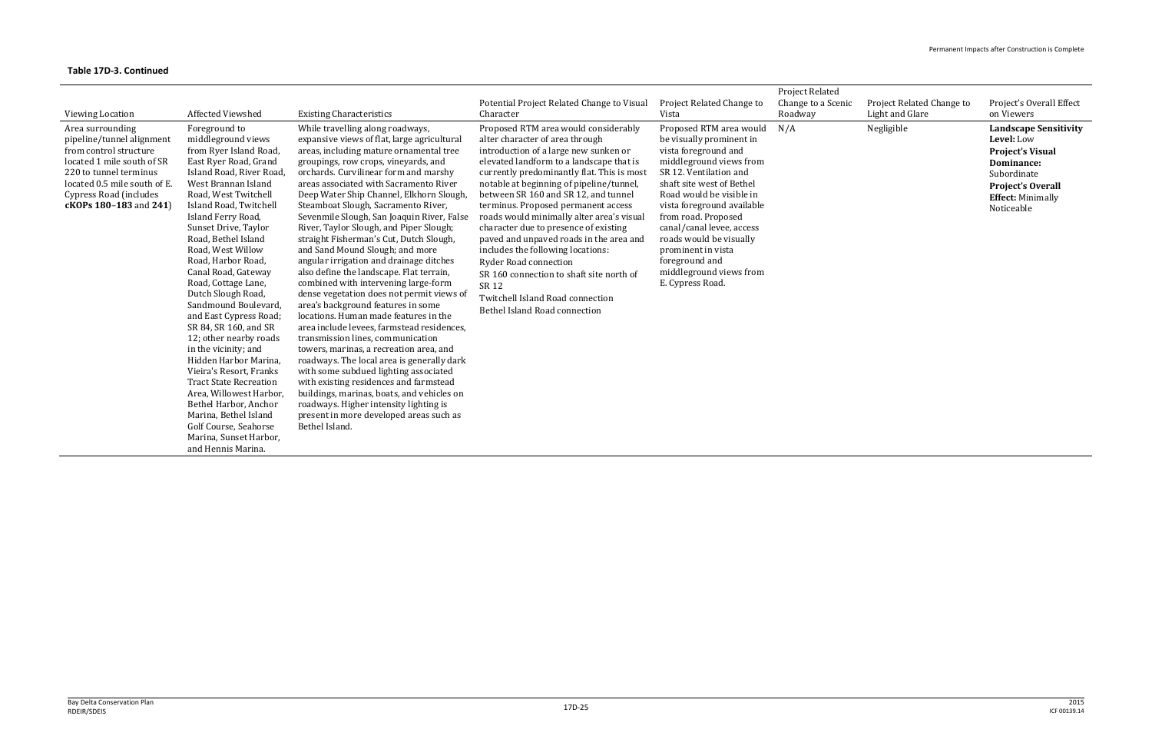| <b>Viewing Location</b>                                                                                                                                                                                             | <b>Affected Viewshed</b>                                                                                                                                                                                                                                                                                                                                                                                                                                                                                                                                                                                                                                                                                                                              | <b>Existing Characteristics</b>                                                                                                                                                                                                                                                                                                                                                                                                                                                                                                                                                                                                                                                                                                                                                                                                                                                                                                                                                                                                                                                                                                                                                                | Potential Project Related Change to Visual<br>Character                                                                                                                                                                                                                                                                                                                                                                                                                                                                                                                                                                                                               | Project Related Change to<br>Vista                                                                                                                                                                                                                                                                                                                                                            | <b>Project Related</b><br>Change to a Scenic<br>Roadway | Project Related Change to<br>Light and Glare | Project's Overall Effect<br>on Viewers                                                                                                                                          |
|---------------------------------------------------------------------------------------------------------------------------------------------------------------------------------------------------------------------|-------------------------------------------------------------------------------------------------------------------------------------------------------------------------------------------------------------------------------------------------------------------------------------------------------------------------------------------------------------------------------------------------------------------------------------------------------------------------------------------------------------------------------------------------------------------------------------------------------------------------------------------------------------------------------------------------------------------------------------------------------|------------------------------------------------------------------------------------------------------------------------------------------------------------------------------------------------------------------------------------------------------------------------------------------------------------------------------------------------------------------------------------------------------------------------------------------------------------------------------------------------------------------------------------------------------------------------------------------------------------------------------------------------------------------------------------------------------------------------------------------------------------------------------------------------------------------------------------------------------------------------------------------------------------------------------------------------------------------------------------------------------------------------------------------------------------------------------------------------------------------------------------------------------------------------------------------------|-----------------------------------------------------------------------------------------------------------------------------------------------------------------------------------------------------------------------------------------------------------------------------------------------------------------------------------------------------------------------------------------------------------------------------------------------------------------------------------------------------------------------------------------------------------------------------------------------------------------------------------------------------------------------|-----------------------------------------------------------------------------------------------------------------------------------------------------------------------------------------------------------------------------------------------------------------------------------------------------------------------------------------------------------------------------------------------|---------------------------------------------------------|----------------------------------------------|---------------------------------------------------------------------------------------------------------------------------------------------------------------------------------|
| Area surrounding<br>pipeline/tunnel alignment<br>from control structure<br>located 1 mile south of SR<br>220 to tunnel terminus<br>located 0.5 mile south of E.<br>Cypress Road (includes<br>cKOPs 180-183 and 241) | Foreground to<br>middleground views<br>from Ryer Island Road,<br>East Ryer Road, Grand<br>Island Road, River Road<br>West Brannan Island<br>Road, West Twitchell<br>Island Road, Twitchell<br>Island Ferry Road,<br>Sunset Drive, Taylor<br>Road, Bethel Island<br>Road, West Willow<br>Road, Harbor Road,<br>Canal Road, Gateway<br>Road, Cottage Lane,<br>Dutch Slough Road,<br>Sandmound Boulevard<br>and East Cypress Road;<br>SR 84, SR 160, and SR<br>12; other nearby roads<br>in the vicinity; and<br>Hidden Harbor Marina,<br>Vieira's Resort, Franks<br><b>Tract State Recreation</b><br>Area, Willowest Harbor,<br>Bethel Harbor, Anchor<br>Marina, Bethel Island<br>Golf Course, Seahorse<br>Marina, Sunset Harbor,<br>and Hennis Marina. | While travelling along roadways,<br>expansive views of flat, large agricultural<br>areas, including mature ornamental tree<br>groupings, row crops, vineyards, and<br>orchards. Curvilinear form and marshy<br>areas associated with Sacramento River<br>Deep Water Ship Channel, Elkhorn Slough,<br>Steamboat Slough, Sacramento River,<br>Sevenmile Slough, San Joaquin River, False<br>River, Taylor Slough, and Piper Slough;<br>straight Fisherman's Cut, Dutch Slough,<br>and Sand Mound Slough; and more<br>angular irrigation and drainage ditches<br>also define the landscape. Flat terrain,<br>combined with intervening large-form<br>dense vegetation does not permit views of<br>area's background features in some<br>locations. Human made features in the<br>area include levees, farmstead residences,<br>transmission lines, communication<br>towers, marinas, a recreation area, and<br>roadways. The local area is generally dark<br>with some subdued lighting associated<br>with existing residences and farmstead<br>buildings, marinas, boats, and vehicles on<br>roadways. Higher intensity lighting is<br>present in more developed areas such as<br>Bethel Island. | Proposed RTM area would considerably<br>alter character of area through<br>introduction of a large new sunken or<br>elevated landform to a landscape that is<br>currently predominantly flat. This is most<br>notable at beginning of pipeline/tunnel,<br>between SR 160 and SR 12, and tunnel<br>terminus. Proposed permanent access<br>roads would minimally alter area's visual<br>character due to presence of existing<br>paved and unpaved roads in the area and<br>includes the following locations:<br><b>Ryder Road connection</b><br>SR 160 connection to shaft site north of<br>SR 12<br>Twitchell Island Road connection<br>Bethel Island Road connection | Proposed RTM area would<br>be visually prominent in<br>vista foreground and<br>middleground views from<br>SR 12. Ventilation and<br>shaft site west of Bethel<br>Road would be visible in<br>vista foreground available<br>from road. Proposed<br>canal/canal levee, access<br>roads would be visually<br>prominent in vista<br>foreground and<br>middleground views from<br>E. Cypress Road. | N/A                                                     | Negligible                                   | <b>Landscape Sensitivity</b><br>Level: Low<br><b>Project's Visual</b><br><b>Dominance:</b><br>Subordinate<br><b>Project's Overall</b><br><b>Effect: Minimally</b><br>Noticeable |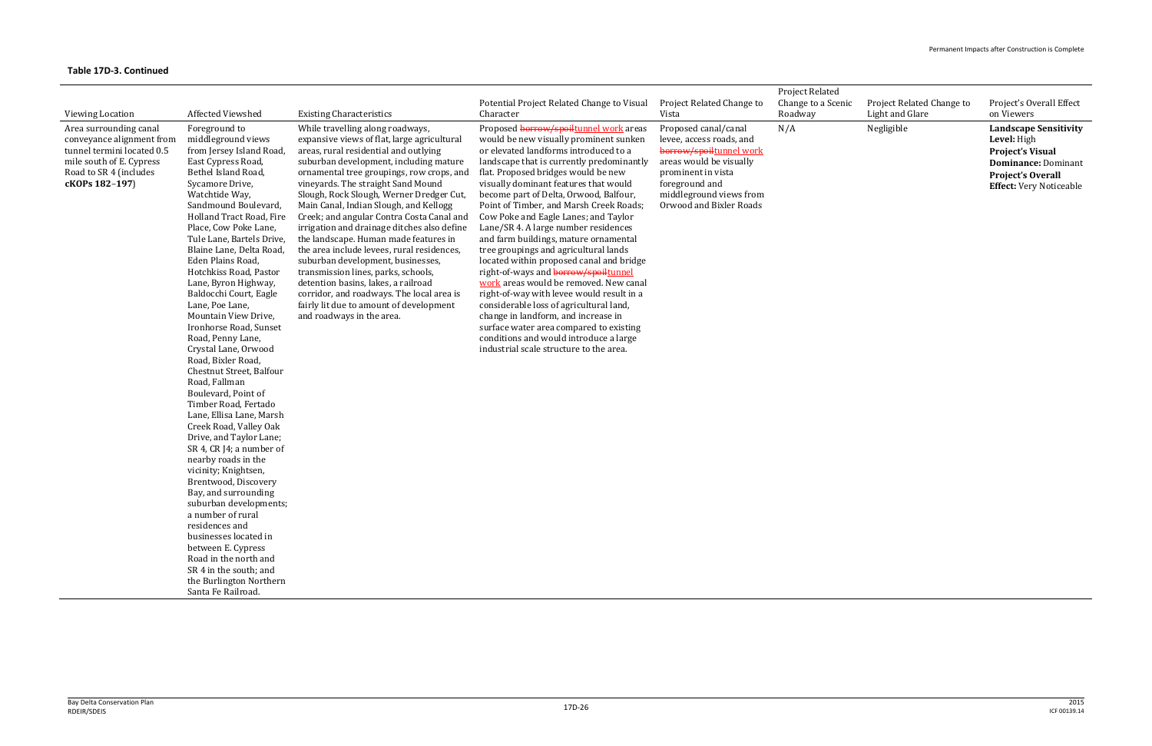|                                                                                                                                                           |                                                                                                                                                                                                                                                                                                                                                                                                                                                                                                                                                                                                                                                                                                                                                                                                                                                                                                                                                                                                                                                              |                                                                                                                                                                                                                                                                                                                                                                                                                                                                                                                                                                                                                                                                                                                                                                        | Potential Project Related Change to Visual                                                                                                                                                                                                                                                                                                                                                                                                                                                                                                                                                                                                                                                                                                                                                                                                                                                                 | Project Related Change to                                                                                                                                                                            | Project Related<br>Change to a Scenic | Project Related Change to | Project's Overall Effect                                                                                                                                           |
|-----------------------------------------------------------------------------------------------------------------------------------------------------------|--------------------------------------------------------------------------------------------------------------------------------------------------------------------------------------------------------------------------------------------------------------------------------------------------------------------------------------------------------------------------------------------------------------------------------------------------------------------------------------------------------------------------------------------------------------------------------------------------------------------------------------------------------------------------------------------------------------------------------------------------------------------------------------------------------------------------------------------------------------------------------------------------------------------------------------------------------------------------------------------------------------------------------------------------------------|------------------------------------------------------------------------------------------------------------------------------------------------------------------------------------------------------------------------------------------------------------------------------------------------------------------------------------------------------------------------------------------------------------------------------------------------------------------------------------------------------------------------------------------------------------------------------------------------------------------------------------------------------------------------------------------------------------------------------------------------------------------------|------------------------------------------------------------------------------------------------------------------------------------------------------------------------------------------------------------------------------------------------------------------------------------------------------------------------------------------------------------------------------------------------------------------------------------------------------------------------------------------------------------------------------------------------------------------------------------------------------------------------------------------------------------------------------------------------------------------------------------------------------------------------------------------------------------------------------------------------------------------------------------------------------------|------------------------------------------------------------------------------------------------------------------------------------------------------------------------------------------------------|---------------------------------------|---------------------------|--------------------------------------------------------------------------------------------------------------------------------------------------------------------|
| <b>Viewing Location</b>                                                                                                                                   | Affected Viewshed                                                                                                                                                                                                                                                                                                                                                                                                                                                                                                                                                                                                                                                                                                                                                                                                                                                                                                                                                                                                                                            | <b>Existing Characteristics</b>                                                                                                                                                                                                                                                                                                                                                                                                                                                                                                                                                                                                                                                                                                                                        | Character                                                                                                                                                                                                                                                                                                                                                                                                                                                                                                                                                                                                                                                                                                                                                                                                                                                                                                  | Vista                                                                                                                                                                                                | Roadway                               | Light and Glare           | on Viewers                                                                                                                                                         |
| Area surrounding canal<br>conveyance alignment from<br>tunnel termini located 0.5<br>mile south of E. Cypress<br>Road to SR 4 (includes<br>cKOPs 182-197) | Foreground to<br>middleground views<br>from Jersey Island Road,<br>East Cypress Road,<br>Bethel Island Road,<br>Sycamore Drive,<br>Watchtide Way,<br>Sandmound Boulevard,<br>Holland Tract Road, Fire<br>Place, Cow Poke Lane,<br>Tule Lane, Bartels Drive,<br>Blaine Lane, Delta Road,<br>Eden Plains Road,<br>Hotchkiss Road, Pastor<br>Lane, Byron Highway,<br>Baldocchi Court, Eagle<br>Lane, Poe Lane,<br>Mountain View Drive,<br>Ironhorse Road, Sunset<br>Road, Penny Lane,<br>Crystal Lane, Orwood<br>Road, Bixler Road,<br>Chestnut Street, Balfour<br>Road, Fallman<br>Boulevard, Point of<br>Timber Road, Fertado<br>Lane, Ellisa Lane, Marsh<br>Creek Road, Valley Oak<br>Drive, and Taylor Lane;<br>SR 4, CR J4; a number of<br>nearby roads in the<br>vicinity; Knightsen,<br>Brentwood, Discovery<br>Bay, and surrounding<br>suburban developments;<br>a number of rural<br>residences and<br>businesses located in<br>between E. Cypress<br>Road in the north and<br>SR 4 in the south; and<br>the Burlington Northern<br>Santa Fe Railroad. | While travelling along roadways,<br>expansive views of flat, large agricultural<br>areas, rural residential and outlying<br>suburban development, including mature<br>ornamental tree groupings, row crops, and<br>vineyards. The straight Sand Mound<br>Slough, Rock Slough, Werner Dredger Cut,<br>Main Canal, Indian Slough, and Kellogg<br>Creek; and angular Contra Costa Canal and<br>irrigation and drainage ditches also define<br>the landscape. Human made features in<br>the area include levees, rural residences,<br>suburban development, businesses,<br>transmission lines, parks, schools,<br>detention basins, lakes, a railroad<br>corridor, and roadways. The local area is<br>fairly lit due to amount of development<br>and roadways in the area. | Proposed borrow/spoiltunnel work areas<br>would be new visually prominent sunken<br>or elevated landforms introduced to a<br>landscape that is currently predominantly<br>flat. Proposed bridges would be new<br>visually dominant features that would<br>become part of Delta, Orwood, Balfour,<br>Point of Timber, and Marsh Creek Roads;<br>Cow Poke and Eagle Lanes; and Taylor<br>Lane/SR 4. A large number residences<br>and farm buildings, mature ornamental<br>tree groupings and agricultural lands<br>located within proposed canal and bridge<br>right-of-ways and borrow/spoiltunnel<br>work areas would be removed. New canal<br>right-of-way with levee would result in a<br>considerable loss of agricultural land,<br>change in landform, and increase in<br>surface water area compared to existing<br>conditions and would introduce a large<br>industrial scale structure to the area. | Proposed canal/canal<br>levee, access roads, and<br>borrow/spoiltunnel work<br>areas would be visually<br>prominent in vista<br>foreground and<br>middleground views from<br>Orwood and Bixler Roads | N/A                                   | Negligible                | <b>Landscape Sensitivity</b><br>Level: High<br><b>Project's Visual</b><br><b>Dominance: Dominant</b><br><b>Project's Overall</b><br><b>Effect:</b> Very Noticeable |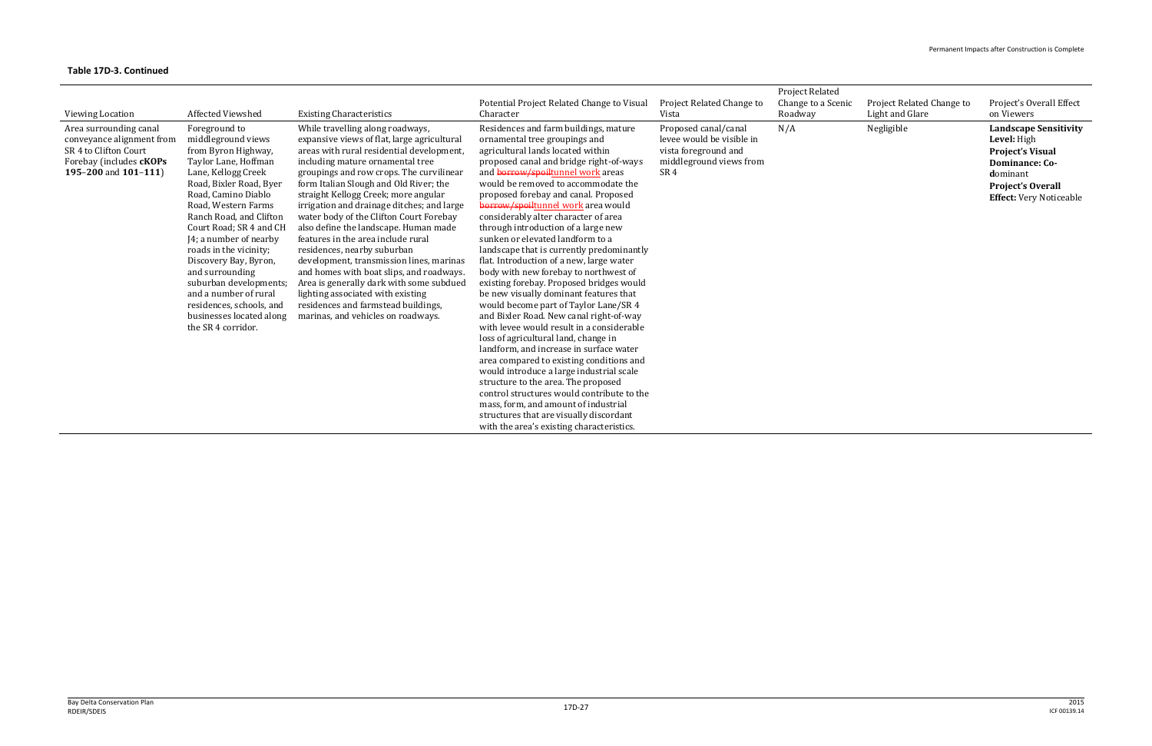| <b>Viewing Location</b>                                                                                                          | <b>Affected Viewshed</b>                                                                                                                                                                                                                                                                                                                                                                                                                                                  | <b>Existing Characteristics</b>                                                                                                                                                                                                                                                                                                                                                                                                                                                                                                                                                                                                                                                                                                                             | Potential Project Related Change to Visual<br>Character                                                                                                                                                                                                                                                                                                                                                                                                                                                                                                                                                                                                                                                                                                                                                                                                                                                                                                                                                                                                                                                                                                                                      | Project Related Change to<br>Vista                                                                                      | <b>Project Related</b><br>Change to a Scenic<br>Roadway | Project Related Change to<br>Light and Glare | Project's Overall Effect<br>on Viewers                                                                                                                                    |
|----------------------------------------------------------------------------------------------------------------------------------|---------------------------------------------------------------------------------------------------------------------------------------------------------------------------------------------------------------------------------------------------------------------------------------------------------------------------------------------------------------------------------------------------------------------------------------------------------------------------|-------------------------------------------------------------------------------------------------------------------------------------------------------------------------------------------------------------------------------------------------------------------------------------------------------------------------------------------------------------------------------------------------------------------------------------------------------------------------------------------------------------------------------------------------------------------------------------------------------------------------------------------------------------------------------------------------------------------------------------------------------------|----------------------------------------------------------------------------------------------------------------------------------------------------------------------------------------------------------------------------------------------------------------------------------------------------------------------------------------------------------------------------------------------------------------------------------------------------------------------------------------------------------------------------------------------------------------------------------------------------------------------------------------------------------------------------------------------------------------------------------------------------------------------------------------------------------------------------------------------------------------------------------------------------------------------------------------------------------------------------------------------------------------------------------------------------------------------------------------------------------------------------------------------------------------------------------------------|-------------------------------------------------------------------------------------------------------------------------|---------------------------------------------------------|----------------------------------------------|---------------------------------------------------------------------------------------------------------------------------------------------------------------------------|
| Area surrounding canal<br>conveyance alignment from<br>SR 4 to Clifton Court<br>Forebay (includes cKOPs<br>195-200 and $101-111$ | Foreground to<br>middleground views<br>from Byron Highway,<br>Taylor Lane, Hoffman<br>Lane, Kellogg Creek<br>Road, Bixler Road, Byer<br>Road, Camino Diablo<br>Road, Western Farms<br>Ranch Road, and Clifton<br>Court Road; SR 4 and CH<br>J4; a number of nearby<br>roads in the vicinity;<br>Discovery Bay, Byron,<br>and surrounding<br>suburban developments;<br>and a number of rural<br>residences, schools, and<br>businesses located along<br>the SR 4 corridor. | While travelling along roadways,<br>expansive views of flat, large agricultural<br>areas with rural residential development,<br>including mature ornamental tree<br>groupings and row crops. The curvilinear<br>form Italian Slough and Old River; the<br>straight Kellogg Creek; more angular<br>irrigation and drainage ditches; and large<br>water body of the Clifton Court Forebay<br>also define the landscape. Human made<br>features in the area include rural<br>residences, nearby suburban<br>development, transmission lines, marinas<br>and homes with boat slips, and roadways.<br>Area is generally dark with some subdued<br>lighting associated with existing<br>residences and farmstead buildings,<br>marinas, and vehicles on roadways. | Residences and farm buildings, mature<br>ornamental tree groupings and<br>agricultural lands located within<br>proposed canal and bridge right-of-ways<br>and borrow/spoiltunnel work areas<br>would be removed to accommodate the<br>proposed forebay and canal. Proposed<br>borrow/spoiltunnel work area would<br>considerably alter character of area<br>through introduction of a large new<br>sunken or elevated landform to a<br>landscape that is currently predominantly<br>flat. Introduction of a new, large water<br>body with new forebay to northwest of<br>existing forebay. Proposed bridges would<br>be new visually dominant features that<br>would become part of Taylor Lane/SR 4<br>and Bixler Road. New canal right-of-way<br>with levee would result in a considerable<br>loss of agricultural land, change in<br>landform, and increase in surface water<br>area compared to existing conditions and<br>would introduce a large industrial scale<br>structure to the area. The proposed<br>control structures would contribute to the<br>mass, form, and amount of industrial<br>structures that are visually discordant<br>with the area's existing characteristics. | Proposed canal/canal<br>levee would be visible in<br>vista foreground and<br>middleground views from<br>SR <sub>4</sub> | N/A                                                     | Negligible                                   | <b>Landscape Sensitivity</b><br>Level: High<br><b>Project's Visual</b><br><b>Dominance: Co-</b><br>dominant<br><b>Project's Overall</b><br><b>Effect:</b> Very Noticeable |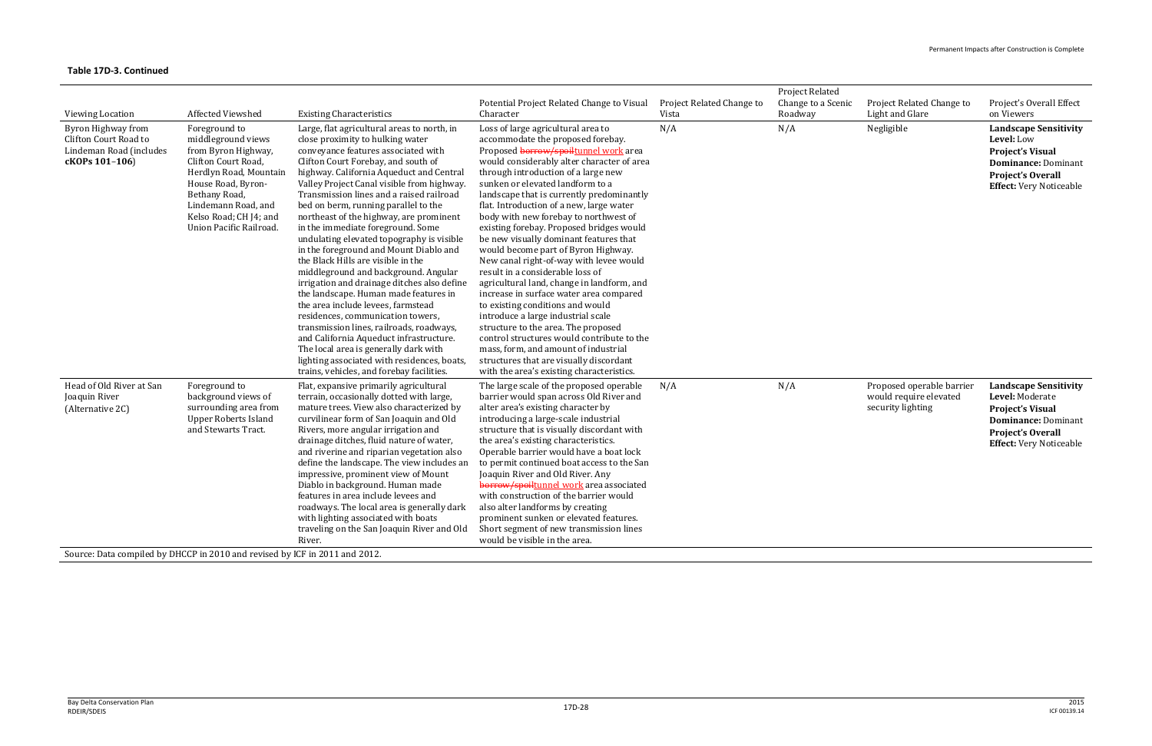|                                                                                          |                                                                                                                                                                                                                                |                                                                                                                                                                                                                                                                                                                                                                                                                                                                                                                                                                                                                                                                                                                                                                                                                                                                                                                                                                                                 |                                                                                                                                                                                                                                                                                                                                                                                                                                                                                                                                                                                                                                                                                                                                                                                                                                                                                                                                                                                 |                                    | <b>Project Related</b>        |                                                                          |                                                                                                                                                                        |
|------------------------------------------------------------------------------------------|--------------------------------------------------------------------------------------------------------------------------------------------------------------------------------------------------------------------------------|-------------------------------------------------------------------------------------------------------------------------------------------------------------------------------------------------------------------------------------------------------------------------------------------------------------------------------------------------------------------------------------------------------------------------------------------------------------------------------------------------------------------------------------------------------------------------------------------------------------------------------------------------------------------------------------------------------------------------------------------------------------------------------------------------------------------------------------------------------------------------------------------------------------------------------------------------------------------------------------------------|---------------------------------------------------------------------------------------------------------------------------------------------------------------------------------------------------------------------------------------------------------------------------------------------------------------------------------------------------------------------------------------------------------------------------------------------------------------------------------------------------------------------------------------------------------------------------------------------------------------------------------------------------------------------------------------------------------------------------------------------------------------------------------------------------------------------------------------------------------------------------------------------------------------------------------------------------------------------------------|------------------------------------|-------------------------------|--------------------------------------------------------------------------|------------------------------------------------------------------------------------------------------------------------------------------------------------------------|
| <b>Viewing Location</b>                                                                  | Affected Viewshed                                                                                                                                                                                                              | <b>Existing Characteristics</b>                                                                                                                                                                                                                                                                                                                                                                                                                                                                                                                                                                                                                                                                                                                                                                                                                                                                                                                                                                 | Potential Project Related Change to Visual<br>Character                                                                                                                                                                                                                                                                                                                                                                                                                                                                                                                                                                                                                                                                                                                                                                                                                                                                                                                         | Project Related Change to<br>Vista | Change to a Scenic<br>Roadway | Project Related Change to<br>Light and Glare                             | Project's Overall Effect<br>on Viewers                                                                                                                                 |
| Byron Highway from<br>Clifton Court Road to<br>Lindeman Road (includes<br>cKOPs 101-106) | Foreground to<br>middleground views<br>from Byron Highway,<br>Clifton Court Road,<br>Herdlyn Road, Mountain<br>House Road, Byron-<br>Bethany Road,<br>Lindemann Road, and<br>Kelso Road; CH J4; and<br>Union Pacific Railroad. | Large, flat agricultural areas to north, in<br>close proximity to hulking water<br>conveyance features associated with<br>Clifton Court Forebay, and south of<br>highway. California Aqueduct and Central<br>Valley Project Canal visible from highway.<br>Transmission lines and a raised railroad<br>bed on berm, running parallel to the<br>northeast of the highway, are prominent<br>in the immediate foreground. Some<br>undulating elevated topography is visible<br>in the foreground and Mount Diablo and<br>the Black Hills are visible in the<br>middleground and background. Angular<br>irrigation and drainage ditches also define<br>the landscape. Human made features in<br>the area include levees, farmstead<br>residences, communication towers,<br>transmission lines, railroads, roadways,<br>and California Aqueduct infrastructure.<br>The local area is generally dark with<br>lighting associated with residences, boats,<br>trains, vehicles, and forebay facilities. | Loss of large agricultural area to<br>accommodate the proposed forebay.<br>Proposed borrow/spoiltunnel work area<br>would considerably alter character of area<br>through introduction of a large new<br>sunken or elevated landform to a<br>landscape that is currently predominantly<br>flat. Introduction of a new, large water<br>body with new forebay to northwest of<br>existing forebay. Proposed bridges would<br>be new visually dominant features that<br>would become part of Byron Highway.<br>New canal right-of-way with levee would<br>result in a considerable loss of<br>agricultural land, change in landform, and<br>increase in surface water area compared<br>to existing conditions and would<br>introduce a large industrial scale<br>structure to the area. The proposed<br>control structures would contribute to the<br>mass, form, and amount of industrial<br>structures that are visually discordant<br>with the area's existing characteristics. | N/A                                | N/A                           | Negligible                                                               | <b>Landscape Sensitivity</b><br>Level: Low<br><b>Project's Visual</b><br><b>Dominance: Dominant</b><br><b>Project's Overall</b><br><b>Effect:</b> Very Noticeable      |
| Head of Old River at San<br>Joaquin River<br>(Alternative 2C)                            | Foreground to<br>background views of<br>surrounding area from<br><b>Upper Roberts Island</b><br>and Stewarts Tract.                                                                                                            | Flat, expansive primarily agricultural<br>terrain, occasionally dotted with large,<br>mature trees. View also characterized by<br>curvilinear form of San Joaquin and Old<br>Rivers, more angular irrigation and<br>drainage ditches, fluid nature of water,<br>and riverine and riparian vegetation also<br>define the landscape. The view includes an<br>impressive, prominent view of Mount<br>Diablo in background. Human made<br>features in area include levees and<br>roadways. The local area is generally dark<br>with lighting associated with boats<br>traveling on the San Joaquin River and Old<br>River.                                                                                                                                                                                                                                                                                                                                                                          | The large scale of the proposed operable<br>barrier would span across Old River and<br>alter area's existing character by<br>introducing a large-scale industrial<br>structure that is visually discordant with<br>the area's existing characteristics.<br>Operable barrier would have a boat lock<br>to permit continued boat access to the San<br>Joaquin River and Old River. Any<br>borrow/spoiltunnel work area associated<br>with construction of the barrier would<br>also alter landforms by creating<br>prominent sunken or elevated features.<br>Short segment of new transmission lines<br>would be visible in the area.                                                                                                                                                                                                                                                                                                                                             | N/A                                | N/A                           | Proposed operable barrier<br>would require elevated<br>security lighting | <b>Landscape Sensitivity</b><br>Level: Moderate<br><b>Project's Visual</b><br><b>Dominance: Dominant</b><br><b>Project's Overall</b><br><b>Effect:</b> Very Noticeable |
| Source: Data compiled by DHCCP in 2010 and revised by ICF in 2011 and 2012.              |                                                                                                                                                                                                                                |                                                                                                                                                                                                                                                                                                                                                                                                                                                                                                                                                                                                                                                                                                                                                                                                                                                                                                                                                                                                 |                                                                                                                                                                                                                                                                                                                                                                                                                                                                                                                                                                                                                                                                                                                                                                                                                                                                                                                                                                                 |                                    |                               |                                                                          |                                                                                                                                                                        |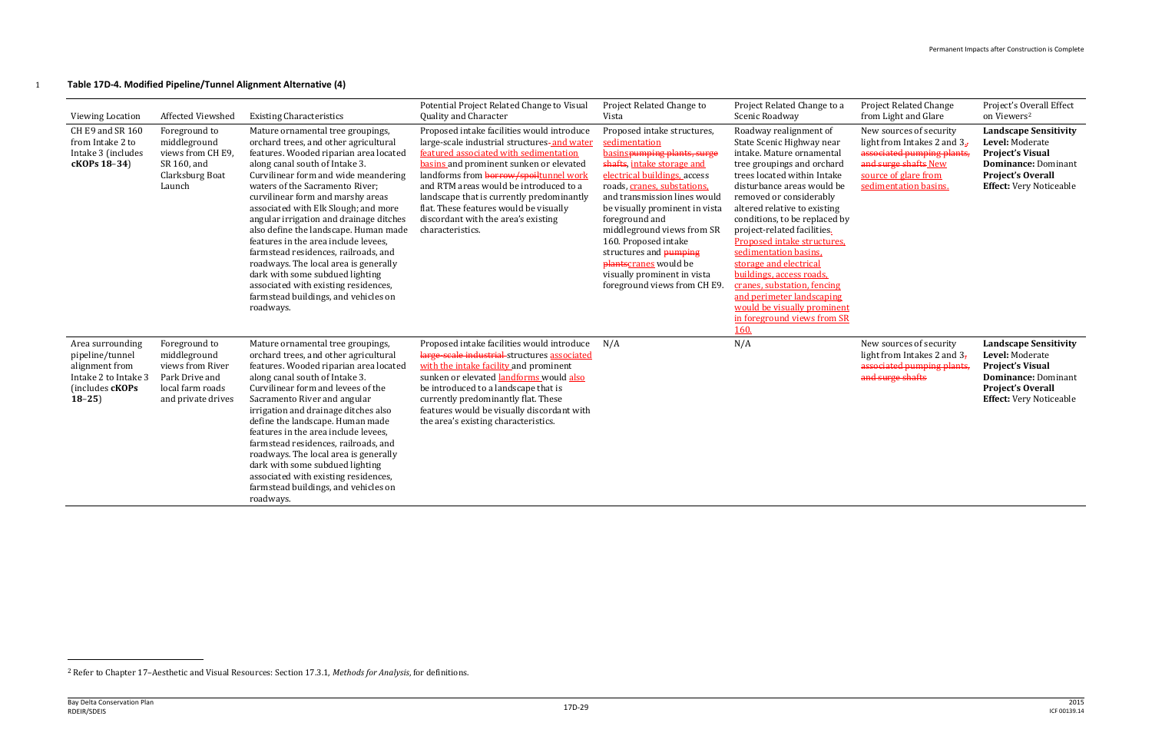

# 1 **Table 17D-4. Modified Pipeline/Tunnel Alignment Alternative (4)**

| Viewing Location                                                                                            | Affected Viewshed                                                                                             | <b>Existing Characteristics</b>                                                                                                                                                                                                                                                                                                                                                                                                                                                                                                                                                                                                                             | Potential Project Related Change to Visual<br>Quality and Character                                                                                                                                                                                                                                                                                                                                                  | Project Related Change to<br>Vista                                                                                                                                                                                                                                                                                                                                                                                                          | Project Related Change to a<br>Scenic Roadway                                                                                                                                                                                                                                                                                                                                                                                                                                                                                                          | <b>Project Related Change</b><br>from Light and Glare                                                                                                           | Project's Overall Effect<br>on Viewers <sup>2</sup>                                                                                                                    |
|-------------------------------------------------------------------------------------------------------------|---------------------------------------------------------------------------------------------------------------|-------------------------------------------------------------------------------------------------------------------------------------------------------------------------------------------------------------------------------------------------------------------------------------------------------------------------------------------------------------------------------------------------------------------------------------------------------------------------------------------------------------------------------------------------------------------------------------------------------------------------------------------------------------|----------------------------------------------------------------------------------------------------------------------------------------------------------------------------------------------------------------------------------------------------------------------------------------------------------------------------------------------------------------------------------------------------------------------|---------------------------------------------------------------------------------------------------------------------------------------------------------------------------------------------------------------------------------------------------------------------------------------------------------------------------------------------------------------------------------------------------------------------------------------------|--------------------------------------------------------------------------------------------------------------------------------------------------------------------------------------------------------------------------------------------------------------------------------------------------------------------------------------------------------------------------------------------------------------------------------------------------------------------------------------------------------------------------------------------------------|-----------------------------------------------------------------------------------------------------------------------------------------------------------------|------------------------------------------------------------------------------------------------------------------------------------------------------------------------|
| CH E9 and SR 160<br>from Intake 2 to<br>Intake 3 (includes<br>cKOPs 18-34)                                  | Foreground to<br>middleground<br>views from CH E9,<br>SR 160, and<br>Clarksburg Boat<br>Launch                | Mature ornamental tree groupings,<br>orchard trees, and other agricultural<br>features. Wooded riparian area located<br>along canal south of Intake 3.<br>Curvilinear form and wide meandering<br>waters of the Sacramento River;<br>curvilinear form and marshy areas<br>associated with Elk Slough; and more<br>angular irrigation and drainage ditches<br>also define the landscape. Human made<br>features in the area include levees.<br>farmstead residences, railroads, and<br>roadways. The local area is generally<br>dark with some subdued lighting<br>associated with existing residences,<br>farmstead buildings, and vehicles on<br>roadways. | Proposed intake facilities would introduce<br>large-scale industrial structures-and water<br>featured associated with sedimentation<br>basins and prominent sunken or elevated<br>landforms from borrow/spoiltunnel work<br>and RTM areas would be introduced to a<br>landscape that is currently predominantly<br>flat. These features would be visually<br>discordant with the area's existing<br>characteristics. | Proposed intake structures,<br>sedimentation<br>basinspumping plants, surge<br>shafts, intake storage and<br>electrical buildings, access<br>roads, cranes, substations,<br>and transmission lines would<br>be visually prominent in vista<br>foreground and<br>middleground views from SR<br>160. Proposed intake<br>structures and <b>pumping</b><br>plantscranes would be<br>visually prominent in vista<br>foreground views from CH E9. | Roadway realignment of<br>State Scenic Highway near<br>intake. Mature ornamental<br>tree groupings and orchard<br>trees located within Intake<br>disturbance areas would be<br>removed or considerably<br>altered relative to existing<br>conditions, to be replaced by<br>project-related facilities.<br>Proposed intake structures.<br>sedimentation basins.<br>storage and electrical<br>buildings, access roads,<br>cranes, substation, fencing<br>and perimeter landscaping<br>would be visually prominent<br>in foreground views from SR<br>160. | New sources of security<br>light from Intakes 2 and $35$<br>associated pumping plants,<br>and surge shafts New<br>source of glare from<br>sedimentation basins. | <b>Landscape Sensitivity</b><br>Level: Moderate<br><b>Project's Visual</b><br><b>Dominance: Dominant</b><br><b>Project's Overall</b><br><b>Effect:</b> Very Noticeable |
| Area surrounding<br>pipeline/tunnel<br>alignment from<br>Intake 2 to Intake 3<br>(includes cKOPs<br>$18-25$ | Foreground to<br>middleground<br>views from River<br>Park Drive and<br>local farm roads<br>and private drives | Mature ornamental tree groupings,<br>orchard trees, and other agricultural<br>features. Wooded riparian area located<br>along canal south of Intake 3.<br>Curvilinear form and levees of the<br>Sacramento River and angular<br>irrigation and drainage ditches also<br>define the landscape. Human made<br>features in the area include levees,<br>farmstead residences, railroads, and<br>roadways. The local area is generally<br>dark with some subdued lighting<br>associated with existing residences,<br>farmstead buildings, and vehicles on<br>roadways.                                                                                           | Proposed intake facilities would introduce<br>large-scale industrial structures associated<br>with the intake facility and prominent<br>sunken or elevated landforms would also<br>be introduced to a landscape that is<br>currently predominantly flat. These<br>features would be visually discordant with<br>the area's existing characteristics.                                                                 | N/A                                                                                                                                                                                                                                                                                                                                                                                                                                         | N/A                                                                                                                                                                                                                                                                                                                                                                                                                                                                                                                                                    | New sources of security<br>light from Intakes 2 and $37$<br>associated pumping plants,<br>and surge shafts                                                      | <b>Landscape Sensitivity</b><br>Level: Moderate<br><b>Project's Visual</b><br>Dominance: Dominant<br><b>Project's Overall</b><br><b>Effect:</b> Very Noticeable        |

l

<sup>2</sup> Refer to Chapter 17–Aesthetic and Visual Resources: Section 17.3.1, *Methods for Analysis*, for definitions.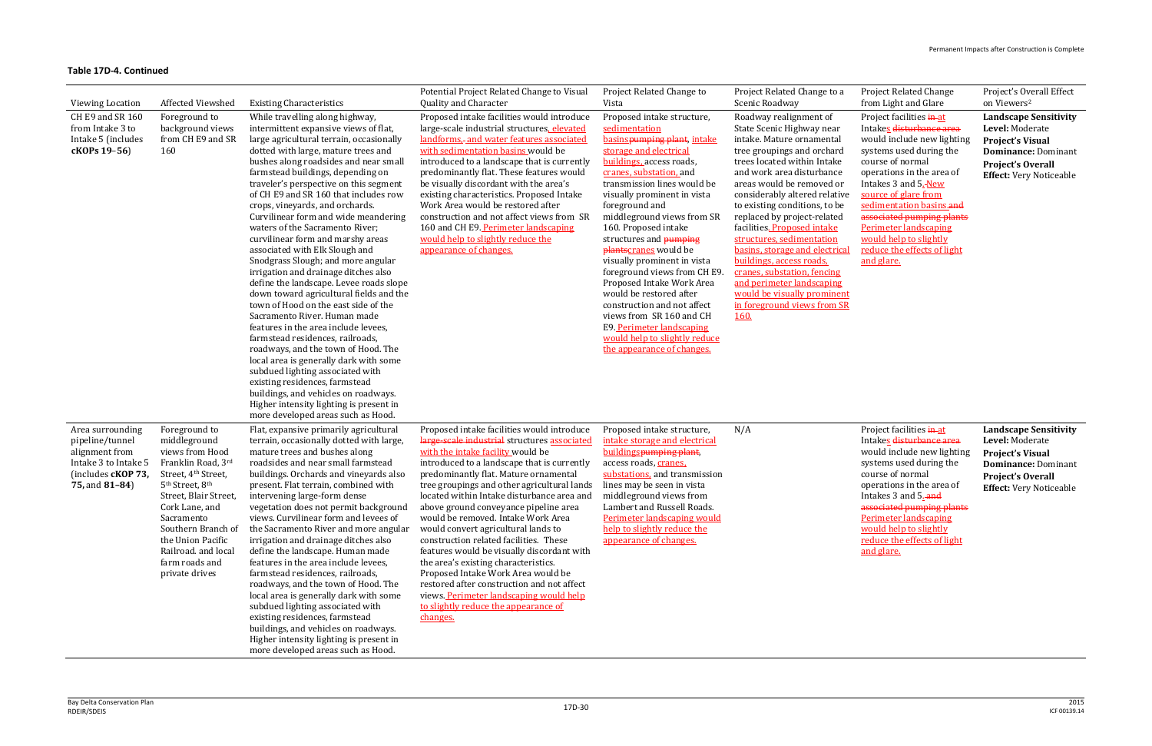| Viewing Location                                                                                                      | Affected Viewshed                                                                                                                                                                                                                                                                                       | <b>Existing Characteristics</b>                                                                                                                                                                                                                                                                                                                                                                                                                                                                                                                                                                                                                                                                                                                                                                                                                                                                                                                                                                                                                                                                                           | Potential Project Related Change to Visual<br>Quality and Character                                                                                                                                                                                                                                                                                                                                                                                                                                                                                                                                                                                                                                                                                           | Project Related Change to<br>Vista                                                                                                                                                                                                                                                                                                                                                                                                                                                                                                                                                                                                        | Project Related Change to a<br>Scenic Roadway                                                                                                                                                                                                                                                                                                                                                                                                                                                                                                                        | <b>Project Related Change</b><br>from Light and Glare                                                                                                                                                                                                                                                                                                                          | Project's Overall Effect<br>on Viewers <sup>2</sup>                                                                                                                    |
|-----------------------------------------------------------------------------------------------------------------------|---------------------------------------------------------------------------------------------------------------------------------------------------------------------------------------------------------------------------------------------------------------------------------------------------------|---------------------------------------------------------------------------------------------------------------------------------------------------------------------------------------------------------------------------------------------------------------------------------------------------------------------------------------------------------------------------------------------------------------------------------------------------------------------------------------------------------------------------------------------------------------------------------------------------------------------------------------------------------------------------------------------------------------------------------------------------------------------------------------------------------------------------------------------------------------------------------------------------------------------------------------------------------------------------------------------------------------------------------------------------------------------------------------------------------------------------|---------------------------------------------------------------------------------------------------------------------------------------------------------------------------------------------------------------------------------------------------------------------------------------------------------------------------------------------------------------------------------------------------------------------------------------------------------------------------------------------------------------------------------------------------------------------------------------------------------------------------------------------------------------------------------------------------------------------------------------------------------------|-------------------------------------------------------------------------------------------------------------------------------------------------------------------------------------------------------------------------------------------------------------------------------------------------------------------------------------------------------------------------------------------------------------------------------------------------------------------------------------------------------------------------------------------------------------------------------------------------------------------------------------------|----------------------------------------------------------------------------------------------------------------------------------------------------------------------------------------------------------------------------------------------------------------------------------------------------------------------------------------------------------------------------------------------------------------------------------------------------------------------------------------------------------------------------------------------------------------------|--------------------------------------------------------------------------------------------------------------------------------------------------------------------------------------------------------------------------------------------------------------------------------------------------------------------------------------------------------------------------------|------------------------------------------------------------------------------------------------------------------------------------------------------------------------|
| CH E9 and SR 160<br>from Intake 3 to<br>Intake 5 (includes<br>cKOPs 19-56)                                            | Foreground to<br>background views<br>from CH E9 and SR<br>160                                                                                                                                                                                                                                           | While travelling along highway,<br>intermittent expansive views of flat,<br>large agricultural terrain, occasionally<br>dotted with large, mature trees and<br>bushes along roadsides and near small<br>farmstead buildings, depending on<br>traveler's perspective on this segment<br>of CH E9 and SR 160 that includes row<br>crops, vineyards, and orchards.<br>Curvilinear form and wide meandering<br>waters of the Sacramento River;<br>curvilinear form and marshy areas<br>associated with Elk Slough and<br>Snodgrass Slough; and more angular<br>irrigation and drainage ditches also<br>define the landscape. Levee roads slope<br>down toward agricultural fields and the<br>town of Hood on the east side of the<br>Sacramento River. Human made<br>features in the area include levees,<br>farmstead residences, railroads,<br>roadways, and the town of Hood. The<br>local area is generally dark with some<br>subdued lighting associated with<br>existing residences, farmstead<br>buildings, and vehicles on roadways.<br>Higher intensity lighting is present in<br>more developed areas such as Hood. | Proposed intake facilities would introduce<br>large-scale industrial structures, elevated<br>landforms,- and water features associated<br>with sedimentation basins would be<br>introduced to a landscape that is currently<br>predominantly flat. These features would<br>be visually discordant with the area's<br>existing characteristics. Proposed Intake<br>Work Area would be restored after<br>construction and not affect views from SR<br>160 and CH E9. Perimeter landscaping<br>would help to slightly reduce the<br>appearance of changes.                                                                                                                                                                                                       | Proposed intake structure,<br>sedimentation<br>basinspumping plant, intake<br>storage and electrical<br>buildings, access roads,<br>cranes, substation, and<br>transmission lines would be<br>visually prominent in vista<br>foreground and<br>middleground views from SR<br>160. Proposed intake<br>structures and <b>pumping</b><br>plantscranes would be<br>visually prominent in vista<br>foreground views from CH E9.<br>Proposed Intake Work Area<br>would be restored after<br>construction and not affect<br>views from SR 160 and CH<br>E9. Perimeter landscaping<br>would help to slightly reduce<br>the appearance of changes. | Roadway realignment of<br>State Scenic Highway near<br>intake. Mature ornamental<br>tree groupings and orchard<br>trees located within Intake<br>and work area disturbance<br>areas would be removed or<br>considerably altered relative<br>to existing conditions, to be<br>replaced by project-related<br>facilities. Proposed intake<br>structures, sedimentation<br>basins, storage and electrical<br>buildings, access roads.<br>cranes, substation, fencing<br>and perimeter landscaping<br>would be visually prominent<br>in foreground views from SR<br>160. | Project facilities in at<br>Intakes disturbance area<br>would include new lighting<br>systems used during the<br>course of normal<br>operations in the area of<br>Intakes 3 and 5.-New<br>source of glare from<br>sedimentation basins.and<br>associated pumping plants<br><b>Perimeter landscaping</b><br>would help to slightly<br>reduce the effects of light<br>and glare. | <b>Landscape Sensitivity</b><br>Level: Moderate<br><b>Project's Visual</b><br><b>Dominance: Dominant</b><br><b>Project's Overall</b><br><b>Effect:</b> Very Noticeable |
| Area surrounding<br>pipeline/tunnel<br>alignment from<br>Intake 3 to Intake 5<br>(includes cKOP 73,<br>75, and 81-84) | Foreground to<br>middleground<br>views from Hood<br>Franklin Road, 3rd<br>Street, 4th Street,<br>5 <sup>th</sup> Street, 8 <sup>th</sup><br>Street, Blair Street,<br>Cork Lane, and<br>Sacramento<br>Southern Branch of<br>the Union Pacific<br>Railroad. and local<br>farm roads and<br>private drives | Flat, expansive primarily agricultural<br>terrain, occasionally dotted with large,<br>mature trees and bushes along<br>roadsides and near small farmstead<br>buildings. Orchards and vineyards also<br>present. Flat terrain, combined with<br>intervening large-form dense<br>vegetation does not permit background<br>views. Curvilinear form and levees of<br>the Sacramento River and more angular<br>irrigation and drainage ditches also<br>define the landscape. Human made<br>features in the area include levees.<br>farmstead residences, railroads,<br>roadways, and the town of Hood. The<br>local area is generally dark with some<br>subdued lighting associated with<br>existing residences, farmstead<br>buildings, and vehicles on roadways.<br>Higher intensity lighting is present in<br>more developed areas such as Hood.                                                                                                                                                                                                                                                                            | Proposed intake facilities would introduce<br>large-scale industrial structures associated<br>with the intake facility would be<br>introduced to a landscape that is currently<br>predominantly flat. Mature ornamental<br>tree groupings and other agricultural lands<br>located within Intake disturbance area and<br>above ground conveyance pipeline area<br>would be removed. Intake Work Area<br>would convert agricultural lands to<br>construction related facilities. These<br>features would be visually discordant with<br>the area's existing characteristics.<br>Proposed Intake Work Area would be<br>restored after construction and not affect<br>views. Perimeter landscaping would help<br>to slightly reduce the appearance of<br>changes. | Proposed intake structure,<br>intake storage and electrical<br>buildingspumping plant,<br>access roads, cranes,<br>substations, and transmission<br>lines may be seen in vista<br>middleground views from<br>Lambert and Russell Roads.<br>Perimeter landscaping would<br>help to slightly reduce the<br>appearance of changes.                                                                                                                                                                                                                                                                                                           | N/A                                                                                                                                                                                                                                                                                                                                                                                                                                                                                                                                                                  | Project facilities in-at<br>Intakes disturbance area<br>would include new lighting<br>systems used during the<br>course of normal<br>operations in the area of<br>Intakes 3 and 5. and<br>associated pumping plants<br>Perimeter landscaping<br>would help to slightly<br>reduce the effects of light<br>and glare.                                                            | <b>Landscape Sensitivity</b><br>Level: Moderate<br><b>Project's Visual</b><br><b>Dominance: Dominant</b><br><b>Project's Overall</b><br><b>Effect:</b> Very Noticeable |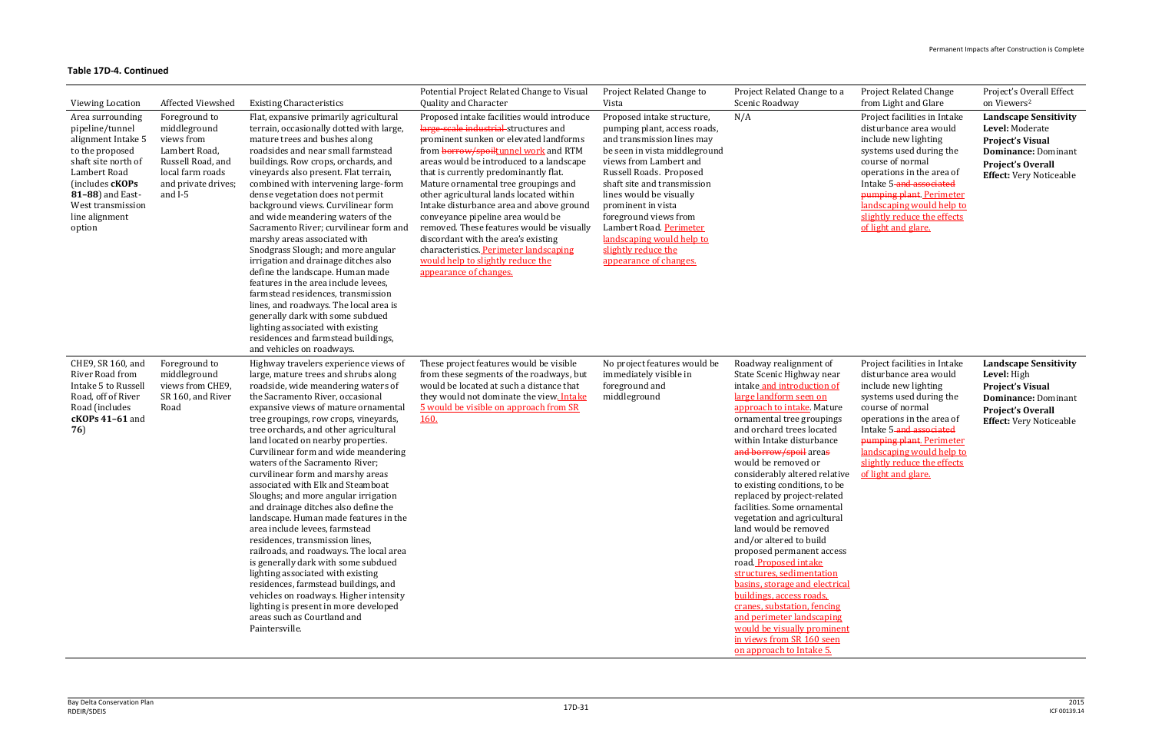Project Related Change from Light and Glare

Project's Overall Effect on Viewers 2

Project facilities in Intake disturbance area would include new lighting systems used during the course of normal operations in the area of Intake 5-and associated pumping plant. Perimeter landscaping would help to slightly reduce the effects of light and glare.

Project facilities in Intake disturbance area would include new lighting systems used during the course of normal operations in the area of Intake 5-and associated pumping plant. Perimeter landscaping would help to slightly reduce the effects ve of light and glare.

| <b>Viewing Location</b>                                                                                                                                                                                            | Affected Viewshed                                                                                                                         | <b>Existing Characteristics</b>                                                                                                                                                                                                                                                                                                                                                                                                                                                                                                                                                                                                                                                                                                                                                                                                                                                                                                                                                | Potential Project Related Change to Visual<br>Quality and Character                                                                                                                                                                                                                                                                                                                                                                                                                                                                                                                                                                | Project Related Change to<br>Vista                                                                                                                                                                                                                                                                                                                                                               | Project Related Change to a<br>Scenic Roadway                                                                                                                                                                                                                                                                                                                                                                                                                                                                                                                                                                                                                                                                                                                                                            |
|--------------------------------------------------------------------------------------------------------------------------------------------------------------------------------------------------------------------|-------------------------------------------------------------------------------------------------------------------------------------------|--------------------------------------------------------------------------------------------------------------------------------------------------------------------------------------------------------------------------------------------------------------------------------------------------------------------------------------------------------------------------------------------------------------------------------------------------------------------------------------------------------------------------------------------------------------------------------------------------------------------------------------------------------------------------------------------------------------------------------------------------------------------------------------------------------------------------------------------------------------------------------------------------------------------------------------------------------------------------------|------------------------------------------------------------------------------------------------------------------------------------------------------------------------------------------------------------------------------------------------------------------------------------------------------------------------------------------------------------------------------------------------------------------------------------------------------------------------------------------------------------------------------------------------------------------------------------------------------------------------------------|--------------------------------------------------------------------------------------------------------------------------------------------------------------------------------------------------------------------------------------------------------------------------------------------------------------------------------------------------------------------------------------------------|----------------------------------------------------------------------------------------------------------------------------------------------------------------------------------------------------------------------------------------------------------------------------------------------------------------------------------------------------------------------------------------------------------------------------------------------------------------------------------------------------------------------------------------------------------------------------------------------------------------------------------------------------------------------------------------------------------------------------------------------------------------------------------------------------------|
| Area surrounding<br>pipeline/tunnel<br>alignment Intake 5<br>to the proposed<br>shaft site north of<br>Lambert Road<br>(includes <b>cKOPs</b><br>81-88) and East-<br>West transmission<br>line alignment<br>option | Foreground to<br>middleground<br>views from<br>Lambert Road,<br>Russell Road, and<br>local farm roads<br>and private drives;<br>and $I-5$ | Flat, expansive primarily agricultural<br>terrain, occasionally dotted with large,<br>mature trees and bushes along<br>roadsides and near small farmstead<br>buildings. Row crops, orchards, and<br>vineyards also present. Flat terrain,<br>combined with intervening large-form<br>dense vegetation does not permit<br>background views. Curvilinear form<br>and wide meandering waters of the<br>Sacramento River; curvilinear form and<br>marshy areas associated with<br>Snodgrass Slough; and more angular<br>irrigation and drainage ditches also<br>define the landscape. Human made<br>features in the area include levees,<br>farmstead residences, transmission<br>lines, and roadways. The local area is<br>generally dark with some subdued<br>lighting associated with existing<br>residences and farmstead buildings,<br>and vehicles on roadways.                                                                                                              | Proposed intake facilities would introduce<br>large-scale industrial structures and<br>prominent sunken or elevated landforms<br>from <b>borrow/spoiltunnel work</b> and RTM<br>areas would be introduced to a landscape<br>that is currently predominantly flat.<br>Mature ornamental tree groupings and<br>other agricultural lands located within<br>Intake disturbance area and above ground<br>conveyance pipeline area would be<br>removed. These features would be visually<br>discordant with the area's existing<br>characteristics. Perimeter landscaping<br>would help to slightly reduce the<br>appearance of changes. | Proposed intake structure,<br>pumping plant, access roads,<br>and transmission lines may<br>be seen in vista middleground<br>views from Lambert and<br>Russell Roads. Proposed<br>shaft site and transmission<br>lines would be visually<br>prominent in vista<br>foreground views from<br>Lambert Road. Perimeter<br>landscaping would help to<br>slightly reduce the<br>appearance of changes. | N/A                                                                                                                                                                                                                                                                                                                                                                                                                                                                                                                                                                                                                                                                                                                                                                                                      |
| CHE9, SR 160, and<br>River Road from<br>Intake 5 to Russell<br>Road, off of River<br>Road (includes<br>cKOPs 41-61 and<br>76)                                                                                      | Foreground to<br>middleground<br>views from CHE9,<br>SR 160, and River<br>Road                                                            | Highway travelers experience views of<br>large, mature trees and shrubs along<br>roadside, wide meandering waters of<br>the Sacramento River, occasional<br>expansive views of mature ornamental<br>tree groupings, row crops, vineyards,<br>tree orchards, and other agricultural<br>land located on nearby properties.<br>Curvilinear form and wide meandering<br>waters of the Sacramento River;<br>curvilinear form and marshy areas<br>associated with Elk and Steamboat<br>Sloughs; and more angular irrigation<br>and drainage ditches also define the<br>landscape. Human made features in the<br>area include levees, farmstead<br>residences, transmission lines,<br>railroads, and roadways. The local area<br>is generally dark with some subdued<br>lighting associated with existing<br>residences, farmstead buildings, and<br>vehicles on roadways. Higher intensity<br>lighting is present in more developed<br>areas such as Courtland and<br>Paintersville. | These project features would be visible<br>from these segments of the roadways, but<br>would be located at such a distance that<br>they would not dominate the view. Intake<br>5 would be visible on approach from SR<br><b>160.</b>                                                                                                                                                                                                                                                                                                                                                                                               | No project features would be<br>immediately visible in<br>foreground and<br>middleground                                                                                                                                                                                                                                                                                                         | Roadway realignment of<br>State Scenic Highway near<br>intake and introduction of<br>large landform seen on<br>approach to intake. Mature<br>ornamental tree groupings<br>and orchard trees located<br>within Intake disturbance<br>and borrow/spoil areas<br>would be removed or<br>considerably altered relative<br>to existing conditions, to be<br>replaced by project-related<br>facilities. Some ornamental<br>vegetation and agricultural<br>land would be removed<br>and/or altered to build<br>proposed permanent access<br>road Proposed intake<br>structures, sedimentation<br>basins, storage and electrical<br>buildings, access roads,<br>cranes, substation, fencing<br>and perimeter landscaping<br>would be visually prominent<br>in views from SR 160 seen<br>on approach to Intake 5. |

**Landscape Sensitivity Level:** Moderate **Project's Visual Dominance:** Dominant **Project's Overall Effect:** Very Noticeable

**Landscape Sensitivity Level:** High **Project's Visual Dominance:** Dominant **Project's Overall Effect:** Very Noticeable

<u>cal</u>

<u>ent</u>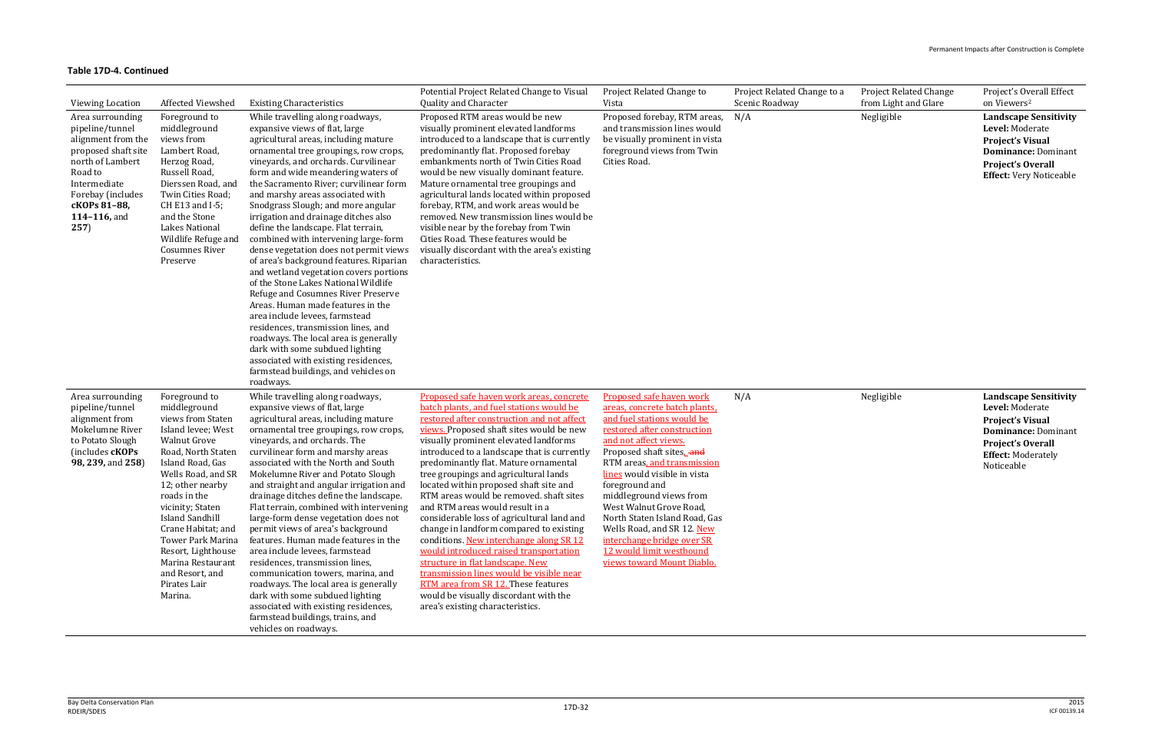| Project Related Change to a<br>Scenic Roadway | <b>Project Related Change</b><br>from Light and Glare | Project's Overall Effect<br>on Viewers <sup>2</sup> |
|-----------------------------------------------|-------------------------------------------------------|-----------------------------------------------------|
| N/A                                           | Negligible                                            | <b>Landscape Sensitivity</b><br>Level: Moderate     |
|                                               |                                                       | <b>Project's Visual</b>                             |
|                                               |                                                       | Dominance: Dominant                                 |
|                                               |                                                       | <b>Project's Overall</b>                            |
|                                               |                                                       | <b>Effect:</b> Very Noticeable                      |
|                                               |                                                       |                                                     |

| <b>Viewing Location</b>                                                                                                                                                                      | <b>Affected Viewshed</b>                                                                                                                                                                                                                                                                                                                                                                     | <b>Existing Characteristics</b>                                                                                                                                                                                                                                                                                                                                                                                                                                                                                                                                                                                                                                                                                                                                                                                                                                                                                                                                                  | Potential Project Related Change to Visual<br>Quality and Character                                                                                                                                                                                                                                                                                                                                                                                                                                                                                                                                                                                                                                                                                                                                                                                                | Project Related Change to<br>Vista                                                                                                                                                                                                                                                                                                                                                                                                                                        | Project Related Change to a<br>Scenic Roadway | Project Related Change<br>from Light and Glare | Project's Overall Effect<br>on Viewers <sup>2</sup>                                                                                                                             |
|----------------------------------------------------------------------------------------------------------------------------------------------------------------------------------------------|----------------------------------------------------------------------------------------------------------------------------------------------------------------------------------------------------------------------------------------------------------------------------------------------------------------------------------------------------------------------------------------------|----------------------------------------------------------------------------------------------------------------------------------------------------------------------------------------------------------------------------------------------------------------------------------------------------------------------------------------------------------------------------------------------------------------------------------------------------------------------------------------------------------------------------------------------------------------------------------------------------------------------------------------------------------------------------------------------------------------------------------------------------------------------------------------------------------------------------------------------------------------------------------------------------------------------------------------------------------------------------------|--------------------------------------------------------------------------------------------------------------------------------------------------------------------------------------------------------------------------------------------------------------------------------------------------------------------------------------------------------------------------------------------------------------------------------------------------------------------------------------------------------------------------------------------------------------------------------------------------------------------------------------------------------------------------------------------------------------------------------------------------------------------------------------------------------------------------------------------------------------------|---------------------------------------------------------------------------------------------------------------------------------------------------------------------------------------------------------------------------------------------------------------------------------------------------------------------------------------------------------------------------------------------------------------------------------------------------------------------------|-----------------------------------------------|------------------------------------------------|---------------------------------------------------------------------------------------------------------------------------------------------------------------------------------|
| Area surrounding<br>pipeline/tunnel<br>alignment from the<br>proposed shaft site<br>north of Lambert<br>Road to<br>Intermediate<br>Forebay (includes<br>cKOPs 81-88,<br>114-116, and<br>257) | Foreground to<br>middleground<br>views from<br>Lambert Road,<br>Herzog Road,<br>Russell Road,<br>Dierssen Road, and<br>Twin Cities Road;<br>CH E13 and I-5;<br>and the Stone<br><b>Lakes National</b><br>Wildlife Refuge and<br><b>Cosumnes River</b><br>Preserve                                                                                                                            | While travelling along roadways,<br>expansive views of flat, large<br>agricultural areas, including mature<br>ornamental tree groupings, row crops,<br>vineyards, and orchards. Curvilinear<br>form and wide meandering waters of<br>the Sacramento River; curvilinear form<br>and marshy areas associated with<br>Snodgrass Slough; and more angular<br>irrigation and drainage ditches also<br>define the landscape. Flat terrain,<br>combined with intervening large-form<br>dense vegetation does not permit views<br>of area's background features. Riparian<br>and wetland vegetation covers portions<br>of the Stone Lakes National Wildlife<br>Refuge and Cosumnes River Preserve<br>Areas. Human made features in the<br>area include levees, farmstead<br>residences, transmission lines, and<br>roadways. The local area is generally<br>dark with some subdued lighting<br>associated with existing residences,<br>farmstead buildings, and vehicles on<br>roadways. | Proposed RTM areas would be new<br>visually prominent elevated landforms<br>introduced to a landscape that is currently<br>predominantly flat. Proposed forebay<br>embankments north of Twin Cities Road<br>would be new visually dominant feature.<br>Mature ornamental tree groupings and<br>agricultural lands located within proposed<br>forebay, RTM, and work areas would be<br>removed. New transmission lines would be<br>visible near by the forebay from Twin<br>Cities Road. These features would be<br>visually discordant with the area's existing<br>characteristics.                                                                                                                                                                                                                                                                                | Proposed forebay, RTM areas,<br>and transmission lines would<br>be visually prominent in vista<br>foreground views from Twin<br>Cities Road.                                                                                                                                                                                                                                                                                                                              | N/A                                           | Negligible                                     | <b>Landscape Sensitivity</b><br>Level: Moderate<br><b>Project's Visual</b><br><b>Dominance: Dominant</b><br><b>Project's Overall</b><br><b>Effect:</b> Very Noticeable          |
| Area surrounding<br>pipeline/tunnel<br>alignment from<br>Mokelumne River<br>to Potato Slough<br>(includes cKOPs)<br>98, 239, and 258)                                                        | Foreground to<br>middleground<br>views from Staten<br>Island levee; West<br><b>Walnut Grove</b><br>Road, North Staten<br>Island Road, Gas<br>Wells Road, and SR<br>12; other nearby<br>roads in the<br>vicinity; Staten<br><b>Island Sandhill</b><br>Crane Habitat; and<br><b>Tower Park Marina</b><br>Resort, Lighthouse<br>Marina Restaurant<br>and Resort, and<br>Pirates Lair<br>Marina. | While travelling along roadways,<br>expansive views of flat, large<br>agricultural areas, including mature<br>ornamental tree groupings, row crops,<br>vineyards, and orchards. The<br>curvilinear form and marshy areas<br>associated with the North and South<br>Mokelumne River and Potato Slough<br>and straight and angular irrigation and<br>drainage ditches define the landscape.<br>Flat terrain, combined with intervening<br>large-form dense vegetation does not<br>permit views of area's background<br>features. Human made features in the<br>area include levees, farmstead<br>residences, transmission lines,<br>communication towers, marina, and<br>roadways. The local area is generally<br>dark with some subdued lighting<br>associated with existing residences,<br>farmstead buildings, trains, and<br>vehicles on roadways.                                                                                                                             | Proposed safe haven work areas, concrete<br>batch plants, and fuel stations would be<br>restored after construction and not affect<br>views. Proposed shaft sites would be new<br>visually prominent elevated landforms<br>introduced to a landscape that is currently<br>predominantly flat. Mature ornamental<br>tree groupings and agricultural lands<br>located within proposed shaft site and<br>RTM areas would be removed. shaft sites<br>and RTM areas would result in a<br>considerable loss of agricultural land and<br>change in landform compared to existing<br>conditions. New interchange along SR 12<br>would introduced raised transportation<br>structure in flat landscape. New<br>transmission lines would be visible near<br>RTM area from SR 12. These features<br>would be visually discordant with the<br>area's existing characteristics. | Proposed safe haven work<br>areas, concrete batch plants.<br>and fuel stations would be<br>restored after construction<br>and not affect views.<br>Proposed shaft sites_and<br>RTM areas, and transmission<br>lines would visible in vista<br>foreground and<br>middleground views from<br>West Walnut Grove Road,<br>North Staten Island Road, Gas<br>Wells Road, and SR 12. New<br>interchange bridge over SR<br>12 would limit westbound<br>views toward Mount Diablo. | N/A                                           | Negligible                                     | <b>Landscape Sensitivity</b><br>Level: Moderate<br><b>Project's Visual</b><br><b>Dominance: Dominant</b><br><b>Project's Overall</b><br><b>Effect: Moderately</b><br>Noticeable |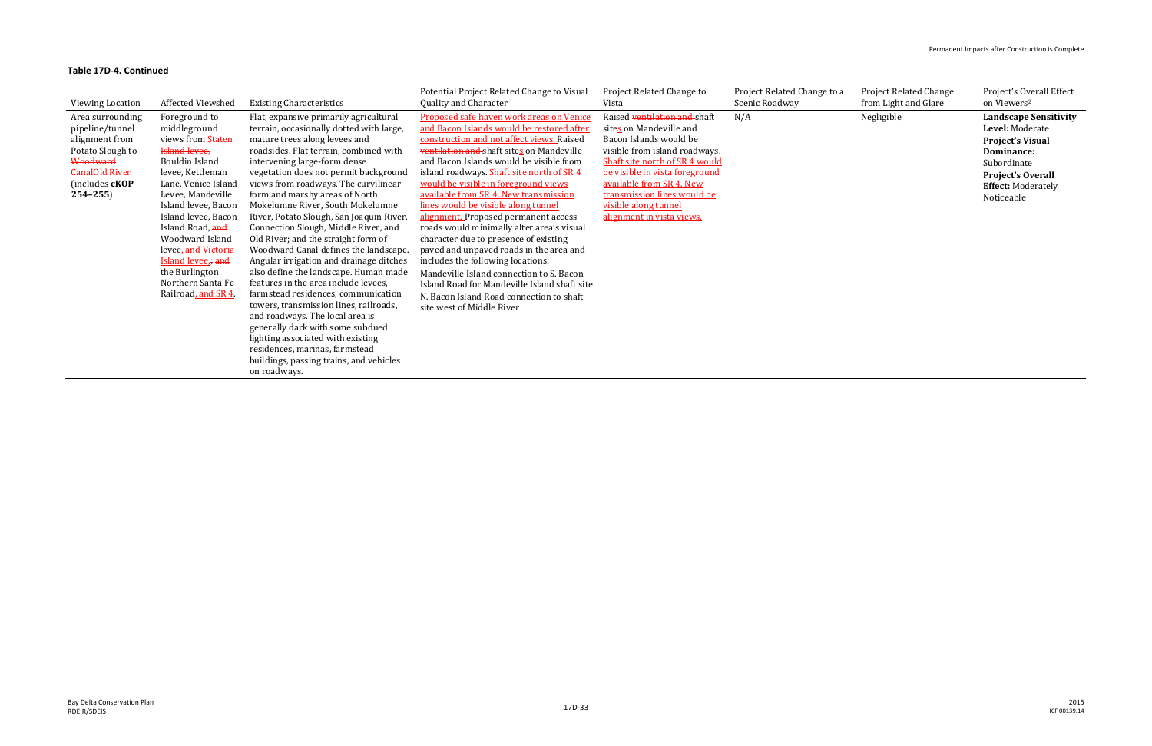| Viewing Location                                                                                                                                       | Affected Viewshed                                                                                                                                                                                                                                                                                                                                           | <b>Existing Characteristics</b>                                                                                                                                                                                                                                                                                                                                                                                                                                                                                                                                                                                                                                                                                                                                                                                                                                                                                                                | Potential Project Related Change to Visual<br>Quality and Character                                                                                                                                                                                                                                                                                                                                                                                                                                                                                                                                                                                                                                                                                                                | Project Related Change to<br>Vista                                                                                                                                                                                                                                                                     | Project Related Change to a<br>Scenic Roadway | <b>Project Related Change</b><br>from Light and Glare | Project's Overall Effect<br>on Viewers <sup>2</sup>                                                                                                                            |
|--------------------------------------------------------------------------------------------------------------------------------------------------------|-------------------------------------------------------------------------------------------------------------------------------------------------------------------------------------------------------------------------------------------------------------------------------------------------------------------------------------------------------------|------------------------------------------------------------------------------------------------------------------------------------------------------------------------------------------------------------------------------------------------------------------------------------------------------------------------------------------------------------------------------------------------------------------------------------------------------------------------------------------------------------------------------------------------------------------------------------------------------------------------------------------------------------------------------------------------------------------------------------------------------------------------------------------------------------------------------------------------------------------------------------------------------------------------------------------------|------------------------------------------------------------------------------------------------------------------------------------------------------------------------------------------------------------------------------------------------------------------------------------------------------------------------------------------------------------------------------------------------------------------------------------------------------------------------------------------------------------------------------------------------------------------------------------------------------------------------------------------------------------------------------------------------------------------------------------------------------------------------------------|--------------------------------------------------------------------------------------------------------------------------------------------------------------------------------------------------------------------------------------------------------------------------------------------------------|-----------------------------------------------|-------------------------------------------------------|--------------------------------------------------------------------------------------------------------------------------------------------------------------------------------|
| Area surrounding<br>pipeline/tunnel<br>alignment from<br>Potato Slough to<br>Woodward<br><b>CanalOld River</b><br>(includes <b>cKOP</b><br>$254 - 255$ | Foreground to<br>middleground<br>views from Staten<br><b>Island levee</b> ,<br>Bouldin Island<br>levee, Kettleman<br>Lane, Venice Island<br>Levee, Mandeville<br>Island levee, Bacon<br>Island levee, Bacon<br>Island Road, and<br>Woodward Island<br>levee, and Victoria<br>Island levee, and<br>the Burlington<br>Northern Santa Fe<br>Railroad, and SR 4 | Flat, expansive primarily agricultural<br>terrain, occasionally dotted with large,<br>mature trees along levees and<br>roadsides. Flat terrain, combined with<br>intervening large-form dense<br>vegetation does not permit background<br>views from roadways. The curvilinear<br>form and marshy areas of North<br>Mokelumne River, South Mokelumne<br>River, Potato Slough, San Joaquin River,<br>Connection Slough, Middle River, and<br>Old River; and the straight form of<br>Woodward Canal defines the landscape.<br>Angular irrigation and drainage ditches<br>also define the landscape. Human made<br>features in the area include levees,<br>farmstead residences, communication<br>towers, transmission lines, railroads,<br>and roadways. The local area is<br>generally dark with some subdued<br>lighting associated with existing<br>residences, marinas, farmstead<br>buildings, passing trains, and vehicles<br>on roadways. | Proposed safe haven work areas on Venice<br>and Bacon Islands would be restored after<br>construction and not affect views. Raised<br>ventilation and shaft sites on Mandeville<br>and Bacon Islands would be visible from<br>island roadways. Shaft site north of SR 4<br>would be visible in foreground views<br>available from SR 4. New transmission<br>lines would be visible along tunnel<br>alignment. Proposed permanent access<br>roads would minimally alter area's visual<br>character due to presence of existing<br>paved and unpaved roads in the area and<br>includes the following locations:<br>Mandeville Island connection to S. Bacon<br>Island Road for Mandeville Island shaft site<br>N. Bacon Island Road connection to shaft<br>site west of Middle River | Raised ventilation and shaft<br>sites on Mandeville and<br>Bacon Islands would be<br>visible from island roadways.<br>Shaft site north of SR 4 would<br>be visible in vista foreground<br>available from SR 4. New<br>transmission lines would be<br>visible along tunnel<br>alignment in vista views. | N/A                                           | Negligible                                            | <b>Landscape Sensitivity</b><br>Level: Moderate<br><b>Project's Visual</b><br>Dominance:<br>Subordinate<br><b>Project's Overall</b><br><b>Effect: Moderately</b><br>Noticeable |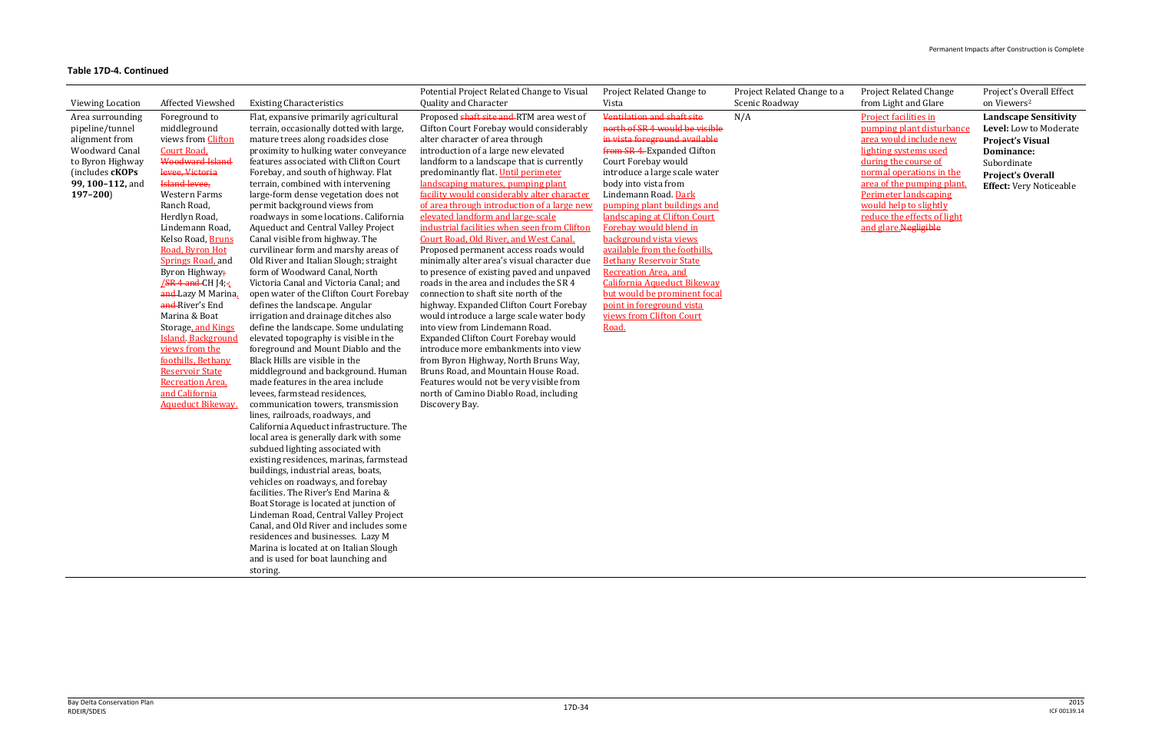#### Project Related Change from Light and Glare

**Project facilities in** pumping plant disturbance area would include new lighting systems used during the course of normal operations in the area of the pumping plant. Perimeter landscaping would help to slightly reduce the effects of light and glare.Negligible

### Project's Overall Effect on Viewers 2

| <b>Viewing Location</b>                                                                                                                                  | Affected Viewshed                                                                                                                                                                                                                                                                                                                                                                                                                                                                                                                                                               | <b>Existing Characteristics</b>                                                                                                                                                                                                                                                                                                                                                                                                                                                                                                                                                                                                                                                                                                                                                                                                                                                                                                                                                                                                                                                                                                                                                                                                                        | Potential Project Related Change to Visual<br>Quality and Character                                                                                                                                                                                                                                                                                                                                                                                                                                                                                                                                                                                                                                                                                                                                                                                                                                                                                                                                                                                                                                                                             | Project Related Change to<br>Vista                                                                                                                                                                                                                                                                                                                                                                                                                                                                                                                                                                | Project Related Change to a<br>Scenic Roadway |
|----------------------------------------------------------------------------------------------------------------------------------------------------------|---------------------------------------------------------------------------------------------------------------------------------------------------------------------------------------------------------------------------------------------------------------------------------------------------------------------------------------------------------------------------------------------------------------------------------------------------------------------------------------------------------------------------------------------------------------------------------|--------------------------------------------------------------------------------------------------------------------------------------------------------------------------------------------------------------------------------------------------------------------------------------------------------------------------------------------------------------------------------------------------------------------------------------------------------------------------------------------------------------------------------------------------------------------------------------------------------------------------------------------------------------------------------------------------------------------------------------------------------------------------------------------------------------------------------------------------------------------------------------------------------------------------------------------------------------------------------------------------------------------------------------------------------------------------------------------------------------------------------------------------------------------------------------------------------------------------------------------------------|-------------------------------------------------------------------------------------------------------------------------------------------------------------------------------------------------------------------------------------------------------------------------------------------------------------------------------------------------------------------------------------------------------------------------------------------------------------------------------------------------------------------------------------------------------------------------------------------------------------------------------------------------------------------------------------------------------------------------------------------------------------------------------------------------------------------------------------------------------------------------------------------------------------------------------------------------------------------------------------------------------------------------------------------------------------------------------------------------------------------------------------------------|---------------------------------------------------------------------------------------------------------------------------------------------------------------------------------------------------------------------------------------------------------------------------------------------------------------------------------------------------------------------------------------------------------------------------------------------------------------------------------------------------------------------------------------------------------------------------------------------------|-----------------------------------------------|
| Area surrounding<br>pipeline/tunnel<br>alignment from<br><b>Woodward Canal</b><br>to Byron Highway<br>(includes cKOPs<br>99, 100-112, and<br>$197 - 200$ | Foreground to<br>middleground<br>views from Clifton<br>Court Road,<br>Woodward Island<br>levee, Victoria<br><b>Island levee,</b><br>Western Farms<br>Ranch Road,<br>Herdlyn Road,<br>Lindemann Road,<br>Kelso Road, Bruns<br>Road, Byron Hot<br><b>Springs Road</b> , and<br>Byron Highway;<br><b>/SR 4 and CH J4;-;</b><br>and-Lazy M Marina.<br>and River's End<br>Marina & Boat<br>Storage, and Kings<br><b>Island Background</b><br>views from the<br>foothills, Bethany<br><b>Reservoir State</b><br><b>Recreation Area.</b><br>and California<br><b>Aqueduct Bikeway.</b> | Flat, expansive primarily agricultural<br>terrain, occasionally dotted with large,<br>mature trees along roadsides close<br>proximity to hulking water conveyance<br>features associated with Clifton Court<br>Forebay, and south of highway. Flat<br>terrain, combined with intervening<br>large-form dense vegetation does not<br>permit background views from<br>roadways in some locations. California<br><b>Aqueduct and Central Valley Project</b><br>Canal visible from highway. The<br>curvilinear form and marshy areas of<br>Old River and Italian Slough; straight<br>form of Woodward Canal, North<br>Victoria Canal and Victoria Canal; and<br>open water of the Clifton Court Forebay<br>defines the landscape. Angular<br>irrigation and drainage ditches also<br>define the landscape. Some undulating<br>elevated topography is visible in the<br>foreground and Mount Diablo and the<br>Black Hills are visible in the<br>middleground and background. Human<br>made features in the area include<br>levees, farmstead residences,<br>communication towers, transmission<br>lines, railroads, roadways, and<br>California Aqueduct infrastructure. The<br>local area is generally dark with some<br>subdued lighting associated with | Proposed shaft site and RTM area west of<br>Clifton Court Forebay would considerably<br>alter character of area through<br>introduction of a large new elevated<br>landform to a landscape that is currently<br>predominantly flat. Until perimeter<br>landscaping matures, pumping plant<br>facility would considerably alter character<br>of area through introduction of a large new<br>elevated landform and large-scale<br>industrial facilities when seen from Clifton<br>Court Road, Old River, and West Canal.<br>Proposed permanent access roads would<br>minimally alter area's visual character due<br>to presence of existing paved and unpaved<br>roads in the area and includes the SR 4<br>connection to shaft site north of the<br>highway. Expanded Clifton Court Forebay<br>would introduce a large scale water body<br>into view from Lindemann Road.<br>Expanded Clifton Court Forebay would<br>introduce more embankments into view<br>from Byron Highway, North Bruns Way,<br>Bruns Road, and Mountain House Road.<br>Features would not be very visible from<br>north of Camino Diablo Road, including<br>Discovery Bay. | Ventilation and shaft site<br>north of SR 4 would be visible<br>in vista foreground available<br>from SR 4. Expanded Clifton<br>Court Forebay would<br>introduce a large scale water<br>body into vista from<br>Lindemann Road. Dark<br>pumping plant buildings and<br>landscaping at Clifton Court<br>Forebay would blend in<br>background vista views<br>available from the foothills.<br><b>Bethany Reservoir State</b><br><b>Recreation Area, and</b><br><b>California Aqueduct Bikeway</b><br>but would be prominent focal<br>point in foreground vista<br>views from Clifton Court<br>Road. | N/A                                           |

existing residences, marinas, farmstead buildings, industrial areas, boats, vehicles on roadways, and forebay facilities. The River's End Marina & Boat Storage is located at junction of Lindeman Road, Central Valley Project Canal, and Old River and includes some residences and businesses. Lazy M Marina is located at on Italian Slough and is used for boat launching and

storing.

**Landscape Sensitivity Level:** Low to Moderate **Project's Visual Dominance:** Subordinate **Project's Overall Effect:** Very Noticeable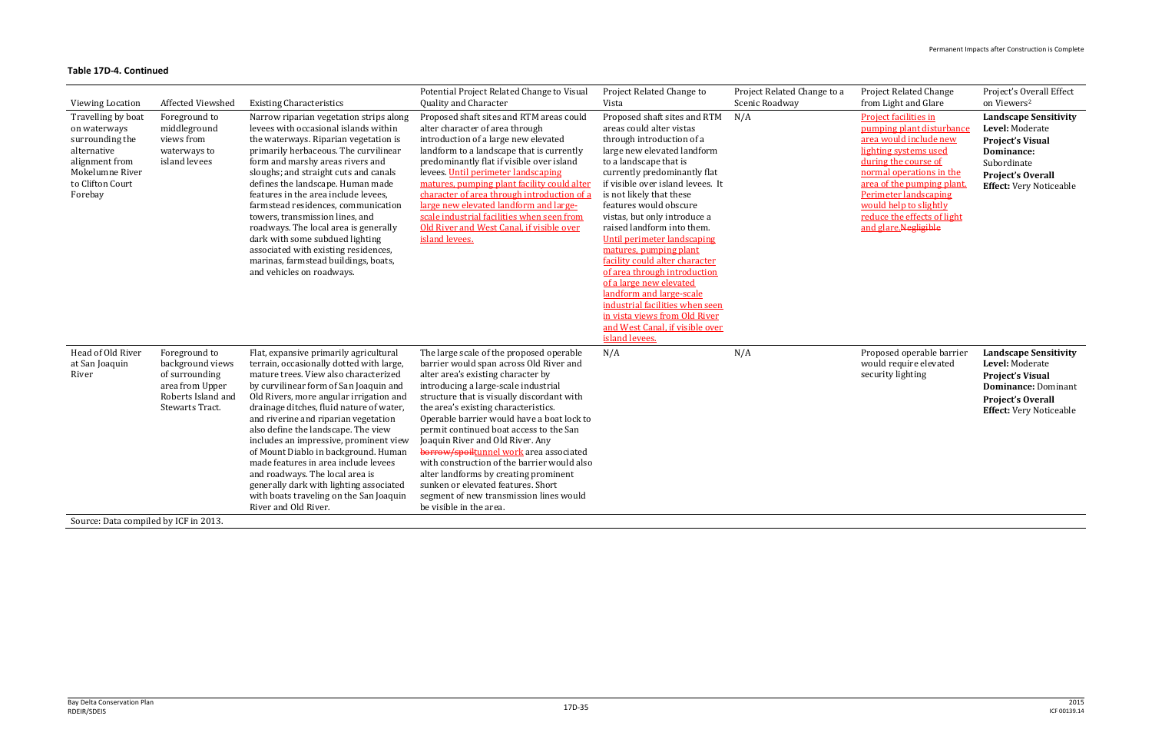| <b>Project Related Change</b> |
|-------------------------------|
| from Light and Glare          |

**Project facilities in** pumping plant disturbance area would include new lighting systems used during the course of normal operations in the area of the pumping plant. Perimeter landscaping would help to slightly reduce the effects of light and glare.Negligible

Project's Overall Effect on Viewers 2

Proposed operable barrier would require elevated security lighting

| <b>Viewing Location</b>                                                                                                                  | Affected Viewshed                                                                                                      | <b>Existing Characteristics</b>                                                                                                                                                                                                                                                                                                                                                                                                                                                                                                                                                                                        | Potential Project Related Change to Visual<br>Quality and Character                                                                                                                                                                                                                                                                                                                                                                                                                                                                                                                                                                 | Project Related Change to<br>Vista                                                                                                                                                                                                                                                                                                                                                                                                                                                                                                                                                                                                                 | Project Related Change to a<br>Scenic Roadway |
|------------------------------------------------------------------------------------------------------------------------------------------|------------------------------------------------------------------------------------------------------------------------|------------------------------------------------------------------------------------------------------------------------------------------------------------------------------------------------------------------------------------------------------------------------------------------------------------------------------------------------------------------------------------------------------------------------------------------------------------------------------------------------------------------------------------------------------------------------------------------------------------------------|-------------------------------------------------------------------------------------------------------------------------------------------------------------------------------------------------------------------------------------------------------------------------------------------------------------------------------------------------------------------------------------------------------------------------------------------------------------------------------------------------------------------------------------------------------------------------------------------------------------------------------------|----------------------------------------------------------------------------------------------------------------------------------------------------------------------------------------------------------------------------------------------------------------------------------------------------------------------------------------------------------------------------------------------------------------------------------------------------------------------------------------------------------------------------------------------------------------------------------------------------------------------------------------------------|-----------------------------------------------|
| Travelling by boat<br>on waterways<br>surrounding the<br>alternative<br>alignment from<br>Mokelumne River<br>to Clifton Court<br>Forebay | Foreground to<br>middleground<br>views from<br>waterways to<br>island levees                                           | Narrow riparian vegetation strips along<br>levees with occasional islands within<br>the waterways. Riparian vegetation is<br>primarily herbaceous. The curvilinear<br>form and marshy areas rivers and<br>sloughs; and straight cuts and canals<br>defines the landscape. Human made<br>features in the area include levees.<br>farmstead residences, communication<br>towers, transmission lines, and<br>roadways. The local area is generally<br>dark with some subdued lighting<br>associated with existing residences,<br>marinas, farmstead buildings, boats,<br>and vehicles on roadways.                        | Proposed shaft sites and RTM areas could<br>alter character of area through<br>introduction of a large new elevated<br>landform to a landscape that is currently<br>predominantly flat if visible over island<br>levees. Until perimeter landscaping<br>matures, pumping plant facility could alter<br>character of area through introduction of a<br>large new elevated landform and large-<br>scale industrial facilities when seen from<br>Old River and West Canal, if visible over<br>island levees.                                                                                                                           | Proposed shaft sites and RTM<br>areas could alter vistas<br>through introduction of a<br>large new elevated landform<br>to a landscape that is<br>currently predominantly flat<br>if visible over island levees. It<br>is not likely that these<br>features would obscure<br>vistas, but only introduce a<br>raised landform into them.<br>Until perimeter landscaping<br>matures, pumping plant<br>facility could alter character<br>of area through introduction<br>of a large new elevated<br>landform and large-scale<br>industrial facilities when seen<br>in vista views from Old River<br>and West Canal, if visible over<br>island levees. | N/A                                           |
| Head of Old River<br>at San Joaquin<br>River                                                                                             | Foreground to<br>background views<br>of surrounding<br>area from Upper<br>Roberts Island and<br><b>Stewarts Tract.</b> | Flat, expansive primarily agricultural<br>terrain, occasionally dotted with large,<br>mature trees. View also characterized<br>by curvilinear form of San Joaquin and<br>Old Rivers, more angular irrigation and<br>drainage ditches, fluid nature of water,<br>and riverine and riparian vegetation<br>also define the landscape. The view<br>includes an impressive, prominent view<br>of Mount Diablo in background. Human<br>made features in area include levees<br>and roadways. The local area is<br>generally dark with lighting associated<br>with boats traveling on the San Joaquin<br>River and Old River. | The large scale of the proposed operable<br>barrier would span across Old River and<br>alter area's existing character by<br>introducing a large-scale industrial<br>structure that is visually discordant with<br>the area's existing characteristics.<br>Operable barrier would have a boat lock to<br>permit continued boat access to the San<br>Joaquin River and Old River. Any<br>borrow/spoiltunnel work area associated<br>with construction of the barrier would also<br>alter landforms by creating prominent<br>sunken or elevated features. Short<br>segment of new transmission lines would<br>be visible in the area. | N/A                                                                                                                                                                                                                                                                                                                                                                                                                                                                                                                                                                                                                                                | N/A                                           |
| Source: Data compiled by ICF in 2013.                                                                                                    |                                                                                                                        |                                                                                                                                                                                                                                                                                                                                                                                                                                                                                                                                                                                                                        |                                                                                                                                                                                                                                                                                                                                                                                                                                                                                                                                                                                                                                     |                                                                                                                                                                                                                                                                                                                                                                                                                                                                                                                                                                                                                                                    |                                               |

**Landscape Sensitivity Level:** Moderate **Project's Visual Dominance:** Subordinate **Project's Overall Effect:** Very Noticeable

**Landscape Sensitivity Level:** Moderate **Project's Visual Dominance:** Dominant **Project's Overall Effect:** Very Noticeable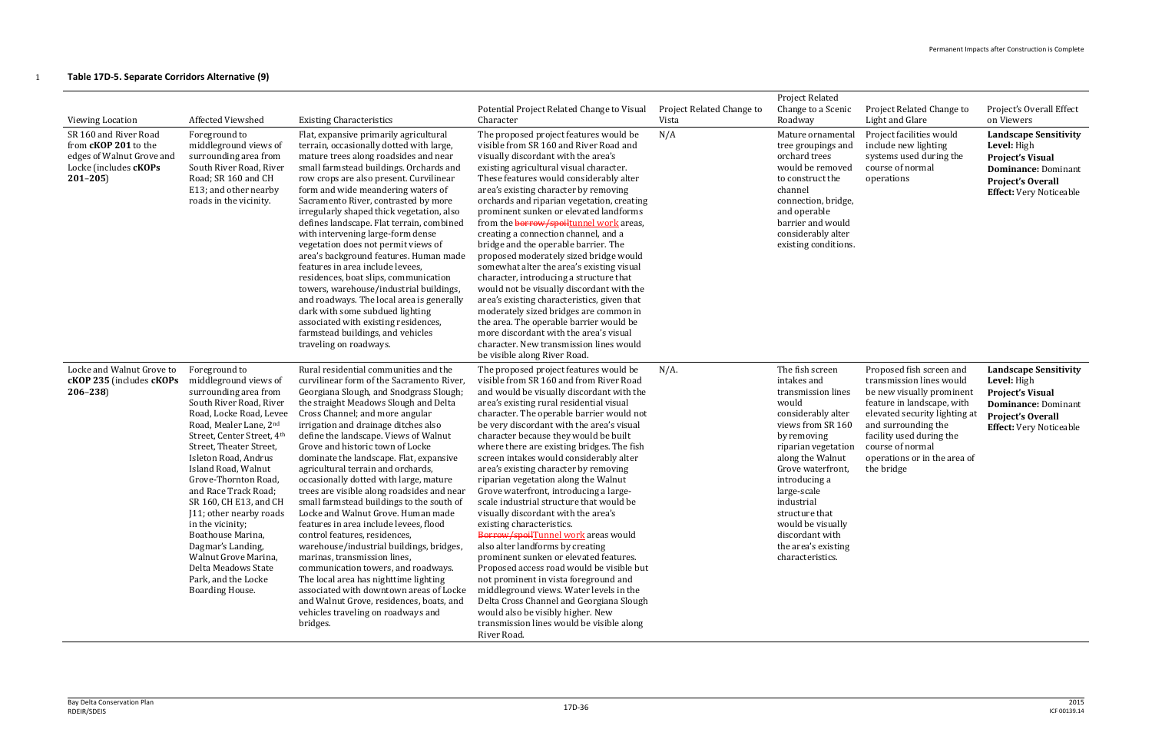### 1 **Table 17D-5. Separate Corridors Alternative (9)**

| <b>Viewing Location</b><br>SR 160 and River Road<br>from <b>cKOP 201</b> to the<br>edges of Walnut Grove and<br>Locke (includes cKOPs<br>$201 - 205$ | Affected Viewshed<br>Foreground to<br>middleground views of<br>surrounding area from<br>South River Road, River<br>Road; SR 160 and CH<br>E13; and other nearby<br>roads in the vicinity.                                                                                                                                                                                                                                                                                                                           | <b>Existing Characteristics</b><br>Flat, expansive primarily agricultural<br>terrain, occasionally dotted with large,<br>mature trees along roadsides and near<br>small farmstead buildings. Orchards and<br>row crops are also present. Curvilinear<br>form and wide meandering waters of<br>Sacramento River, contrasted by more<br>irregularly shaped thick vegetation, also<br>defines landscape. Flat terrain, combined<br>with intervening large-form dense<br>vegetation does not permit views of<br>area's background features. Human made<br>features in area include levees,<br>residences, boat slips, communication<br>towers, warehouse/industrial buildings,<br>and roadways. The local area is generally<br>dark with some subdued lighting<br>associated with existing residences,<br>farmstead buildings, and vehicles<br>traveling on roadways.                                                                                                          | Potential Project Related Change to Visual<br>Character<br>The proposed project features would be<br>visible from SR 160 and River Road and<br>visually discordant with the area's<br>existing agricultural visual character.<br>These features would considerably alter<br>area's existing character by removing<br>orchards and riparian vegetation, creating<br>prominent sunken or elevated landforms<br>from the borrow/spoiltunnel work areas,<br>creating a connection channel, and a<br>bridge and the operable barrier. The<br>proposed moderately sized bridge would<br>somewhat alter the area's existing visual<br>character, introducing a structure that<br>would not be visually discordant with the<br>area's existing characteristics, given that<br>moderately sized bridges are common in<br>the area. The operable barrier would be<br>more discordant with the area's visual<br>character. New transmission lines would<br>be visible along River Road.                                                                         | Project Related Change to<br>Vista<br>N/A | <b>Project Related</b><br>Change to a Scenic<br>Roadway<br>Mature ornamental<br>tree groupings and<br>orchard trees<br>would be removed<br>to construct the<br>channel<br>connection, bridge,<br>and operable<br>barrier and would<br>considerably alter<br>existing conditions.                                                           | Project Related Change to<br>Light and Glare<br>Project facilities would<br>include new lighting<br>systems used during the<br>course of normal<br>operations                                                                                                         | Project's Overall Effect<br>on Viewers<br><b>Landscape Sensitivity</b><br><b>Level:</b> High<br><b>Project's Visual</b><br><b>Dominance: Dominant</b><br><b>Project's Overall</b><br><b>Effect:</b> Very Noticeable |
|------------------------------------------------------------------------------------------------------------------------------------------------------|---------------------------------------------------------------------------------------------------------------------------------------------------------------------------------------------------------------------------------------------------------------------------------------------------------------------------------------------------------------------------------------------------------------------------------------------------------------------------------------------------------------------|----------------------------------------------------------------------------------------------------------------------------------------------------------------------------------------------------------------------------------------------------------------------------------------------------------------------------------------------------------------------------------------------------------------------------------------------------------------------------------------------------------------------------------------------------------------------------------------------------------------------------------------------------------------------------------------------------------------------------------------------------------------------------------------------------------------------------------------------------------------------------------------------------------------------------------------------------------------------------|------------------------------------------------------------------------------------------------------------------------------------------------------------------------------------------------------------------------------------------------------------------------------------------------------------------------------------------------------------------------------------------------------------------------------------------------------------------------------------------------------------------------------------------------------------------------------------------------------------------------------------------------------------------------------------------------------------------------------------------------------------------------------------------------------------------------------------------------------------------------------------------------------------------------------------------------------------------------------------------------------------------------------------------------------|-------------------------------------------|--------------------------------------------------------------------------------------------------------------------------------------------------------------------------------------------------------------------------------------------------------------------------------------------------------------------------------------------|-----------------------------------------------------------------------------------------------------------------------------------------------------------------------------------------------------------------------------------------------------------------------|---------------------------------------------------------------------------------------------------------------------------------------------------------------------------------------------------------------------|
| Locke and Walnut Grove to<br>cKOP 235 (includes cKOPs<br>$206 - 238$                                                                                 | Foreground to<br>middleground views of<br>surrounding area from<br>South River Road, River<br>Road, Locke Road, Levee<br>Road, Mealer Lane, 2nd<br>Street, Center Street, 4th<br>Street, Theater Street,<br>Isleton Road, Andrus<br>Island Road, Walnut<br>Grove-Thornton Road,<br>and Race Track Road;<br>SR 160, CH E13, and CH<br>J11; other nearby roads<br>in the vicinity;<br>Boathouse Marina,<br>Dagmar's Landing,<br>Walnut Grove Marina,<br>Delta Meadows State<br>Park, and the Locke<br>Boarding House. | Rural residential communities and the<br>curvilinear form of the Sacramento River,<br>Georgiana Slough, and Snodgrass Slough;<br>the straight Meadows Slough and Delta<br>Cross Channel; and more angular<br>irrigation and drainage ditches also<br>define the landscape. Views of Walnut<br>Grove and historic town of Locke<br>dominate the landscape. Flat, expansive<br>agricultural terrain and orchards,<br>occasionally dotted with large, mature<br>trees are visible along roadsides and near<br>small farmstead buildings to the south of<br>Locke and Walnut Grove. Human made<br>features in area include levees, flood<br>control features, residences,<br>warehouse/industrial buildings, bridges,<br>marinas, transmission lines,<br>communication towers, and roadways.<br>The local area has nighttime lighting<br>associated with downtown areas of Locke<br>and Walnut Grove, residences, boats, and<br>vehicles traveling on roadways and<br>bridges. | The proposed project features would be<br>visible from SR 160 and from River Road<br>and would be visually discordant with the<br>area's existing rural residential visual<br>character. The operable barrier would not<br>be very discordant with the area's visual<br>character because they would be built<br>where there are existing bridges. The fish<br>screen intakes would considerably alter<br>area's existing character by removing<br>riparian vegetation along the Walnut<br>Grove waterfront, introducing a large-<br>scale industrial structure that would be<br>visually discordant with the area's<br>existing characteristics.<br>Borrow/spoilTunnel work areas would<br>also alter landforms by creating<br>prominent sunken or elevated features.<br>Proposed access road would be visible but<br>not prominent in vista foreground and<br>middleground views. Water levels in the<br>Delta Cross Channel and Georgiana Slough<br>would also be visibly higher. New<br>transmission lines would be visible along<br>River Road. | $N/A$ .                                   | The fish screen<br>intakes and<br>transmission lines<br>would<br>considerably alter<br>views from SR 160<br>by removing<br>riparian vegetation<br>along the Walnut<br>Grove waterfront,<br>introducing a<br>large-scale<br>industrial<br>structure that<br>would be visually<br>discordant with<br>the area's existing<br>characteristics. | Proposed fish screen and<br>transmission lines would<br>be new visually prominent<br>feature in landscape, with<br>elevated security lighting at<br>and surrounding the<br>facility used during the<br>course of normal<br>operations or in the area of<br>the bridge | <b>Landscape Sensitivity</b><br>Level: High<br><b>Project's Visual</b><br><b>Dominance: Dominant</b><br>Project's Overall<br><b>Effect:</b> Very Noticeable                                                         |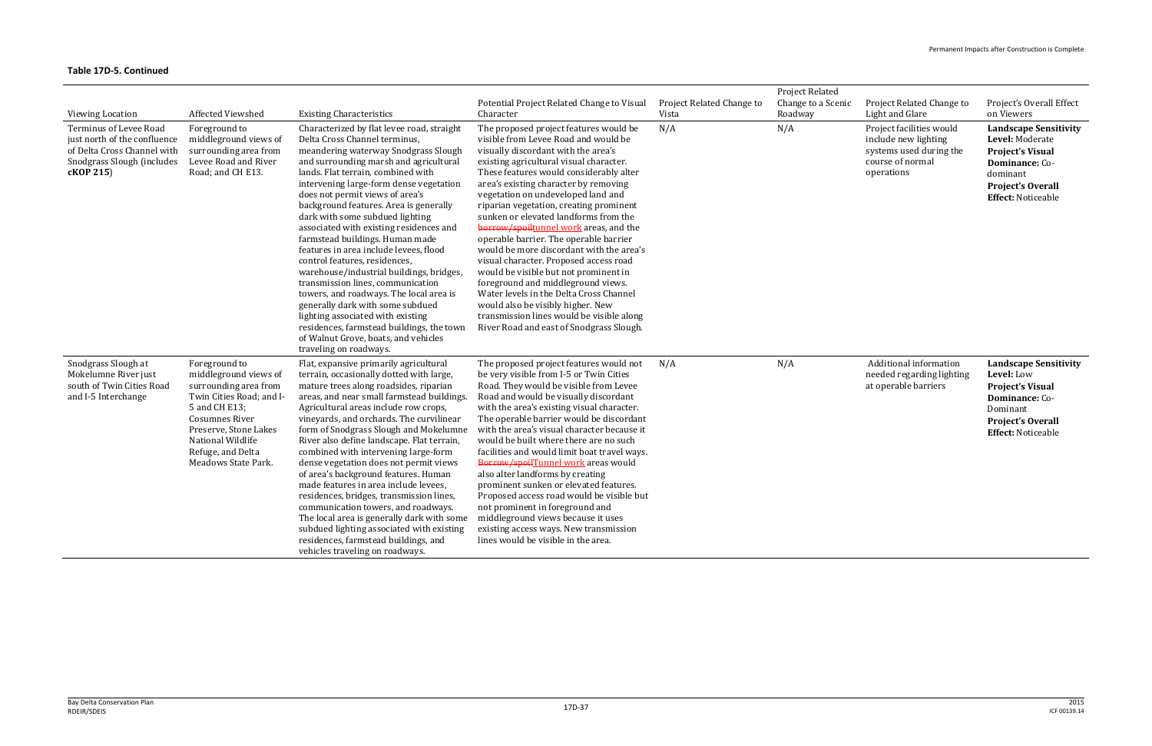| <b>Viewing Location</b><br>Terminus of Levee Road<br>just north of the confluence<br>of Delta Cross Channel with<br>Snodgrass Slough (includes<br>cKOP 215) | <b>Affected Viewshed</b><br>Foreground to<br>middleground views of<br>surrounding area from<br>Levee Road and River<br>Road; and CH E13.                                                                                        | <b>Existing Characteristics</b><br>Characterized by flat levee road, straight<br>Delta Cross Channel terminus,<br>meandering waterway Snodgrass Slough<br>and surrounding marsh and agricultural<br>lands. Flat terrain, combined with<br>intervening large-form dense vegetation<br>does not permit views of area's<br>background features. Area is generally<br>dark with some subdued lighting<br>associated with existing residences and<br>farmstead buildings. Human made<br>features in area include levees, flood<br>control features, residences,<br>warehouse/industrial buildings, bridges,<br>transmission lines, communication<br>towers, and roadways. The local area is<br>generally dark with some subdued<br>lighting associated with existing<br>residences, farmstead buildings, the town                                          | Potential Project Related Change to Visual<br>Character<br>The proposed project features would be<br>visible from Levee Road and would be<br>visually discordant with the area's<br>existing agricultural visual character.<br>These features would considerably alter<br>area's existing character by removing<br>vegetation on undeveloped land and<br>riparian vegetation, creating prominent<br>sunken or elevated landforms from the<br>borrow/spoiltunnel work areas, and the<br>operable barrier. The operable barrier<br>would be more discordant with the area's<br>visual character. Proposed access road<br>would be visible but not prominent in<br>foreground and middleground views.<br>Water levels in the Delta Cross Channel<br>would also be visibly higher. New<br>transmission lines would be visible along<br>River Road and east of Snodgrass Slough. | Project Related Change to<br>Vista<br>N/A | <b>Project Related</b><br>Change to a Scenic<br>Roadway<br>N/A | Project Related Change to<br>Light and Glare<br>Project facilities would<br>include new lighting<br>systems used during the<br>course of normal<br>operations | Project's Overall Effect<br>on Viewers<br><b>Landscape Sensitivity</b><br>Level: Moderate<br><b>Project's Visual</b><br>Dominance: Co-<br>dominant<br>Project's Overall<br><b>Effect: Noticeable</b> |
|-------------------------------------------------------------------------------------------------------------------------------------------------------------|---------------------------------------------------------------------------------------------------------------------------------------------------------------------------------------------------------------------------------|-------------------------------------------------------------------------------------------------------------------------------------------------------------------------------------------------------------------------------------------------------------------------------------------------------------------------------------------------------------------------------------------------------------------------------------------------------------------------------------------------------------------------------------------------------------------------------------------------------------------------------------------------------------------------------------------------------------------------------------------------------------------------------------------------------------------------------------------------------|-----------------------------------------------------------------------------------------------------------------------------------------------------------------------------------------------------------------------------------------------------------------------------------------------------------------------------------------------------------------------------------------------------------------------------------------------------------------------------------------------------------------------------------------------------------------------------------------------------------------------------------------------------------------------------------------------------------------------------------------------------------------------------------------------------------------------------------------------------------------------------|-------------------------------------------|----------------------------------------------------------------|---------------------------------------------------------------------------------------------------------------------------------------------------------------|------------------------------------------------------------------------------------------------------------------------------------------------------------------------------------------------------|
| Snodgrass Slough at<br>Mokelumne River just<br>south of Twin Cities Road<br>and I-5 Interchange                                                             | Foreground to<br>middleground views of<br>surrounding area from<br>Twin Cities Road; and I-<br>5 and CH E13;<br><b>Cosumnes River</b><br>Preserve, Stone Lakes<br>National Wildlife<br>Refuge, and Delta<br>Meadows State Park. | of Walnut Grove, boats, and vehicles<br>traveling on roadways.<br>Flat, expansive primarily agricultural<br>terrain, occasionally dotted with large,<br>mature trees along roadsides, riparian<br>areas, and near small farmstead buildings.<br>Agricultural areas include row crops,<br>vineyards, and orchards. The curvilinear<br>form of Snodgrass Slough and Mokelumne<br>River also define landscape. Flat terrain,<br>combined with intervening large-form<br>dense vegetation does not permit views<br>of area's background features. Human<br>made features in area include levees,<br>residences, bridges, transmission lines,<br>communication towers, and roadways.<br>The local area is generally dark with some<br>subdued lighting associated with existing<br>residences, farmstead buildings, and<br>vehicles traveling on roadways. | The proposed project features would not<br>be very visible from I-5 or Twin Cities<br>Road. They would be visible from Levee<br>Road and would be visually discordant<br>with the area's existing visual character.<br>The operable barrier would be discordant<br>with the area's visual character because it<br>would be built where there are no such<br>facilities and would limit boat travel ways.<br>Borrow/spoilTunnel work areas would<br>also alter landforms by creating<br>prominent sunken or elevated features.<br>Proposed access road would be visible but<br>not prominent in foreground and<br>middleground views because it uses<br>existing access ways. New transmission<br>lines would be visible in the area.                                                                                                                                        | N/A                                       | N/A                                                            | Additional information<br>needed regarding lighting<br>at operable barriers                                                                                   | <b>Landscape Sensitivity</b><br>Level: Low<br><b>Project's Visual</b><br>Dominance: Co-<br>Dominant<br>Project's Overall<br><b>Effect: Noticeable</b>                                                |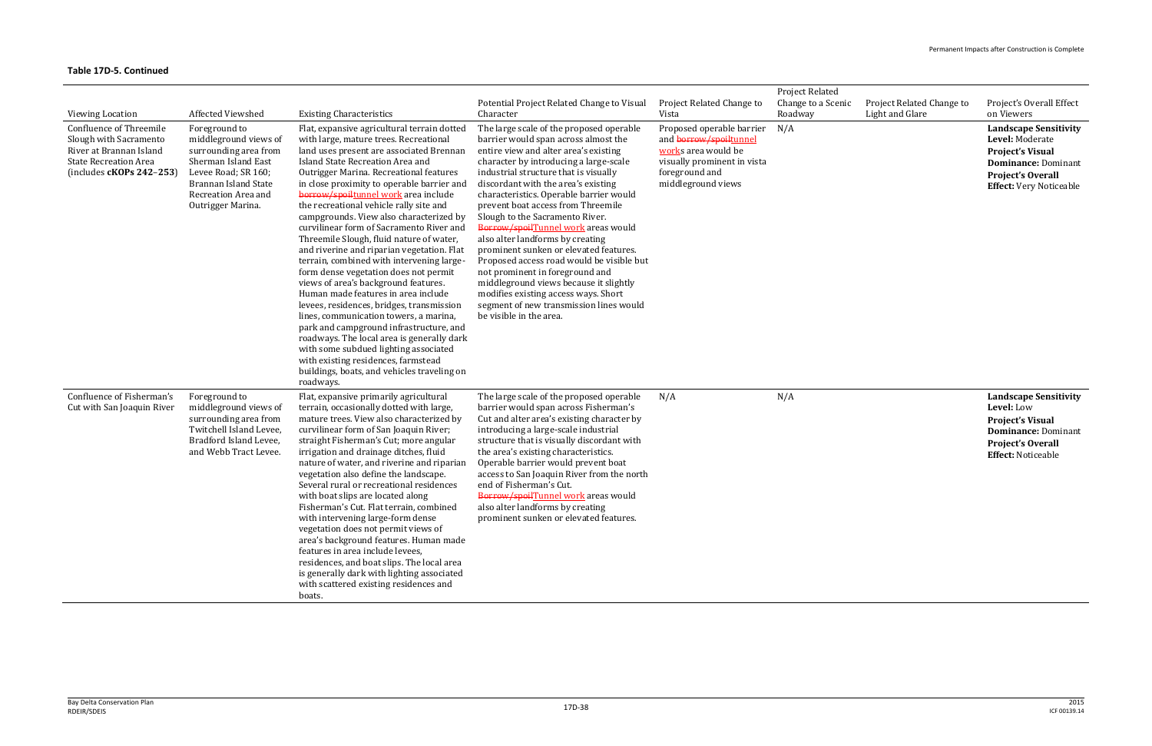| Viewing Location                                                                                                                                  | Affected Viewshed                                                                                                                                                                 | <b>Existing Characteristics</b>                                                                                                                                                                                                                                                                                                                                                                                                                                                                                                                                                                                                                                                                                                                                                                                                                                                                                                                                                                                                     | Potential Project Related Change to Visual<br>Character                                                                                                                                                                                                                                                                                                                                                                                                                                                                                                                                                                                                                                                                              | Project Related Change to<br>Vista                                                                                                                | Project Related<br>Change to a Scenic<br>Roadway | Project Related Change to<br>Light and Glare | Project's Overall Effect<br>on Viewers                                                                                                                                 |
|---------------------------------------------------------------------------------------------------------------------------------------------------|-----------------------------------------------------------------------------------------------------------------------------------------------------------------------------------|-------------------------------------------------------------------------------------------------------------------------------------------------------------------------------------------------------------------------------------------------------------------------------------------------------------------------------------------------------------------------------------------------------------------------------------------------------------------------------------------------------------------------------------------------------------------------------------------------------------------------------------------------------------------------------------------------------------------------------------------------------------------------------------------------------------------------------------------------------------------------------------------------------------------------------------------------------------------------------------------------------------------------------------|--------------------------------------------------------------------------------------------------------------------------------------------------------------------------------------------------------------------------------------------------------------------------------------------------------------------------------------------------------------------------------------------------------------------------------------------------------------------------------------------------------------------------------------------------------------------------------------------------------------------------------------------------------------------------------------------------------------------------------------|---------------------------------------------------------------------------------------------------------------------------------------------------|--------------------------------------------------|----------------------------------------------|------------------------------------------------------------------------------------------------------------------------------------------------------------------------|
| <b>Confluence of Threemile</b><br>Slough with Sacramento<br>River at Brannan Island<br><b>State Recreation Area</b><br>(includes $cKOPs$ 242-253) | Foreground to<br>middleground views of<br>surrounding area from<br>Sherman Island East<br>Levee Road; SR 160;<br>Brannan Island State<br>Recreation Area and<br>Outrigger Marina. | Flat, expansive agricultural terrain dotted<br>with large, mature trees. Recreational<br>land uses present are associated Brennan<br>Island State Recreation Area and<br>Outrigger Marina. Recreational features<br>in close proximity to operable barrier and<br>borrow/spoiltunnel work area include<br>the recreational vehicle rally site and<br>campgrounds. View also characterized by<br>curvilinear form of Sacramento River and<br>Threemile Slough, fluid nature of water,<br>and riverine and riparian vegetation. Flat<br>terrain, combined with intervening large-<br>form dense vegetation does not permit<br>views of area's background features.<br>Human made features in area include<br>levees, residences, bridges, transmission<br>lines, communication towers, a marina,<br>park and campground infrastructure, and<br>roadways. The local area is generally dark<br>with some subdued lighting associated<br>with existing residences, farmstead<br>buildings, boats, and vehicles traveling on<br>roadways. | The large scale of the proposed operable<br>barrier would span across almost the<br>entire view and alter area's existing<br>character by introducing a large-scale<br>industrial structure that is visually<br>discordant with the area's existing<br>characteristics. Operable barrier would<br>prevent boat access from Threemile<br>Slough to the Sacramento River.<br>Borrow/spoilTunnel work areas would<br>also alter landforms by creating<br>prominent sunken or elevated features.<br>Proposed access road would be visible but<br>not prominent in foreground and<br>middleground views because it slightly<br>modifies existing access ways. Short<br>segment of new transmission lines would<br>be visible in the area. | Proposed operable barrier<br>and borrow/spoiltunnel<br>works area would be<br>visually prominent in vista<br>foreground and<br>middleground views | N/A                                              |                                              | <b>Landscape Sensitivity</b><br>Level: Moderate<br><b>Project's Visual</b><br><b>Dominance: Dominant</b><br><b>Project's Overall</b><br><b>Effect:</b> Very Noticeable |
| Confluence of Fisherman's<br>Cut with San Joaquin River                                                                                           | Foreground to<br>middleground views of<br>surrounding area from<br>Twitchell Island Levee,<br>Bradford Island Levee,<br>and Webb Tract Levee.                                     | Flat, expansive primarily agricultural<br>terrain, occasionally dotted with large,<br>mature trees. View also characterized by<br>curvilinear form of San Joaquin River;<br>straight Fisherman's Cut; more angular<br>irrigation and drainage ditches, fluid<br>nature of water, and riverine and riparian<br>vegetation also define the landscape.<br>Several rural or recreational residences<br>with boat slips are located along<br>Fisherman's Cut. Flat terrain, combined<br>with intervening large-form dense<br>vegetation does not permit views of<br>area's background features. Human made<br>features in area include levees,<br>residences, and boat slips. The local area<br>is generally dark with lighting associated<br>with scattered existing residences and<br>boats.                                                                                                                                                                                                                                           | The large scale of the proposed operable<br>barrier would span across Fisherman's<br>Cut and alter area's existing character by<br>introducing a large-scale industrial<br>structure that is visually discordant with<br>the area's existing characteristics.<br>Operable barrier would prevent boat<br>access to San Joaquin River from the north<br>end of Fisherman's Cut.<br>Borrow/spoilTunnel work areas would<br>also alter landforms by creating<br>prominent sunken or elevated features.                                                                                                                                                                                                                                   | N/A                                                                                                                                               | N/A                                              |                                              | <b>Landscape Sensitivity</b><br>Level: Low<br><b>Project's Visual</b><br><b>Dominance: Dominant</b><br><b>Project's Overall</b><br><b>Effect: Noticeable</b>           |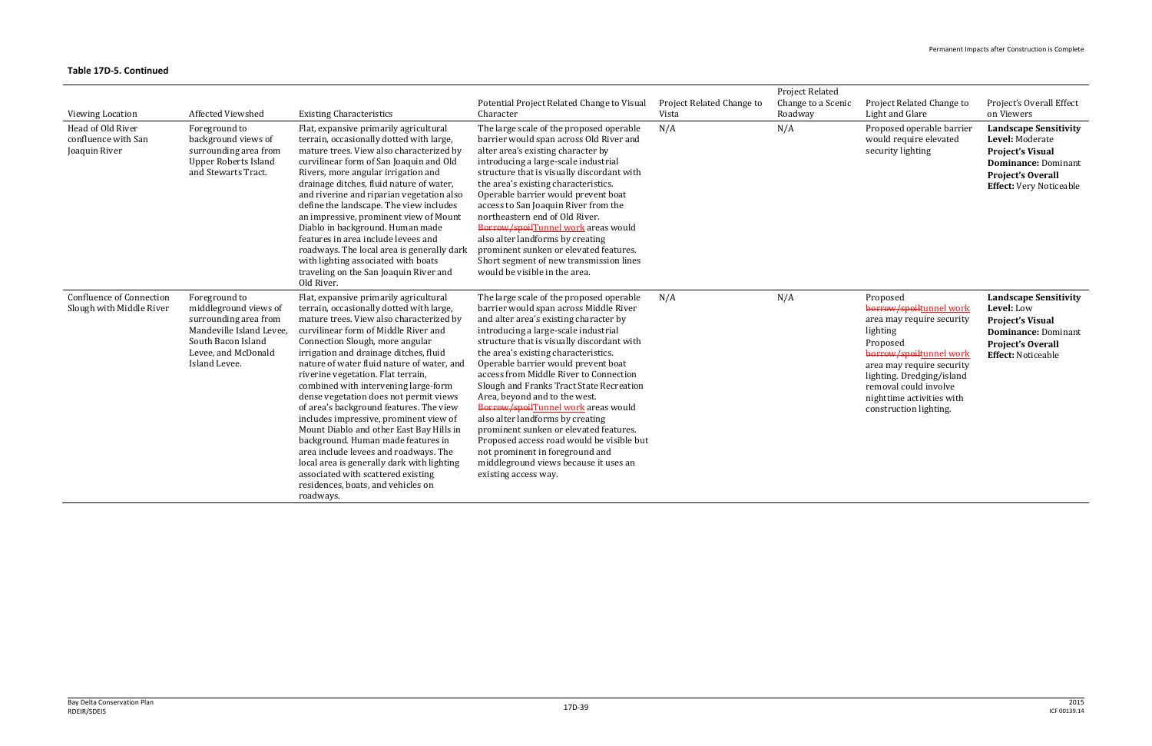#### 2015 ICF 00139.14

| Viewing Location                                            | Affected Viewshed                                                                                                                                         | <b>Existing Characteristics</b>                                                                                                                                                                                                                                                                                                                                                                                                                                                                                                                                                                                                                                                                                                                                                  | Potential Project Related Change to Visual<br>Character                                                                                                                                                                                                                                                                                                                                                                                                                                                                                                                                                                                                                                        | Project Related Change to<br>Vista | <b>Project Related</b><br>Change to a Scenic<br>Roadway | Project Related Change to<br>Light and Glare                                                                                                                                                                                                                  | Project's Overall Effect<br>on Viewers                                                                                                                                 |
|-------------------------------------------------------------|-----------------------------------------------------------------------------------------------------------------------------------------------------------|----------------------------------------------------------------------------------------------------------------------------------------------------------------------------------------------------------------------------------------------------------------------------------------------------------------------------------------------------------------------------------------------------------------------------------------------------------------------------------------------------------------------------------------------------------------------------------------------------------------------------------------------------------------------------------------------------------------------------------------------------------------------------------|------------------------------------------------------------------------------------------------------------------------------------------------------------------------------------------------------------------------------------------------------------------------------------------------------------------------------------------------------------------------------------------------------------------------------------------------------------------------------------------------------------------------------------------------------------------------------------------------------------------------------------------------------------------------------------------------|------------------------------------|---------------------------------------------------------|---------------------------------------------------------------------------------------------------------------------------------------------------------------------------------------------------------------------------------------------------------------|------------------------------------------------------------------------------------------------------------------------------------------------------------------------|
| Head of Old River<br>confluence with San<br>Joaquin River   | Foreground to<br>background views of<br>surrounding area from<br><b>Upper Roberts Island</b><br>and Stewarts Tract.                                       | Flat, expansive primarily agricultural<br>terrain, occasionally dotted with large,<br>mature trees. View also characterized by<br>curvilinear form of San Joaquin and Old<br>Rivers, more angular irrigation and<br>drainage ditches, fluid nature of water,<br>and riverine and riparian vegetation also<br>define the landscape. The view includes<br>an impressive, prominent view of Mount<br>Diablo in background. Human made<br>features in area include levees and<br>roadways. The local area is generally dark<br>with lighting associated with boats<br>traveling on the San Joaquin River and<br>Old River.                                                                                                                                                           | The large scale of the proposed operable<br>barrier would span across Old River and<br>alter area's existing character by<br>introducing a large-scale industrial<br>structure that is visually discordant with<br>the area's existing characteristics.<br>Operable barrier would prevent boat<br>access to San Joaquin River from the<br>northeastern end of Old River.<br>Borrow/spoilTunnel work areas would<br>also alter landforms by creating<br>prominent sunken or elevated features.<br>Short segment of new transmission lines<br>would be visible in the area.                                                                                                                      | N/A                                | N/A                                                     | Proposed operable barrier<br>would require elevated<br>security lighting                                                                                                                                                                                      | <b>Landscape Sensitivity</b><br>Level: Moderate<br><b>Project's Visual</b><br><b>Dominance: Dominant</b><br><b>Project's Overall</b><br><b>Effect:</b> Very Noticeable |
| <b>Confluence of Connection</b><br>Slough with Middle River | Foreground to<br>middleground views of<br>surrounding area from<br>Mandeville Island Levee,<br>South Bacon Island<br>Levee, and McDonald<br>Island Levee. | Flat, expansive primarily agricultural<br>terrain, occasionally dotted with large,<br>mature trees. View also characterized by<br>curvilinear form of Middle River and<br>Connection Slough, more angular<br>irrigation and drainage ditches, fluid<br>nature of water fluid nature of water, and<br>riverine vegetation. Flat terrain,<br>combined with intervening large-form<br>dense vegetation does not permit views<br>of area's background features. The view<br>includes impressive, prominent view of<br>Mount Diablo and other East Bay Hills in<br>background. Human made features in<br>area include levees and roadways. The<br>local area is generally dark with lighting<br>associated with scattered existing<br>residences, boats, and vehicles on<br>roadways. | The large scale of the proposed operable<br>barrier would span across Middle River<br>and alter area's existing character by<br>introducing a large-scale industrial<br>structure that is visually discordant with<br>the area's existing characteristics.<br>Operable barrier would prevent boat<br>access from Middle River to Connection<br>Slough and Franks Tract State Recreation<br>Area, beyond and to the west.<br>Borrow/spoilTunnel work areas would<br>also alter landforms by creating<br>prominent sunken or elevated features.<br>Proposed access road would be visible but<br>not prominent in foreground and<br>middleground views because it uses an<br>existing access way. | N/A                                | N/A                                                     | Proposed<br>borrow/spoiltunnel work<br>area may require security<br>lighting<br>Proposed<br>borrow/spoiltunnel work<br>area may require security<br>lighting. Dredging/island<br>removal could involve<br>nighttime activities with<br>construction lighting. | <b>Landscape Sensitivity</b><br>Level: Low<br><b>Project's Visual</b><br><b>Dominance: Dominant</b><br><b>Project's Overall</b><br><b>Effect: Noticeable</b>           |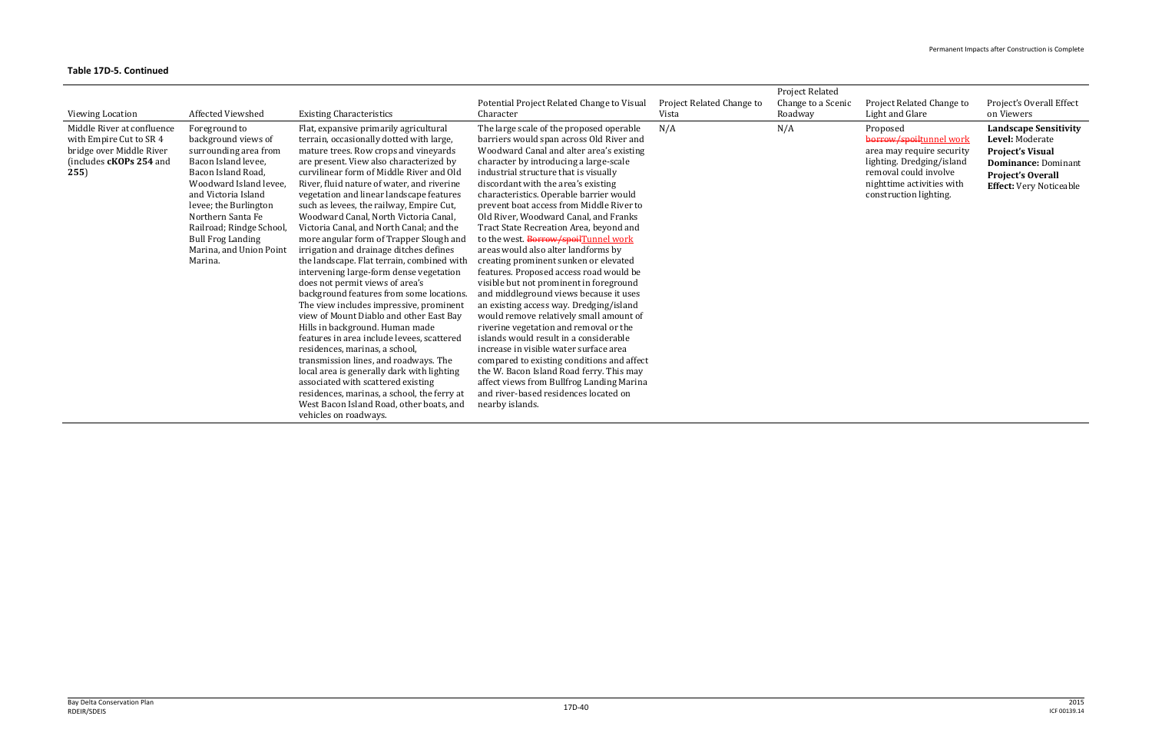| <b>Viewing Location</b>                                                                                              | Affected Viewshed                                                                                                                                                                                                                                                                                     | <b>Existing Characteristics</b>                                                                                                                                                                                                                                                                                                                                                                                                                                                                                                                                                                                                                                                                                                                                                                                                                                                                                                                                                                                                                                                                                                                                       | Potential Project Related Change to Visual<br>Character                                                                                                                                                                                                                                                                                                                                                                                                                                                                                                                                                                                                                                                                                                                                                                                                                                                                                                                                                                                                                                                              | Project Related Change to<br>Vista | Project Related<br>Change to a Scenic<br>Roadway | Project Related Change to<br>Light and Glare                                                                                                                                  | Project's Overall Effect<br>on Viewers                                                                                                                                 |
|----------------------------------------------------------------------------------------------------------------------|-------------------------------------------------------------------------------------------------------------------------------------------------------------------------------------------------------------------------------------------------------------------------------------------------------|-----------------------------------------------------------------------------------------------------------------------------------------------------------------------------------------------------------------------------------------------------------------------------------------------------------------------------------------------------------------------------------------------------------------------------------------------------------------------------------------------------------------------------------------------------------------------------------------------------------------------------------------------------------------------------------------------------------------------------------------------------------------------------------------------------------------------------------------------------------------------------------------------------------------------------------------------------------------------------------------------------------------------------------------------------------------------------------------------------------------------------------------------------------------------|----------------------------------------------------------------------------------------------------------------------------------------------------------------------------------------------------------------------------------------------------------------------------------------------------------------------------------------------------------------------------------------------------------------------------------------------------------------------------------------------------------------------------------------------------------------------------------------------------------------------------------------------------------------------------------------------------------------------------------------------------------------------------------------------------------------------------------------------------------------------------------------------------------------------------------------------------------------------------------------------------------------------------------------------------------------------------------------------------------------------|------------------------------------|--------------------------------------------------|-------------------------------------------------------------------------------------------------------------------------------------------------------------------------------|------------------------------------------------------------------------------------------------------------------------------------------------------------------------|
| Middle River at confluence<br>with Empire Cut to SR 4<br>bridge over Middle River<br>(includes cKOPs 254 and<br>255) | Foreground to<br>background views of<br>surrounding area from<br>Bacon Island levee,<br>Bacon Island Road,<br>Woodward Island levee<br>and Victoria Island<br>levee; the Burlington<br>Northern Santa Fe<br>Railroad; Rindge School<br><b>Bull Frog Landing</b><br>Marina, and Union Point<br>Marina. | Flat, expansive primarily agricultural<br>terrain, occasionally dotted with large,<br>mature trees. Row crops and vineyards<br>are present. View also characterized by<br>curvilinear form of Middle River and Old<br>River, fluid nature of water, and riverine<br>vegetation and linear landscape features<br>such as levees, the railway, Empire Cut,<br>Woodward Canal, North Victoria Canal,<br>Victoria Canal, and North Canal; and the<br>more angular form of Trapper Slough and<br>irrigation and drainage ditches defines<br>the landscape. Flat terrain, combined with<br>intervening large-form dense vegetation<br>does not permit views of area's<br>background features from some locations.<br>The view includes impressive, prominent<br>view of Mount Diablo and other East Bay<br>Hills in background. Human made<br>features in area include levees, scattered<br>residences, marinas, a school,<br>transmission lines, and roadways. The<br>local area is generally dark with lighting<br>associated with scattered existing<br>residences, marinas, a school, the ferry at<br>West Bacon Island Road, other boats, and<br>vehicles on roadways. | The large scale of the proposed operable<br>barriers would span across Old River and<br>Woodward Canal and alter area's existing<br>character by introducing a large-scale<br>industrial structure that is visually<br>discordant with the area's existing<br>characteristics. Operable barrier would<br>prevent boat access from Middle River to<br>Old River, Woodward Canal, and Franks<br>Tract State Recreation Area, beyond and<br>to the west. Borrow/spoilTunnel work<br>areas would also alter landforms by<br>creating prominent sunken or elevated<br>features. Proposed access road would be<br>visible but not prominent in foreground<br>and middleground views because it uses<br>an existing access way. Dredging/island<br>would remove relatively small amount of<br>riverine vegetation and removal or the<br>islands would result in a considerable<br>increase in visible water surface area<br>compared to existing conditions and affect<br>the W. Bacon Island Road ferry. This may<br>affect views from Bullfrog Landing Marina<br>and river-based residences located on<br>nearby islands. | N/A                                | N/A                                              | Proposed<br>borrow/spoiltunnel work<br>area may require security<br>lighting. Dredging/island<br>removal could involve<br>nighttime activities with<br>construction lighting. | <b>Landscape Sensitivity</b><br>Level: Moderate<br><b>Project's Visual</b><br><b>Dominance: Dominant</b><br><b>Project's Overall</b><br><b>Effect:</b> Very Noticeable |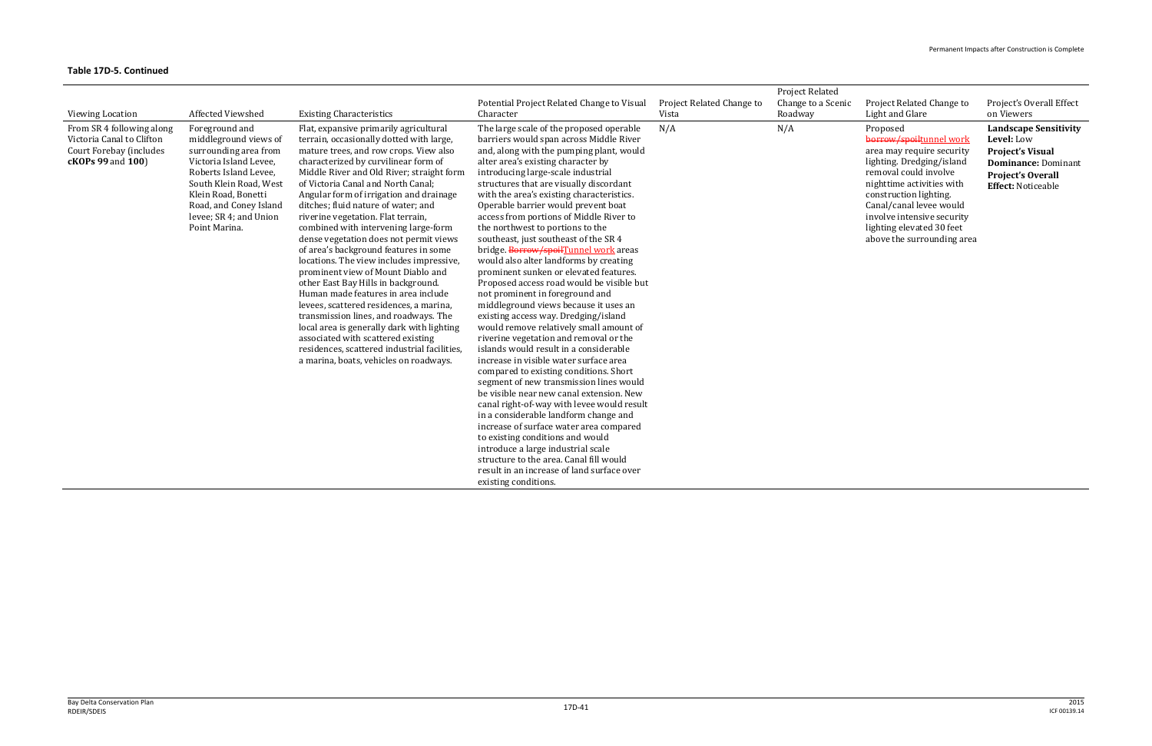| <b>Viewing Location</b>                                                                                       | <b>Affected Viewshed</b>                                                                                                                                                                                                                  | <b>Existing Characteristics</b>                                                                                                                                                                                                                                                                                                                                                                                                                                                                                                                                                                                                                                                                                                                                                                                                                                                                                                             | Potential Project Related Change to Visual<br>Character                                                                                                                                                                                                                                                                                                                                                                                                                                                                                                                                                                                                                                                                                                                                                                                                                                                                                                                                                                                                                                                                                                                                                                                                                                                                                                                                                 | Project Related Change to<br>Vista | <b>Project Related</b><br>Change to a Scenic<br>Roadway | Project Related Change to<br>Light and Glare                                                                                                                                                                                                                                                      | Project's Overall Effect<br>on Viewers                                                                                                                |
|---------------------------------------------------------------------------------------------------------------|-------------------------------------------------------------------------------------------------------------------------------------------------------------------------------------------------------------------------------------------|---------------------------------------------------------------------------------------------------------------------------------------------------------------------------------------------------------------------------------------------------------------------------------------------------------------------------------------------------------------------------------------------------------------------------------------------------------------------------------------------------------------------------------------------------------------------------------------------------------------------------------------------------------------------------------------------------------------------------------------------------------------------------------------------------------------------------------------------------------------------------------------------------------------------------------------------|---------------------------------------------------------------------------------------------------------------------------------------------------------------------------------------------------------------------------------------------------------------------------------------------------------------------------------------------------------------------------------------------------------------------------------------------------------------------------------------------------------------------------------------------------------------------------------------------------------------------------------------------------------------------------------------------------------------------------------------------------------------------------------------------------------------------------------------------------------------------------------------------------------------------------------------------------------------------------------------------------------------------------------------------------------------------------------------------------------------------------------------------------------------------------------------------------------------------------------------------------------------------------------------------------------------------------------------------------------------------------------------------------------|------------------------------------|---------------------------------------------------------|---------------------------------------------------------------------------------------------------------------------------------------------------------------------------------------------------------------------------------------------------------------------------------------------------|-------------------------------------------------------------------------------------------------------------------------------------------------------|
| From SR 4 following along<br>Victoria Canal to Clifton<br>Court Forebay (includes<br><b>cKOPs 99 and 100)</b> | Foreground and<br>middleground views of<br>surrounding area from<br>Victoria Island Levee,<br>Roberts Island Levee,<br>South Klein Road, West<br>Klein Road, Bonetti<br>Road, and Coney Island<br>levee; SR 4; and Union<br>Point Marina. | Flat, expansive primarily agricultural<br>terrain, occasionally dotted with large,<br>mature trees, and row crops. View also<br>characterized by curvilinear form of<br>Middle River and Old River; straight form<br>of Victoria Canal and North Canal:<br>Angular form of irrigation and drainage<br>ditches; fluid nature of water; and<br>riverine vegetation. Flat terrain,<br>combined with intervening large-form<br>dense vegetation does not permit views<br>of area's background features in some<br>locations. The view includes impressive,<br>prominent view of Mount Diablo and<br>other East Bay Hills in background.<br>Human made features in area include<br>levees, scattered residences, a marina,<br>transmission lines, and roadways. The<br>local area is generally dark with lighting<br>associated with scattered existing<br>residences, scattered industrial facilities<br>a marina, boats, vehicles on roadways. | The large scale of the proposed operable<br>barriers would span across Middle River<br>and, along with the pumping plant, would<br>alter area's existing character by<br>introducing large-scale industrial<br>structures that are visually discordant<br>with the area's existing characteristics.<br>Operable barrier would prevent boat<br>access from portions of Middle River to<br>the northwest to portions to the<br>southeast, just southeast of the SR 4<br>bridge. Borrow/spoilTunnel work areas<br>would also alter landforms by creating<br>prominent sunken or elevated features.<br>Proposed access road would be visible but<br>not prominent in foreground and<br>middleground views because it uses an<br>existing access way. Dredging/island<br>would remove relatively small amount of<br>riverine vegetation and removal or the<br>islands would result in a considerable<br>increase in visible water surface area<br>compared to existing conditions. Short<br>segment of new transmission lines would<br>be visible near new canal extension. New<br>canal right-of-way with levee would result<br>in a considerable landform change and<br>increase of surface water area compared<br>to existing conditions and would<br>introduce a large industrial scale<br>structure to the area. Canal fill would<br>result in an increase of land surface over<br>existing conditions. | N/A                                | N/A                                                     | Proposed<br>borrow/spoiltunnel work<br>area may require security<br>lighting. Dredging/island<br>removal could involve<br>nighttime activities with<br>construction lighting.<br>Canal/canal levee would<br>involve intensive security<br>lighting elevated 30 feet<br>above the surrounding area | <b>Landscape Sensitivity</b><br>Level: Low<br><b>Project's Visual</b><br><b>Dominance: Dominant</b><br>Project's Overall<br><b>Effect: Noticeable</b> |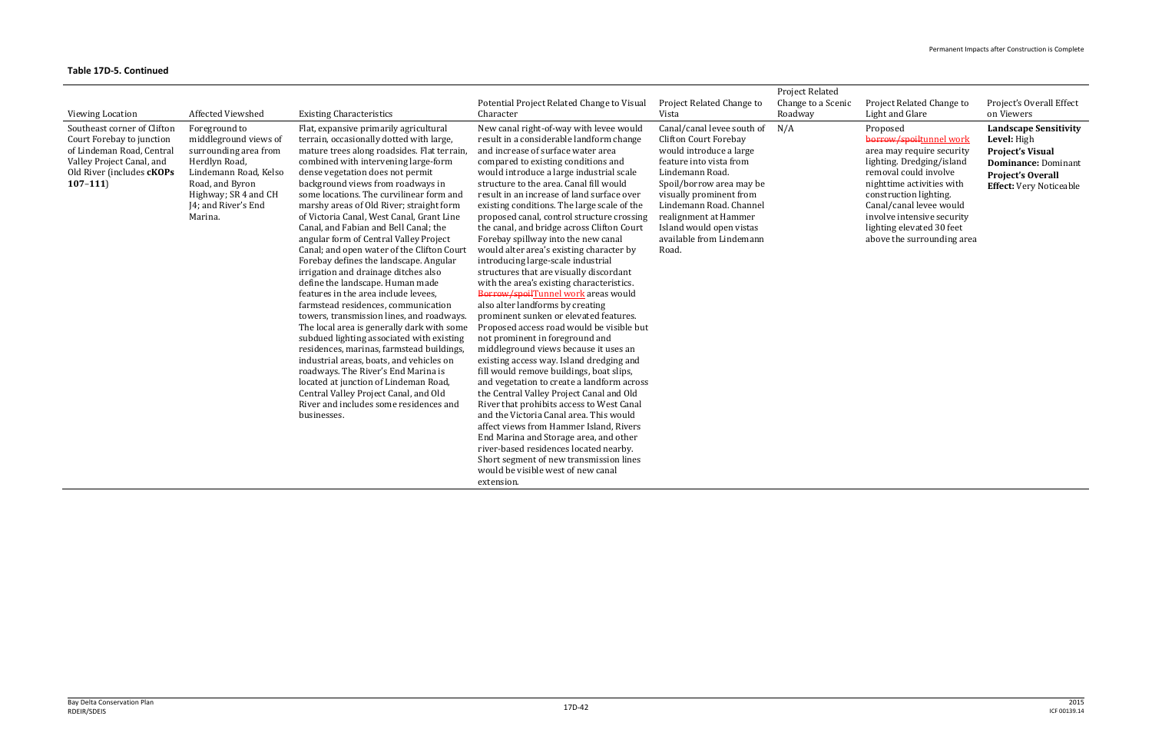| <b>Viewing Location</b>                                                                                                                                               | Affected Viewshed                                                                                                                                                                      | <b>Existing Characteristics</b>                                                                                                                                                                                                                                                                                                                                                                                                                                                                                                                                                                                                                                                                                                                                                                                                                                                                                                                                                                                                                                                                                                                  | Potential Project Related Change to Visual<br>Character                                                                                                                                                                                                                                                                                                                                                                                                                                                                                                                                                                                                                                                                                                                                                                                                                                                                                                                                                                                                                                                                                                                                                                                                                                                                                                                                                                 | Project Related Change to<br>Vista                                                                                                                                                                                                                                                                              | <b>Project Related</b><br>Change to a Scenic<br>Roadway | Project Related Change to<br>Light and Glare                                                                                                                                                                                                                                                      | Project's Overall Effect<br>on Viewers                                                                                                                             |
|-----------------------------------------------------------------------------------------------------------------------------------------------------------------------|----------------------------------------------------------------------------------------------------------------------------------------------------------------------------------------|--------------------------------------------------------------------------------------------------------------------------------------------------------------------------------------------------------------------------------------------------------------------------------------------------------------------------------------------------------------------------------------------------------------------------------------------------------------------------------------------------------------------------------------------------------------------------------------------------------------------------------------------------------------------------------------------------------------------------------------------------------------------------------------------------------------------------------------------------------------------------------------------------------------------------------------------------------------------------------------------------------------------------------------------------------------------------------------------------------------------------------------------------|-------------------------------------------------------------------------------------------------------------------------------------------------------------------------------------------------------------------------------------------------------------------------------------------------------------------------------------------------------------------------------------------------------------------------------------------------------------------------------------------------------------------------------------------------------------------------------------------------------------------------------------------------------------------------------------------------------------------------------------------------------------------------------------------------------------------------------------------------------------------------------------------------------------------------------------------------------------------------------------------------------------------------------------------------------------------------------------------------------------------------------------------------------------------------------------------------------------------------------------------------------------------------------------------------------------------------------------------------------------------------------------------------------------------------|-----------------------------------------------------------------------------------------------------------------------------------------------------------------------------------------------------------------------------------------------------------------------------------------------------------------|---------------------------------------------------------|---------------------------------------------------------------------------------------------------------------------------------------------------------------------------------------------------------------------------------------------------------------------------------------------------|--------------------------------------------------------------------------------------------------------------------------------------------------------------------|
| Southeast corner of Clifton<br>Court Forebay to junction<br>of Lindeman Road, Central<br>Valley Project Canal, and<br>Old River (includes <b>cKOPs</b><br>$107 - 111$ | Foreground to<br>middleground views of<br>surrounding area from<br>Herdlyn Road,<br>Lindemann Road, Kelso<br>Road, and Byron<br>Highway; SR 4 and CH<br>J4; and River's End<br>Marina. | Flat, expansive primarily agricultural<br>terrain, occasionally dotted with large,<br>mature trees along roadsides. Flat terrain,<br>combined with intervening large-form<br>dense vegetation does not permit<br>background views from roadways in<br>some locations. The curvilinear form and<br>marshy areas of Old River; straight form<br>of Victoria Canal, West Canal, Grant Line<br>Canal, and Fabian and Bell Canal; the<br>angular form of Central Valley Project<br>Canal; and open water of the Clifton Court<br>Forebay defines the landscape. Angular<br>irrigation and drainage ditches also<br>define the landscape. Human made<br>features in the area include levees.<br>farmstead residences, communication<br>towers, transmission lines, and roadways.<br>The local area is generally dark with some<br>subdued lighting associated with existing<br>residences, marinas, farmstead buildings,<br>industrial areas, boats, and vehicles on<br>roadways. The River's End Marina is<br>located at junction of Lindeman Road,<br>Central Valley Project Canal, and Old<br>River and includes some residences and<br>businesses. | New canal right-of-way with levee would<br>result in a considerable landform change<br>and increase of surface water area<br>compared to existing conditions and<br>would introduce a large industrial scale<br>structure to the area. Canal fill would<br>result in an increase of land surface over<br>existing conditions. The large scale of the<br>proposed canal, control structure crossing<br>the canal, and bridge across Clifton Court<br>Forebay spillway into the new canal<br>would alter area's existing character by<br>introducing large-scale industrial<br>structures that are visually discordant<br>with the area's existing characteristics.<br>Borrow/spoilTunnel work areas would<br>also alter landforms by creating<br>prominent sunken or elevated features.<br>Proposed access road would be visible but<br>not prominent in foreground and<br>middleground views because it uses an<br>existing access way. Island dredging and<br>fill would remove buildings, boat slips,<br>and vegetation to create a landform across<br>the Central Valley Project Canal and Old<br>River that prohibits access to West Canal<br>and the Victoria Canal area. This would<br>affect views from Hammer Island, Rivers<br>End Marina and Storage area, and other<br>river-based residences located nearby.<br>Short segment of new transmission lines<br>would be visible west of new canal<br>extension. | Canal/canal levee south of<br><b>Clifton Court Forebay</b><br>would introduce a large<br>feature into vista from<br>Lindemann Road.<br>Spoil/borrow area may be<br>visually prominent from<br>Lindemann Road. Channel<br>realignment at Hammer<br>Island would open vistas<br>available from Lindemann<br>Road. | N/A                                                     | Proposed<br>borrow/spoiltunnel work<br>area may require security<br>lighting. Dredging/island<br>removal could involve<br>nighttime activities with<br>construction lighting.<br>Canal/canal levee would<br>involve intensive security<br>lighting elevated 30 feet<br>above the surrounding area | <b>Landscape Sensitivity</b><br>Level: High<br><b>Project's Visual</b><br><b>Dominance: Dominant</b><br><b>Project's Overall</b><br><b>Effect:</b> Very Noticeable |